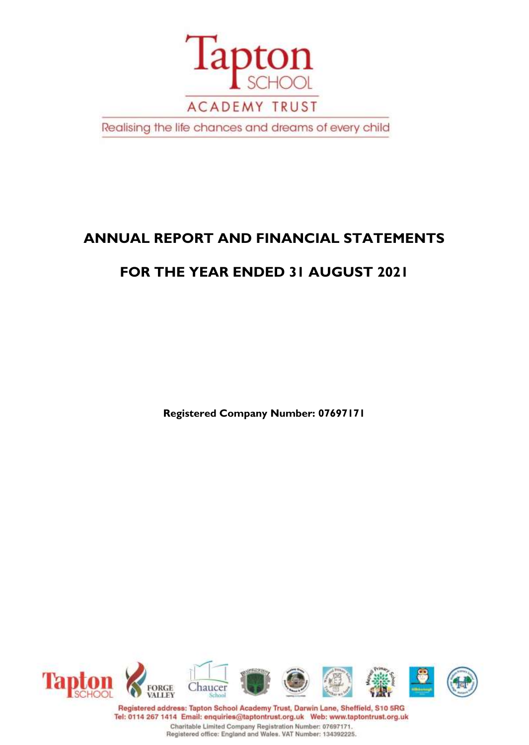

Realising the life chances and dreams of every child

# **ANNUAL REPORT AND FINANCIAL STATEMENTS**

# **FOR THE YEAR ENDED 31 AUGUST 2021**

**Registered Company Number: 07697171**



Registered address: Tapton School Academy Trust, Darwin Lane, Sheffield, S10 5RG Tel: 0114 267 1414 Email: enquiries@taptontrust.org.uk Web: www.taptontrust.org.uk Charitable Limited Company Registration Number: 07697171. Registered office: England and Wales. VAT Number: 134392225.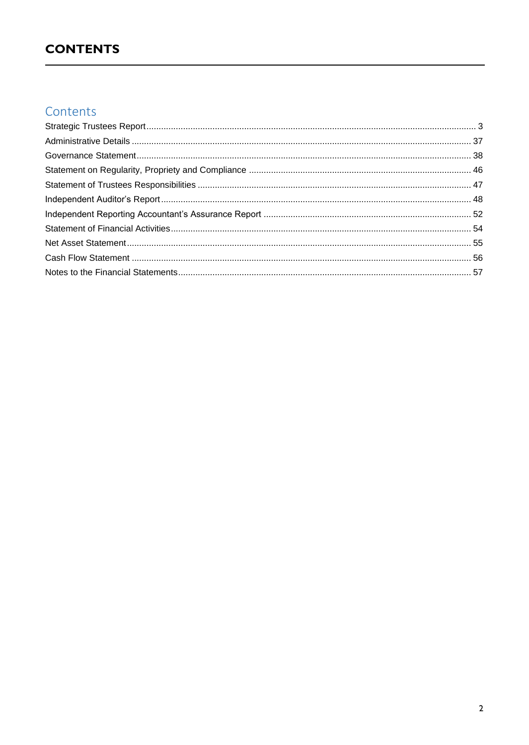# **CONTENTS**

# Contents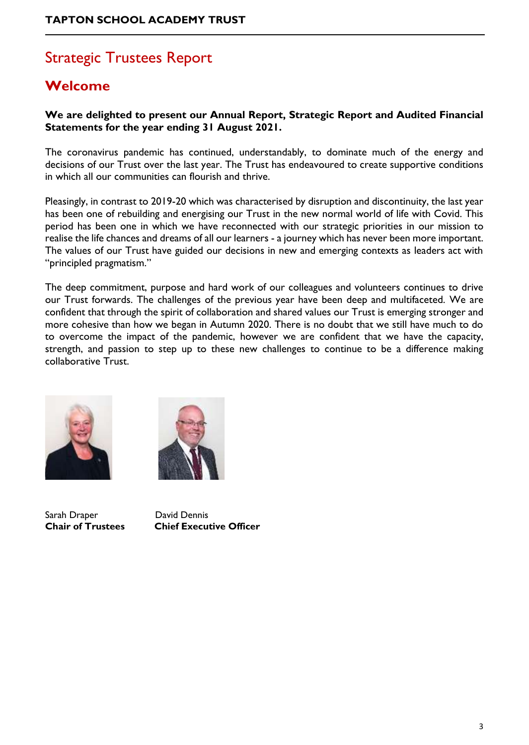# <span id="page-2-0"></span>Strategic Trustees Report

# **Welcome**

### **We are delighted to present our Annual Report, Strategic Report and Audited Financial Statements for the year ending 31 August 2021.**

The coronavirus pandemic has continued, understandably, to dominate much of the energy and decisions of our Trust over the last year. The Trust has endeavoured to create supportive conditions in which all our communities can flourish and thrive.

Pleasingly, in contrast to 2019-20 which was characterised by disruption and discontinuity, the last year has been one of rebuilding and energising our Trust in the new normal world of life with Covid. This period has been one in which we have reconnected with our strategic priorities in our mission to realise the life chances and dreams of all our learners - a journey which has never been more important. The values of our Trust have guided our decisions in new and emerging contexts as leaders act with "principled pragmatism."

The deep commitment, purpose and hard work of our colleagues and volunteers continues to drive our Trust forwards. The challenges of the previous year have been deep and multifaceted. We are confident that through the spirit of collaboration and shared values our Trust is emerging stronger and more cohesive than how we began in Autumn 2020. There is no doubt that we still have much to do to overcome the impact of the pandemic, however we are confident that we have the capacity, strength, and passion to step up to these new challenges to continue to be a difference making collaborative Trust.



Sarah Draper David Dennis

**Chair of Trustees Chief Executive Officer**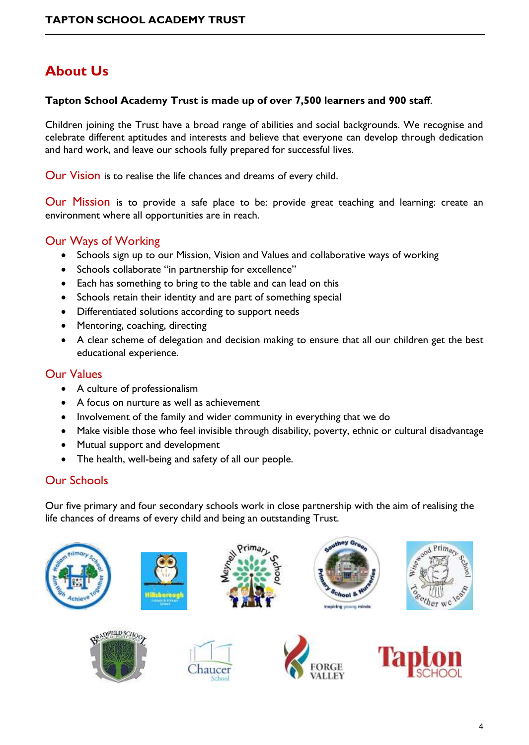# **About Us**

### **Tapton School Academy Trust is made up of over 7,500 learners and 900 staff**.

Children joining the Trust have a broad range of abilities and social backgrounds. We recognise and celebrate different aptitudes and interests and believe that everyone can develop through dedication and hard work, and leave our schools fully prepared for successful lives.

Our Vision is to realise the life chances and dreams of every child.

Our Mission is to provide a safe place to be: provide great teaching and learning: create an environment where all opportunities are in reach.

### Our Ways of Working

- Schools sign up to our Mission, Vision and Values and collaborative ways of working
- Schools collaborate "in partnership for excellence"
- Each has something to bring to the table and can lead on this
- Schools retain their identity and are part of something special
- Differentiated solutions according to support needs
- Mentoring, coaching, directing
- A clear scheme of delegation and decision making to ensure that all our children get the best educational experience.

### Our Values

- A culture of professionalism
- A focus on nurture as well as achievement
- Involvement of the family and wider community in everything that we do
- Make visible those who feel invisible through disability, poverty, ethnic or cultural disadvantage
- Mutual support and development
- The health, well-being and safety of all our people.

### Our Schools

Our five primary and four secondary schools work in close partnership with the aim of realising the life chances of dreams of every child and being an outstanding Trust.

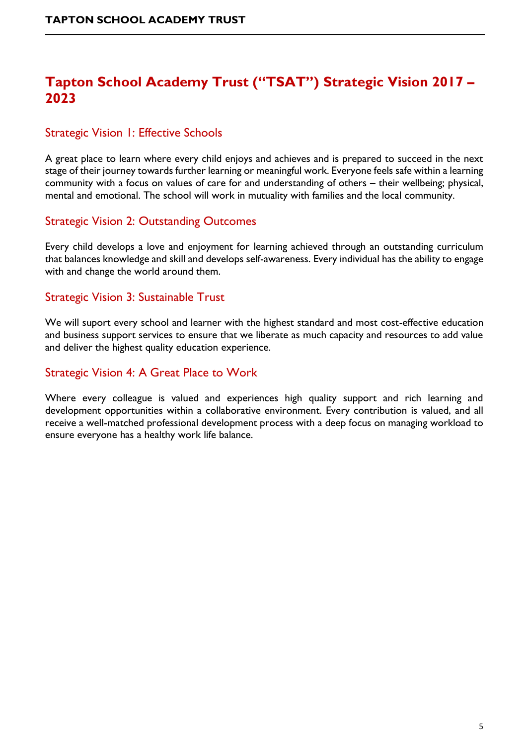# **Tapton School Academy Trust ("TSAT") Strategic Vision 2017 – 2023**

## Strategic Vision 1: Effective Schools

A great place to learn where every child enjoys and achieves and is prepared to succeed in the next stage of their journey towards further learning or meaningful work. Everyone feels safe within a learning community with a focus on values of care for and understanding of others – their wellbeing; physical, mental and emotional. The school will work in mutuality with families and the local community.

### Strategic Vision 2: Outstanding Outcomes

Every child develops a love and enjoyment for learning achieved through an outstanding curriculum that balances knowledge and skill and develops self-awareness. Every individual has the ability to engage with and change the world around them.

### Strategic Vision 3: Sustainable Trust

We will suport every school and learner with the highest standard and most cost-effective education and business support services to ensure that we liberate as much capacity and resources to add value and deliver the highest quality education experience.

### Strategic Vision 4: A Great Place to Work

Where every colleague is valued and experiences high quality support and rich learning and development opportunities within a collaborative environment. Every contribution is valued, and all receive a well-matched professional development process with a deep focus on managing workload to ensure everyone has a healthy work life balance.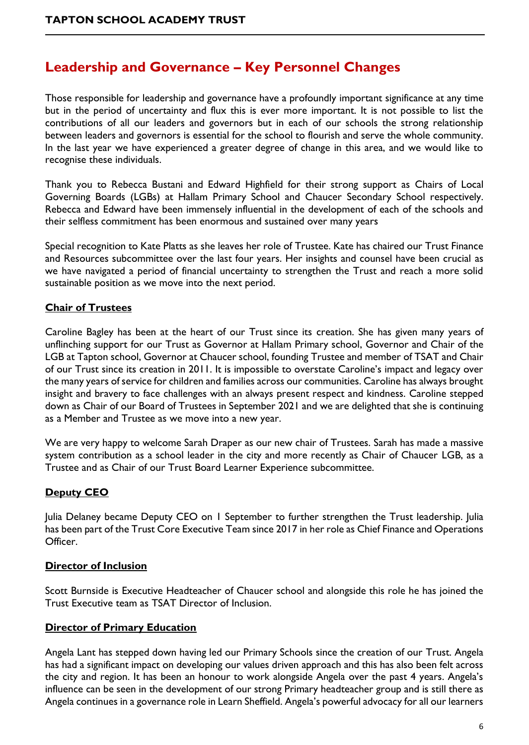# **Leadership and Governance – Key Personnel Changes**

Those responsible for leadership and governance have a profoundly important significance at any time but in the period of uncertainty and flux this is ever more important. It is not possible to list the contributions of all our leaders and governors but in each of our schools the strong relationship between leaders and governors is essential for the school to flourish and serve the whole community. In the last year we have experienced a greater degree of change in this area, and we would like to recognise these individuals.

Thank you to Rebecca Bustani and Edward Highfield for their strong support as Chairs of Local Governing Boards (LGBs) at Hallam Primary School and Chaucer Secondary School respectively. Rebecca and Edward have been immensely influential in the development of each of the schools and their selfless commitment has been enormous and sustained over many years

Special recognition to Kate Platts as she leaves her role of Trustee. Kate has chaired our Trust Finance and Resources subcommittee over the last four years. Her insights and counsel have been crucial as we have navigated a period of financial uncertainty to strengthen the Trust and reach a more solid sustainable position as we move into the next period.

### **Chair of Trustees**

Caroline Bagley has been at the heart of our Trust since its creation. She has given many years of unflinching support for our Trust as Governor at Hallam Primary school, Governor and Chair of the LGB at Tapton school, Governor at Chaucer school, founding Trustee and member of TSAT and Chair of our Trust since its creation in 2011. It is impossible to overstate Caroline's impact and legacy over the many years of service for children and families across our communities. Caroline has always brought insight and bravery to face challenges with an always present respect and kindness. Caroline stepped down as Chair of our Board of Trustees in September 2021 and we are delighted that she is continuing as a Member and Trustee as we move into a new year.

We are very happy to welcome Sarah Draper as our new chair of Trustees. Sarah has made a massive system contribution as a school leader in the city and more recently as Chair of Chaucer LGB, as a Trustee and as Chair of our Trust Board Learner Experience subcommittee.

### **Deputy CEO**

Julia Delaney became Deputy CEO on 1 September to further strengthen the Trust leadership. Julia has been part of the Trust Core Executive Team since 2017 in her role as Chief Finance and Operations Officer.

#### **Director of Inclusion**

Scott Burnside is Executive Headteacher of Chaucer school and alongside this role he has joined the Trust Executive team as TSAT Director of Inclusion.

#### **Director of Primary Education**

Angela Lant has stepped down having led our Primary Schools since the creation of our Trust. Angela has had a significant impact on developing our values driven approach and this has also been felt across the city and region. It has been an honour to work alongside Angela over the past 4 years. Angela's influence can be seen in the development of our strong Primary headteacher group and is still there as Angela continues in a governance role in Learn Sheffield. Angela's powerful advocacy for all our learners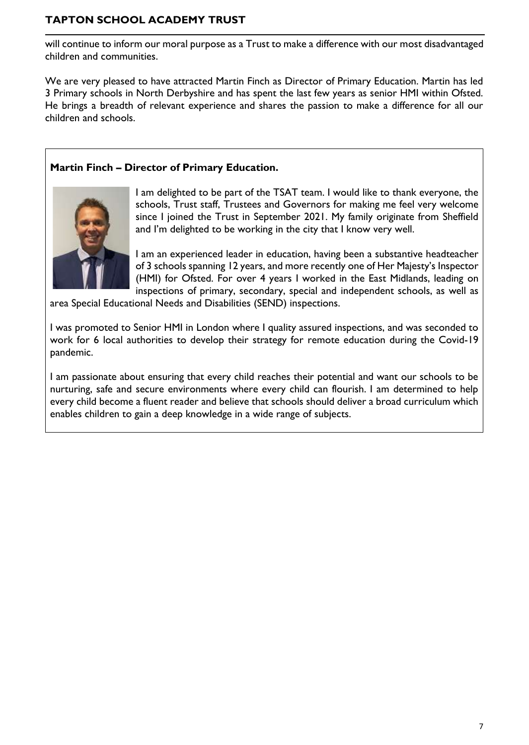will continue to inform our moral purpose as a Trust to make a difference with our most disadvantaged children and communities.

We are very pleased to have attracted Martin Finch as Director of Primary Education. Martin has led 3 Primary schools in North Derbyshire and has spent the last few years as senior HMI within Ofsted. He brings a breadth of relevant experience and shares the passion to make a difference for all our children and schools.

### **Martin Finch – Director of Primary Education.**



I am delighted to be part of the TSAT team. I would like to thank everyone, the schools, Trust staff, Trustees and Governors for making me feel very welcome since I joined the Trust in September 2021. My family originate from Sheffield and I'm delighted to be working in the city that I know very well.

I am an experienced leader in education, having been a substantive headteacher of 3 schools spanning 12 years, and more recently one of Her Majesty's Inspector (HMI) for Ofsted. For over 4 years I worked in the East Midlands, leading on inspections of primary, secondary, special and independent schools, as well as

area Special Educational Needs and Disabilities (SEND) inspections.

I was promoted to Senior HMI in London where I quality assured inspections, and was seconded to work for 6 local authorities to develop their strategy for remote education during the Covid-19 pandemic.

I am passionate about ensuring that every child reaches their potential and want our schools to be nurturing, safe and secure environments where every child can flourish. I am determined to help every child become a fluent reader and believe that schools should deliver a broad curriculum which enables children to gain a deep knowledge in a wide range of subjects.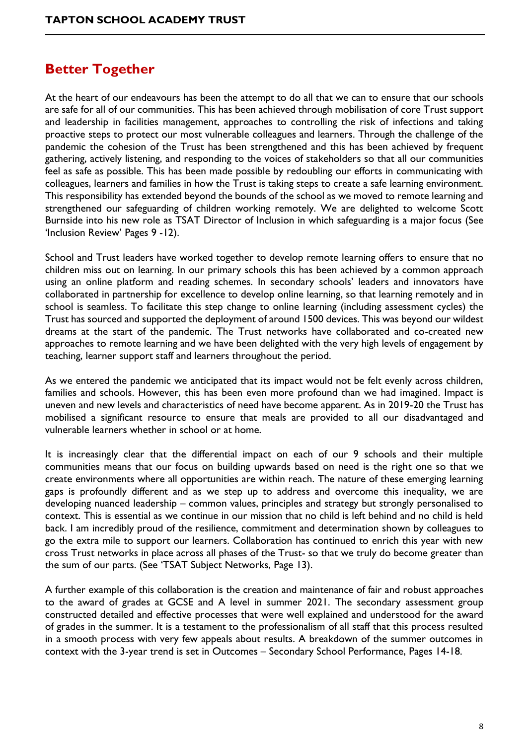# **Better Together**

At the heart of our endeavours has been the attempt to do all that we can to ensure that our schools are safe for all of our communities. This has been achieved through mobilisation of core Trust support and leadership in facilities management, approaches to controlling the risk of infections and taking proactive steps to protect our most vulnerable colleagues and learners. Through the challenge of the pandemic the cohesion of the Trust has been strengthened and this has been achieved by frequent gathering, actively listening, and responding to the voices of stakeholders so that all our communities feel as safe as possible. This has been made possible by redoubling our efforts in communicating with colleagues, learners and families in how the Trust is taking steps to create a safe learning environment. This responsibility has extended beyond the bounds of the school as we moved to remote learning and strengthened our safeguarding of children working remotely. We are delighted to welcome Scott Burnside into his new role as TSAT Director of Inclusion in which safeguarding is a major focus (See 'Inclusion Review' Pages 9 -12).

School and Trust leaders have worked together to develop remote learning offers to ensure that no children miss out on learning. In our primary schools this has been achieved by a common approach using an online platform and reading schemes. In secondary schools' leaders and innovators have collaborated in partnership for excellence to develop online learning, so that learning remotely and in school is seamless. To facilitate this step change to online learning (including assessment cycles) the Trust has sourced and supported the deployment of around 1500 devices. This was beyond our wildest dreams at the start of the pandemic. The Trust networks have collaborated and co-created new approaches to remote learning and we have been delighted with the very high levels of engagement by teaching, learner support staff and learners throughout the period.

As we entered the pandemic we anticipated that its impact would not be felt evenly across children, families and schools. However, this has been even more profound than we had imagined. Impact is uneven and new levels and characteristics of need have become apparent. As in 2019-20 the Trust has mobilised a significant resource to ensure that meals are provided to all our disadvantaged and vulnerable learners whether in school or at home.

It is increasingly clear that the differential impact on each of our 9 schools and their multiple communities means that our focus on building upwards based on need is the right one so that we create environments where all opportunities are within reach. The nature of these emerging learning gaps is profoundly different and as we step up to address and overcome this inequality, we are developing nuanced leadership – common values, principles and strategy but strongly personalised to context. This is essential as we continue in our mission that no child is left behind and no child is held back. I am incredibly proud of the resilience, commitment and determination shown by colleagues to go the extra mile to support our learners. Collaboration has continued to enrich this year with new cross Trust networks in place across all phases of the Trust- so that we truly do become greater than the sum of our parts. (See 'TSAT Subject Networks, Page 13).

A further example of this collaboration is the creation and maintenance of fair and robust approaches to the award of grades at GCSE and A level in summer 2021. The secondary assessment group constructed detailed and effective processes that were well explained and understood for the award of grades in the summer. It is a testament to the professionalism of all staff that this process resulted in a smooth process with very few appeals about results. A breakdown of the summer outcomes in context with the 3-year trend is set in Outcomes – Secondary School Performance, Pages 14-18.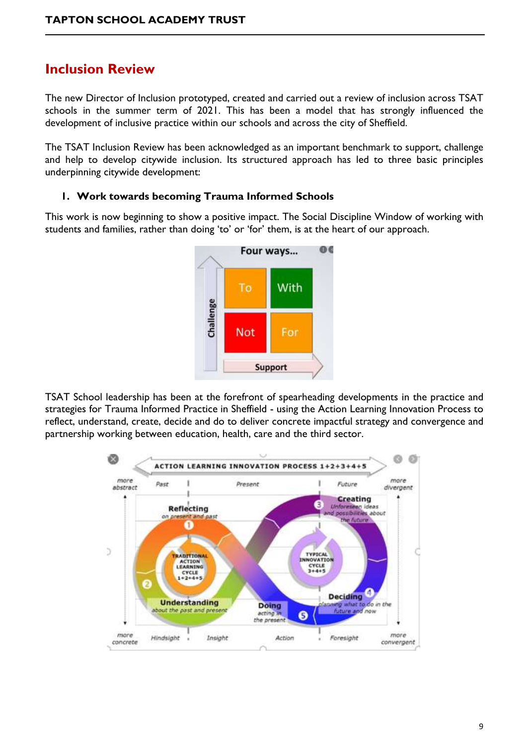# **Inclusion Review**

The new Director of Inclusion prototyped, created and carried out a review of inclusion across TSAT schools in the summer term of 2021. This has been a model that has strongly influenced the development of inclusive practice within our schools and across the city of Sheffield.

The TSAT Inclusion Review has been acknowledged as an important benchmark to support, challenge and help to develop citywide inclusion. Its structured approach has led to three basic principles underpinning citywide development:

#### **1. Work towards becoming Trauma Informed Schools**

This work is now beginning to show a positive impact. The Social Discipline Window of working with students and families, rather than doing 'to' or 'for' them, is at the heart of our approach.



TSAT School leadership has been at the forefront of spearheading developments in the practice and strategies for Trauma Informed Practice in Sheffield - using the Action Learning Innovation Process to reflect, understand, create, decide and do to deliver concrete impactful strategy and convergence and partnership working between education, health, care and the third sector.

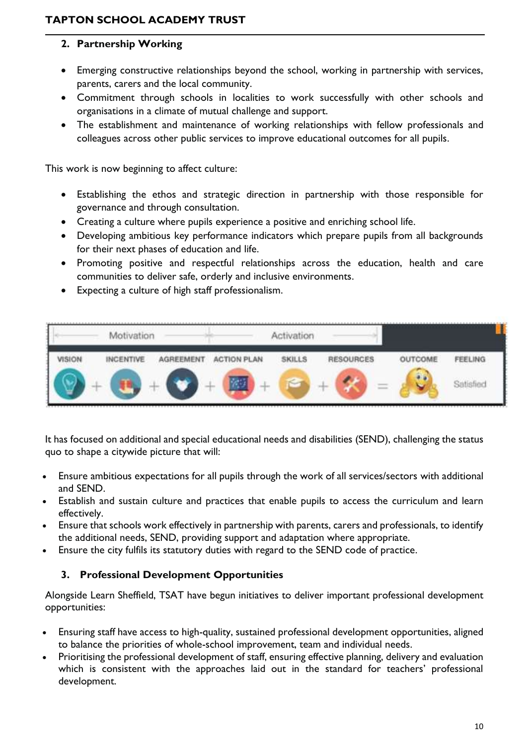### **2. Partnership Working**

- Emerging constructive relationships beyond the school, working in partnership with services, parents, carers and the local community.
- Commitment through schools in localities to work successfully with other schools and organisations in a climate of mutual challenge and support.
- The establishment and maintenance of working relationships with fellow professionals and colleagues across other public services to improve educational outcomes for all pupils.

This work is now beginning to affect culture:

- Establishing the ethos and strategic direction in partnership with those responsible for governance and through consultation.
- Creating a culture where pupils experience a positive and enriching school life.
- Developing ambitious key performance indicators which prepare pupils from all backgrounds for their next phases of education and life.
- Promoting positive and respectful relationships across the education, health and care communities to deliver safe, orderly and inclusive environments.
- Expecting a culture of high staff professionalism.



It has focused on additional and special educational needs and disabilities (SEND), challenging the status quo to shape a citywide picture that will:

- Ensure ambitious expectations for all pupils through the work of all services/sectors with additional and SEND.
- Establish and sustain culture and practices that enable pupils to access the curriculum and learn effectively.
- Ensure that schools work effectively in partnership with parents, carers and professionals, to identify the additional needs, SEND, providing support and adaptation where appropriate.
- Ensure the city fulfils its statutory duties with regard to the SEND code of practice.

### **3. Professional Development Opportunities**

Alongside Learn Sheffield, TSAT have begun initiatives to deliver important professional development opportunities:

- Ensuring staff have access to high-quality, sustained professional development opportunities, aligned to balance the priorities of whole-school improvement, team and individual needs.
- Prioritising the professional development of staff, ensuring effective planning, delivery and evaluation which is consistent with the approaches laid out in the standard for teachers' professional development.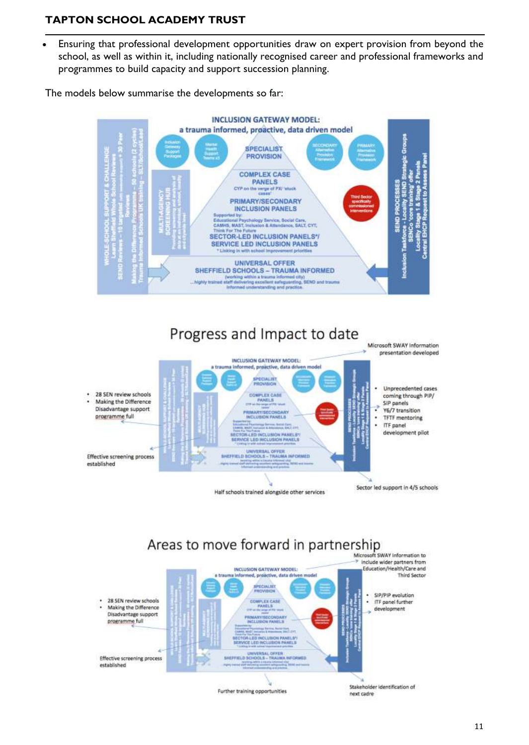• Ensuring that professional development opportunities draw on expert provision from beyond the school, as well as within it, including nationally recognised career and professional frameworks and programmes to build capacity and support succession planning.

The models below summarise the developments so far:





# Areas to move forward in partnership



11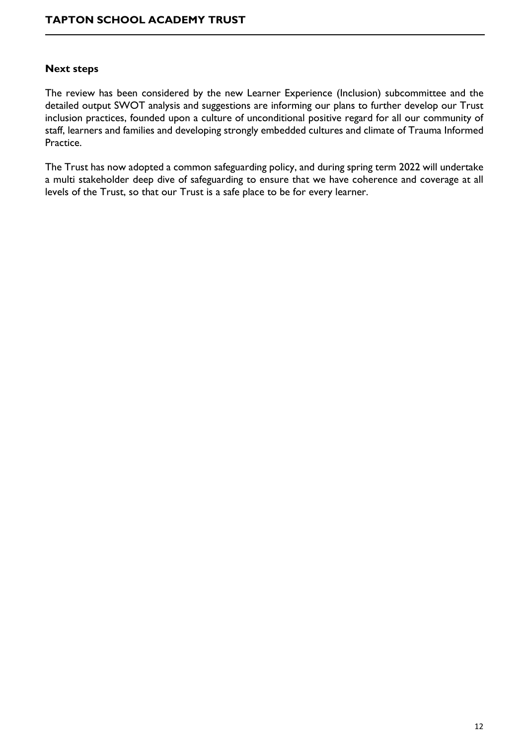#### **Next steps**

The review has been considered by the new Learner Experience (Inclusion) subcommittee and the detailed output SWOT analysis and suggestions are informing our plans to further develop our Trust inclusion practices, founded upon a culture of unconditional positive regard for all our community of staff, learners and families and developing strongly embedded cultures and climate of Trauma Informed Practice.

The Trust has now adopted a common safeguarding policy, and during spring term 2022 will undertake a multi stakeholder deep dive of safeguarding to ensure that we have coherence and coverage at all levels of the Trust, so that our Trust is a safe place to be for every learner.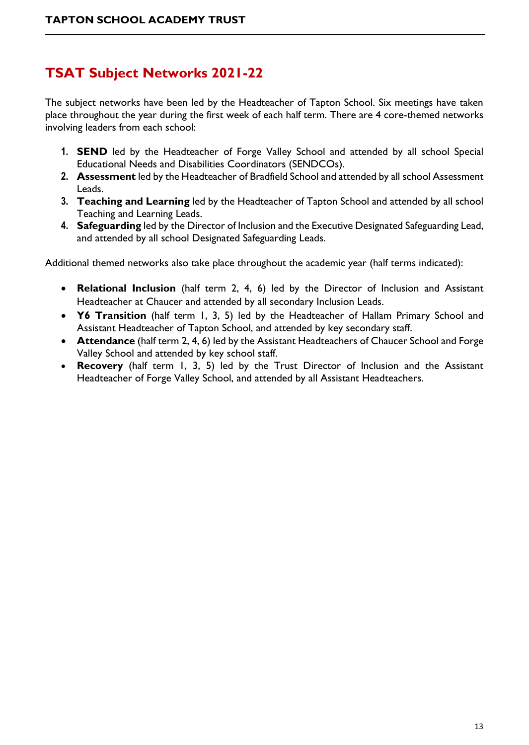# **TSAT Subject Networks 2021-22**

The subject networks have been led by the Headteacher of Tapton School. Six meetings have taken place throughout the year during the first week of each half term. There are 4 core-themed networks involving leaders from each school:

- **1. SEND** led by the Headteacher of Forge Valley School and attended by all school Special Educational Needs and Disabilities Coordinators (SENDCOs).
- **2. Assessment** led by the Headteacher of Bradfield School and attended by all school Assessment Leads.
- **3. Teaching and Learning** led by the Headteacher of Tapton School and attended by all school Teaching and Learning Leads.
- **4. Safeguarding** led by the Director of Inclusion and the Executive Designated Safeguarding Lead, and attended by all school Designated Safeguarding Leads.

Additional themed networks also take place throughout the academic year (half terms indicated):

- **Relational Inclusion** (half term 2, 4, 6) led by the Director of Inclusion and Assistant Headteacher at Chaucer and attended by all secondary Inclusion Leads.
- **Y6 Transition** (half term 1, 3, 5) led by the Headteacher of Hallam Primary School and Assistant Headteacher of Tapton School, and attended by key secondary staff.
- **Attendance** (half term 2, 4, 6) led by the Assistant Headteachers of Chaucer School and Forge Valley School and attended by key school staff.
- **Recovery** (half term 1, 3, 5) led by the Trust Director of Inclusion and the Assistant Headteacher of Forge Valley School, and attended by all Assistant Headteachers.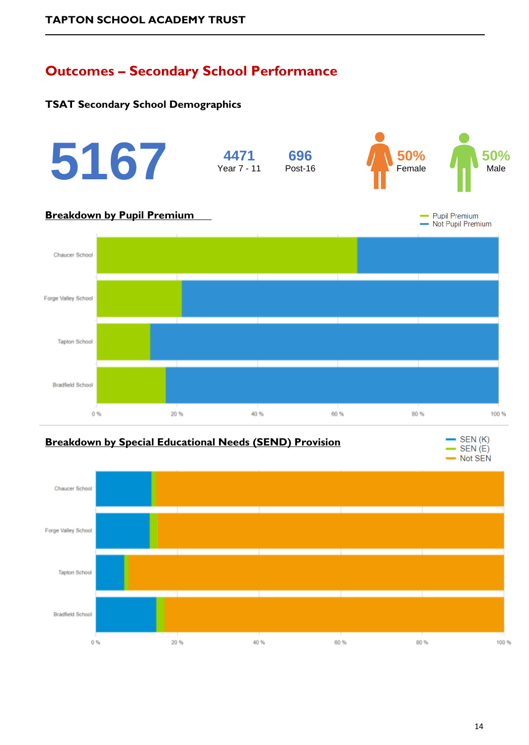# **Outcomes – Secondary School Performance**

### **TSAT Secondary School Demographics**





14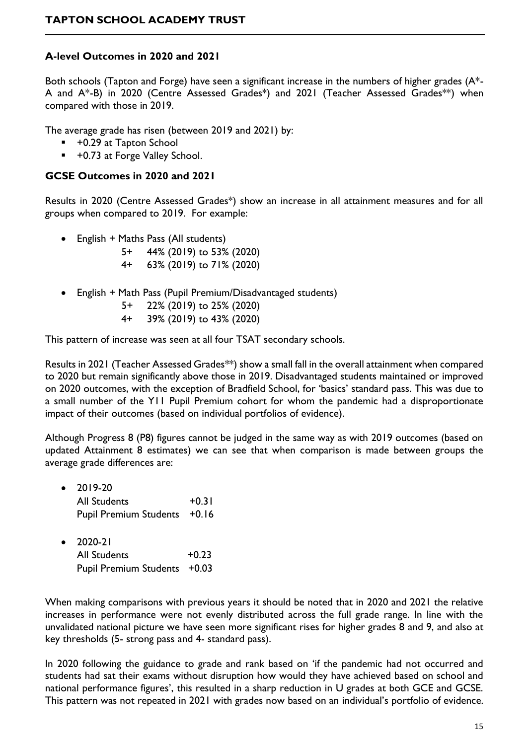### **A-level Outcomes in 2020 and 2021**

Both schools (Tapton and Forge) have seen a significant increase in the numbers of higher grades (A\*- A and A\*-B) in 2020 (Centre Assessed Grades\*) and 2021 (Teacher Assessed Grades\*\*) when compared with those in 2019.

The average grade has risen (between 2019 and 2021) by:

- +0.29 at Tapton School
- +0.73 at Forge Valley School.

### **GCSE Outcomes in 2020 and 2021**

Results in 2020 (Centre Assessed Grades\*) show an increase in all attainment measures and for all groups when compared to 2019. For example:

- English + Maths Pass (All students)
	- 5+ 44% (2019) to 53% (2020)
	- 4+ 63% (2019) to 71% (2020)
- English + Math Pass (Pupil Premium/Disadvantaged students)
	- 5+ 22% (2019) to 25% (2020)
	- 4+ 39% (2019) to 43% (2020)

This pattern of increase was seen at all four TSAT secondary schools.

Results in 2021 (Teacher Assessed Grades\*\*) show a small fall in the overall attainment when compared to 2020 but remain significantly above those in 2019. Disadvantaged students maintained or improved on 2020 outcomes, with the exception of Bradfield School, for 'basics' standard pass. This was due to a small number of the Y11 Pupil Premium cohort for whom the pandemic had a disproportionate impact of their outcomes (based on individual portfolios of evidence).

Although Progress 8 (P8) figures cannot be judged in the same way as with 2019 outcomes (based on updated Attainment 8 estimates) we can see that when comparison is made between groups the average grade differences are:

| $\bullet$ | 2019-20                      |         |
|-----------|------------------------------|---------|
|           | <b>All Students</b>          | $+0.31$ |
|           | Pupil Premium Students +0.16 |         |

• 2020-21 All Students  $+0.23$ Pupil Premium Students +0.03

When making comparisons with previous years it should be noted that in 2020 and 2021 the relative increases in performance were not evenly distributed across the full grade range. In line with the unvalidated national picture we have seen more significant rises for higher grades 8 and 9, and also at key thresholds (5- strong pass and 4- standard pass).

In 2020 following the guidance to grade and rank based on 'if the pandemic had not occurred and students had sat their exams without disruption how would they have achieved based on school and national performance figures', this resulted in a sharp reduction in U grades at both GCE and GCSE. This pattern was not repeated in 2021 with grades now based on an individual's portfolio of evidence.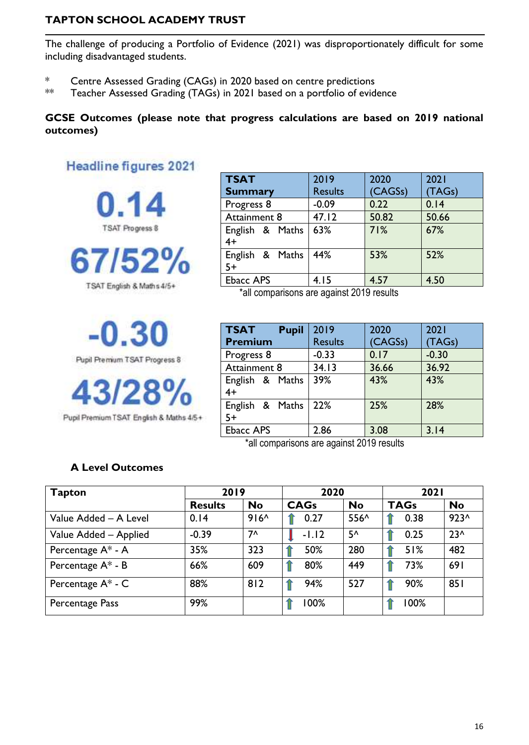The challenge of producing a Portfolio of Evidence (2021) was disproportionately difficult for some including disadvantaged students.

- \* Centre Assessed Grading (CAGs) in 2020 based on centre predictions
- \*\* Teacher Assessed Grading (TAGs) in 2021 based on a portfolio of evidence

### **GCSE Outcomes (please note that progress calculations are based on 2019 national outcomes)**

# **Headline figures 2021**



TSAT English & Maths 4/5+

Pupil Premium TSAT Progress 8

Pupil Premium TSAT English & Maths 4/5+

| <b>TSAT</b>             | 2019           | 2020    | 2021   |
|-------------------------|----------------|---------|--------|
| <b>Summary</b>          | <b>Results</b> | (CAGSs) | (TAGs) |
| Progress 8              | $-0.09$        | 0.22    | 0.14   |
| Attainment 8            | 47.12          | 50.82   | 50.66  |
| English & Maths<br>$4+$ | 63%            | 71%     | 67%    |
| English & Maths<br>5+   | 44%            | 53%     | 52%    |
| <b>Ebacc APS</b>        | 4.15           | 4.57    | 4.50   |

\*all comparisons are against 2019 results

| <b>TSAT</b><br><b>Pupil</b><br><b>Premium</b> | 2019<br><b>Results</b> | 2020<br>(CAGSs) | 2021<br>(TAGs) |
|-----------------------------------------------|------------------------|-----------------|----------------|
| Progress 8                                    | $-0.33$                | 0.17            | $-0.30$        |
| Attainment 8                                  | 34.13                  | 36.66           | 36.92          |
| English & Maths<br>$4+$                       | 39%                    | 43%             | 43%            |
| English & Maths<br>$5+$                       | 22%                    | 25%             | 28%            |
| <b>Ebacc APS</b>                              | 2.86                   | 3.08            | 3.14           |

\*all comparisons are against 2019 results

### **A Level Outcomes**

| Tapton                 | 2019           |           | 2020        |              | <b>2021</b> |           |
|------------------------|----------------|-----------|-------------|--------------|-------------|-----------|
|                        | <b>Results</b> | <b>No</b> | <b>CAGs</b> | <b>No</b>    | <b>TAGs</b> | <b>No</b> |
| Value Added - A Level  | 0.14           | $916^$    | 0.27        | 556^         | 0.38        | $923^$    |
| Value Added - Applied  | $-0.39$        | $7^$      | $-1.12$     | $5^{\prime}$ | 0.25        | $23^$     |
| Percentage A* - A      | 35%            | 323       | 50%         | 280          | 51%         | 482       |
| Percentage A* - B      | 66%            | 609       | 80%         | 449          | 73%         | 691       |
| Percentage $A^*$ - $C$ | 88%            | 812       | 94%         | 527          | 90%         | 851       |
| Percentage Pass        | 99%            |           | 100%        |              | 100%        |           |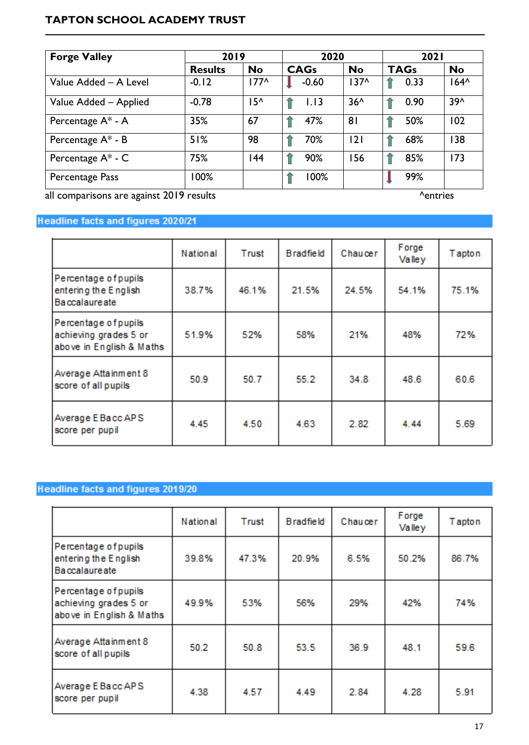| <b>Forge Valley</b>   |                | 2019      |             | 2020           |             | <b>2021</b> |  |
|-----------------------|----------------|-----------|-------------|----------------|-------------|-------------|--|
|                       | <b>Results</b> | <b>No</b> | <b>CAGs</b> | <b>No</b>      | <b>TAGs</b> | <b>No</b>   |  |
| Value Added - A Level | $-0.12$        | $177^$    | $-0.60$     | $137^$         | 0.33        | $164^$      |  |
| Value Added - Applied | $-0.78$        | 15^       | 1.13        | $36^$          | 0.90        | 39^         |  |
| Percentage A* - A     | 35%            | 67        | 47%         | 8 <sup>1</sup> | 50%         | 102         |  |
| Percentage $A^*$ - B  | 51%            | 98        | 70%         | 2              | 68%         | 138         |  |
| Percentage A* - C     | 75%            | 144       | 90%         | 156            | 85%         | 173         |  |
| Percentage Pass       | 100%           |           | 100%        |                | 99%         |             |  |

all comparisons are against 2019 results **and a set of the control of the control of the control of the control of the control of the control of the control of the control of the control of the control of the control of th** 

### Headline facts and figures 2020/21

|                                                                           | National | Trust | <b>Bradfield</b> | Chaucer | Forge<br>Valley | Tapton |
|---------------------------------------------------------------------------|----------|-------|------------------|---------|-----------------|--------|
| Percentage of pupils<br>entering the English<br><b>Baccalaureate</b>      | 38.7%    | 46.1% | 21.5%            | 24.5%   | 54.1%           | 75.1%  |
| Percentage of pupils<br>achieving grades 5 or<br>above in English & Maths | 51.9%    | 52%   | 58%              | 21%     | 48%             | 72%    |
| Average Attainment 8<br>score of all pupils                               | 50.9     | 50.7  | 55.2             | 34.8    | 48.6            | 60.6   |
| Average E Bacc APS<br>score per pupil                                     | 4.45     | 4.50  | 4.63             | 2.82    | 4.44            | 5.69   |

# Headline facts and figures 2019/20

|                                                                           | National | <b>Trust</b> | <b>Bradfield</b> | Chaucer | Forge<br>Valley | Tapton |
|---------------------------------------------------------------------------|----------|--------------|------------------|---------|-----------------|--------|
| Percentage of pupils<br>entering the English<br><b>Baccalaureate</b>      | 39.8%    | 47.3%        | 20.9%            | 6.5%    | 50.2%           | 86.7%  |
| Percentage of pupils<br>achieving grades 5 or<br>above in English & Maths | 49.9%    | 53%          | 56%              | 29%     | 42%             | 74%    |
| Average Attainment 8<br>score of all pupils                               | 50.2     | 50.8         | 53.5             | 36.9    | 48.1            | 59.6   |
| Average E Bacc APS<br>score per pupil                                     | 4.38     | 4.57         | 4.49             | 2.84    | 4.28            | 5.91   |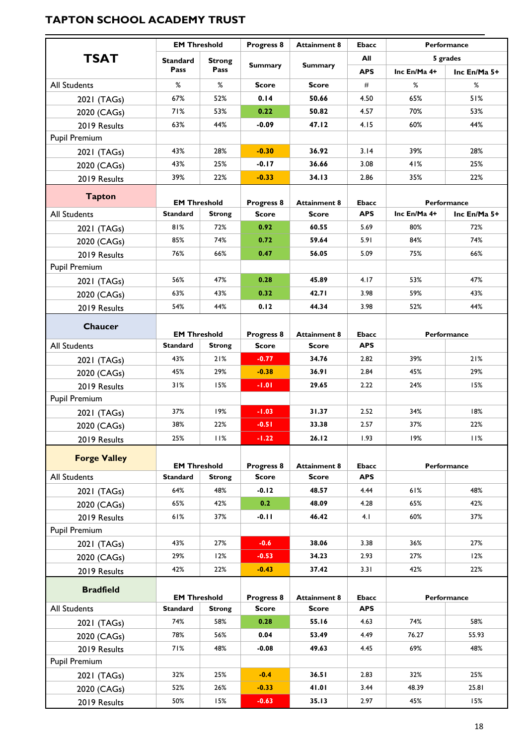|                      | <b>EM Threshold</b>                    |               | Progress 8                 | <b>Attainment 8</b>                 | <b>Ebacc</b>               |              | <b>Performance</b> |  |
|----------------------|----------------------------------------|---------------|----------------------------|-------------------------------------|----------------------------|--------------|--------------------|--|
| <b>TSAT</b>          | <b>Standard</b>                        | <b>Strong</b> |                            |                                     | All                        |              | 5 grades           |  |
|                      | Pass                                   | Pass          | <b>Summary</b>             | <b>Summary</b>                      | <b>APS</b>                 | Inc En/Ma 4+ | Inc En/Ma 5+       |  |
| <b>All Students</b>  | %                                      | %             | <b>Score</b>               | <b>Score</b>                        | #                          | ℅            | %                  |  |
| 2021 (TAGs)          | 67%                                    | 52%           | 0.14                       | 50.66                               | 4.50                       | 65%          | 51%                |  |
| 2020 (CAGs)          | 71%                                    | 53%           | 0.22                       | 50.82                               | 4.57                       | 70%          | 53%                |  |
| 2019 Results         | 63%                                    | 44%           | $-0.09$                    | 47.12                               | 4.15                       | 60%          | 44%                |  |
| Pupil Premium        |                                        |               |                            |                                     |                            |              |                    |  |
| 2021 (TAGs)          | 43%                                    | 28%           | $-0.30$                    | 36.92                               | 3.14                       | 39%          | 28%                |  |
| 2020 (CAGs)          | 43%                                    | 25%           | $-0.17$                    | 36.66                               | 3.08                       | 41%          | 25%                |  |
| 2019 Results         | 39%                                    | 22%           | $-0.33$                    | 34.13                               | 2.86                       | 35%          | 22%                |  |
| <b>Tapton</b>        |                                        |               |                            |                                     |                            |              |                    |  |
|                      | <b>EM Threshold</b>                    |               | Progress 8                 | <b>Attainment 8</b>                 | <b>Ebacc</b>               |              | Performance        |  |
| <b>All Students</b>  | <b>Standard</b>                        | <b>Strong</b> | <b>Score</b>               | <b>Score</b>                        | <b>APS</b>                 | Inc En/Ma 4+ | Inc En/Ma 5+       |  |
| 2021 (TAGs)          | 81%                                    | 72%           | 0.92                       | 60.55                               | 5.69                       | 80%          | 72%                |  |
| 2020 (CAGs)          | 85%                                    | 74%           | 0.72                       | 59.64                               | 5.91                       | 84%          | 74%                |  |
| 2019 Results         | 76%                                    | 66%           | 0.47                       | 56.05                               | 5.09                       | 75%          | 66%                |  |
| <b>Pupil Premium</b> |                                        |               |                            |                                     |                            |              |                    |  |
| 2021 (TAGs)          | 56%                                    | 47%           | 0.28                       | 45.89                               | 4.17                       | 53%          | 47%                |  |
| 2020 (CAGs)          | 63%                                    | 43%           | 0.32                       | 42.71                               | 3.98                       | 59%          | 43%                |  |
| 2019 Results         | 54%                                    | 44%           | 0.12                       | 44.34                               | 3.98                       | 52%          | 44%                |  |
| Chaucer              |                                        |               |                            |                                     |                            |              |                    |  |
|                      | <b>EM Threshold</b>                    |               | Progress 8                 | <b>Attainment 8</b>                 | <b>Ebacc</b>               |              | Performance        |  |
| <b>All Students</b>  | <b>Standard</b>                        | <b>Strong</b> | <b>Score</b>               | <b>Score</b>                        | <b>APS</b>                 |              |                    |  |
| 2021 (TAGs)          | 43%                                    | 21%           | $-0.77$                    | 34.76                               | 2.82                       | 39%          | 21%                |  |
| 2020 (CAGs)          | 45%                                    | 29%           | $-0.38$                    | 36.91                               | 2.84                       | 45%          | 29%                |  |
| 2019 Results         | 31%                                    | 15%           | $-1.01$                    | 29.65                               | 2.22                       | 24%          | 15%                |  |
| <b>Pupil Premium</b> | 37%                                    | 19%           |                            | 31.37                               | 2.52                       | 34%          | 18%                |  |
| 2021 (TAGs)          | 38%                                    | 22%           | $-1.03$<br>$-0.51$         | 33.38                               | 2.57                       | 37%          | 22%                |  |
| 2020 (CAGs)          | 25%                                    | 11%           | $-1.22$                    | 26.12                               | 1.93                       | 19%          | 11%                |  |
| 2019 Results         |                                        |               |                            |                                     |                            |              |                    |  |
| <b>Forge Valley</b>  |                                        |               |                            |                                     |                            |              |                    |  |
| All Students         | <b>EM Threshold</b><br><b>Standard</b> | <b>Strong</b> | Progress 8<br><b>Score</b> | <b>Attainment 8</b><br><b>Score</b> | <b>Ebacc</b><br><b>APS</b> |              | Performance        |  |
| 2021 (TAGs)          | 64%                                    | 48%           | $-0.12$                    | 48.57                               | 4.44                       | 61%          | 48%                |  |
| 2020 (CAGs)          | 65%                                    | 42%           | 0.2                        | 48.09                               | 4.28                       | 65%          | 42%                |  |
| 2019 Results         | 61%                                    | 37%           | $-0.11$                    | 46.42                               | 4.1                        | 60%          | 37%                |  |
| Pupil Premium        |                                        |               |                            |                                     |                            |              |                    |  |
| 2021 (TAGs)          | 43%                                    | 27%           | $-0.6$                     | 38.06                               | 3.38                       | 36%          | 27%                |  |
| 2020 (CAGs)          | 29%                                    | 12%           | $-0.53$                    | 34.23                               | 2.93                       | 27%          | 12%                |  |
| 2019 Results         | 42%                                    | 22%           | $-0.43$                    | 37.42                               | 3.31                       | 42%          | 22%                |  |
|                      |                                        |               |                            |                                     |                            |              |                    |  |
| <b>Bradfield</b>     | <b>EM Threshold</b>                    |               | Progress 8                 | <b>Attainment 8</b>                 | <b>Ebacc</b>               | Performance  |                    |  |
| All Students         | Standard                               | <b>Strong</b> | <b>Score</b>               | <b>Score</b>                        | <b>APS</b>                 |              |                    |  |
| 2021 (TAGs)          | 74%                                    | 58%           | 0.28                       | 55.16                               | 4.63                       | 74%          | 58%                |  |
| 2020 (CAGs)          | 78%                                    | 56%           | 0.04                       | 53.49                               | 4.49                       | 76.27        | 55.93              |  |
| 2019 Results         | 71%                                    | 48%           | $-0.08$                    | 49.63                               | 4.45                       | 69%          | 48%                |  |
| <b>Pupil Premium</b> |                                        |               |                            |                                     |                            |              |                    |  |
| 2021 (TAGs)          | 32%                                    | 25%           | $-0.4$                     | 36.51                               | 2.83                       | 32%          | 25%                |  |
| 2020 (CAGs)          | 52%                                    | 26%           | $-0.33$                    | 41.01                               | 3.44                       | 48.39        | 25.81              |  |
| 2019 Results         | 50%                                    | 15%           | $-0.63$                    | 35.13                               | 2.97                       | 45%          | 15%                |  |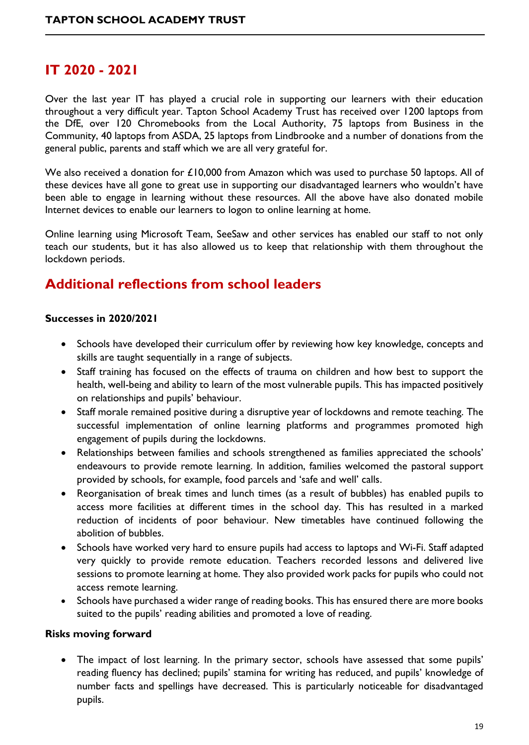# **IT 2020 - 2021**

Over the last year IT has played a crucial role in supporting our learners with their education throughout a very difficult year. Tapton School Academy Trust has received over 1200 laptops from the DfE, over 120 Chromebooks from the Local Authority, 75 laptops from Business in the Community, 40 laptops from ASDA, 25 laptops from Lindbrooke and a number of donations from the general public, parents and staff which we are all very grateful for.

We also received a donation for £10,000 from Amazon which was used to purchase 50 laptops. All of these devices have all gone to great use in supporting our disadvantaged learners who wouldn't have been able to engage in learning without these resources. All the above have also donated mobile Internet devices to enable our learners to logon to online learning at home.

Online learning using Microsoft Team, SeeSaw and other services has enabled our staff to not only teach our students, but it has also allowed us to keep that relationship with them throughout the lockdown periods.

# **Additional reflections from school leaders**

#### **Successes in 2020/2021**

- Schools have developed their curriculum offer by reviewing how key knowledge, concepts and skills are taught sequentially in a range of subjects.
- Staff training has focused on the effects of trauma on children and how best to support the health, well-being and ability to learn of the most vulnerable pupils. This has impacted positively on relationships and pupils' behaviour.
- Staff morale remained positive during a disruptive year of lockdowns and remote teaching. The successful implementation of online learning platforms and programmes promoted high engagement of pupils during the lockdowns.
- Relationships between families and schools strengthened as families appreciated the schools' endeavours to provide remote learning. In addition, families welcomed the pastoral support provided by schools, for example, food parcels and 'safe and well' calls.
- Reorganisation of break times and lunch times (as a result of bubbles) has enabled pupils to access more facilities at different times in the school day. This has resulted in a marked reduction of incidents of poor behaviour. New timetables have continued following the abolition of bubbles.
- Schools have worked very hard to ensure pupils had access to laptops and Wi-Fi. Staff adapted very quickly to provide remote education. Teachers recorded lessons and delivered live sessions to promote learning at home. They also provided work packs for pupils who could not access remote learning.
- Schools have purchased a wider range of reading books. This has ensured there are more books suited to the pupils' reading abilities and promoted a love of reading.

#### **Risks moving forward**

• The impact of lost learning. In the primary sector, schools have assessed that some pupils' reading fluency has declined; pupils' stamina for writing has reduced, and pupils' knowledge of number facts and spellings have decreased. This is particularly noticeable for disadvantaged pupils.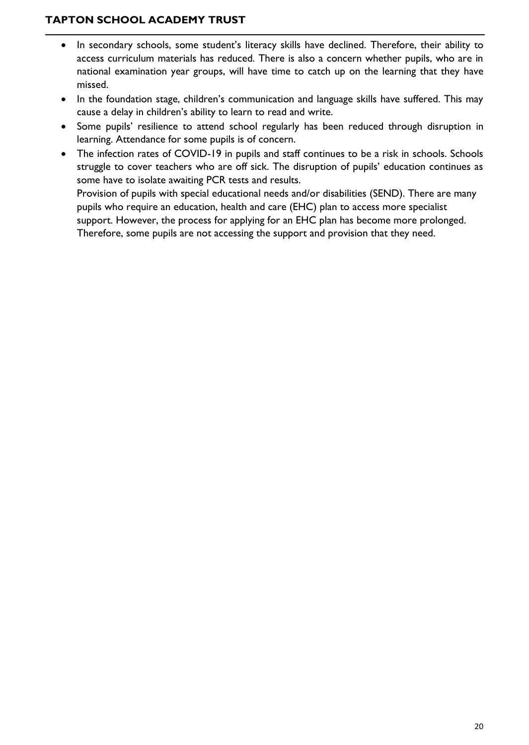- In secondary schools, some student's literacy skills have declined. Therefore, their ability to access curriculum materials has reduced. There is also a concern whether pupils, who are in national examination year groups, will have time to catch up on the learning that they have missed.
- In the foundation stage, children's communication and language skills have suffered. This may cause a delay in children's ability to learn to read and write.
- Some pupils' resilience to attend school regularly has been reduced through disruption in learning. Attendance for some pupils is of concern.
- The infection rates of COVID-19 in pupils and staff continues to be a risk in schools. Schools struggle to cover teachers who are off sick. The disruption of pupils' education continues as some have to isolate awaiting PCR tests and results. Provision of pupils with special educational needs and/or disabilities (SEND). There are many pupils who require an education, health and care (EHC) plan to access more specialist support. However, the process for applying for an EHC plan has become more prolonged.

Therefore, some pupils are not accessing the support and provision that they need.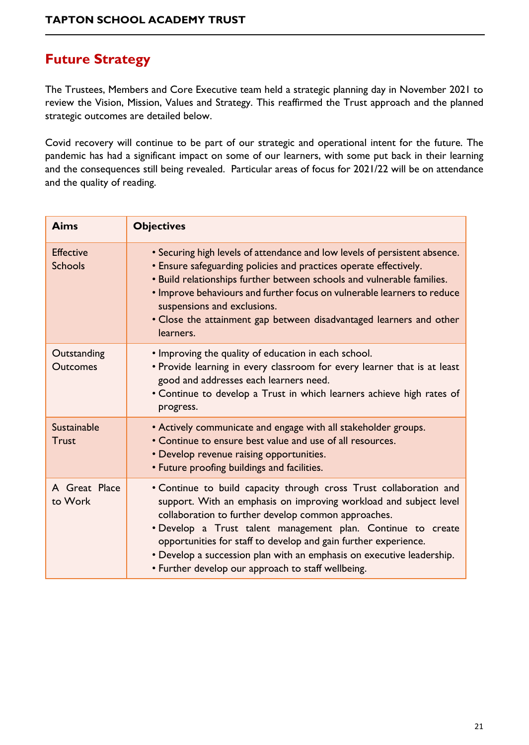# **Future Strategy**

The Trustees, Members and Core Executive team held a strategic planning day in November 2021 to review the Vision, Mission, Values and Strategy. This reaffirmed the Trust approach and the planned strategic outcomes are detailed below.

Covid recovery will continue to be part of our strategic and operational intent for the future. The pandemic has had a significant impact on some of our learners, with some put back in their learning and the consequences still being revealed. Particular areas of focus for 2021/22 will be on attendance and the quality of reading.

| <b>Aims</b>                        | <b>Objectives</b>                                                                                                                                                                                                                                                                                                                                                                                                                                                |
|------------------------------------|------------------------------------------------------------------------------------------------------------------------------------------------------------------------------------------------------------------------------------------------------------------------------------------------------------------------------------------------------------------------------------------------------------------------------------------------------------------|
| <b>Effective</b><br><b>Schools</b> | • Securing high levels of attendance and low levels of persistent absence.<br>• Ensure safeguarding policies and practices operate effectively.<br>. Build relationships further between schools and vulnerable families.<br>. Improve behaviours and further focus on vulnerable learners to reduce<br>suspensions and exclusions.<br>• Close the attainment gap between disadvantaged learners and other<br>learners.                                          |
| Outstanding<br><b>Outcomes</b>     | • Improving the quality of education in each school.<br>. Provide learning in every classroom for every learner that is at least<br>good and addresses each learners need.<br>• Continue to develop a Trust in which learners achieve high rates of<br>progress.                                                                                                                                                                                                 |
| <b>Sustainable</b><br><b>Trust</b> | • Actively communicate and engage with all stakeholder groups.<br>• Continue to ensure best value and use of all resources.<br>• Develop revenue raising opportunities.<br>• Future proofing buildings and facilities.                                                                                                                                                                                                                                           |
| A Great Place<br>to Work           | • Continue to build capacity through cross Trust collaboration and<br>support. With an emphasis on improving workload and subject level<br>collaboration to further develop common approaches.<br>· Develop a Trust talent management plan. Continue to create<br>opportunities for staff to develop and gain further experience.<br>• Develop a succession plan with an emphasis on executive leadership.<br>• Further develop our approach to staff wellbeing. |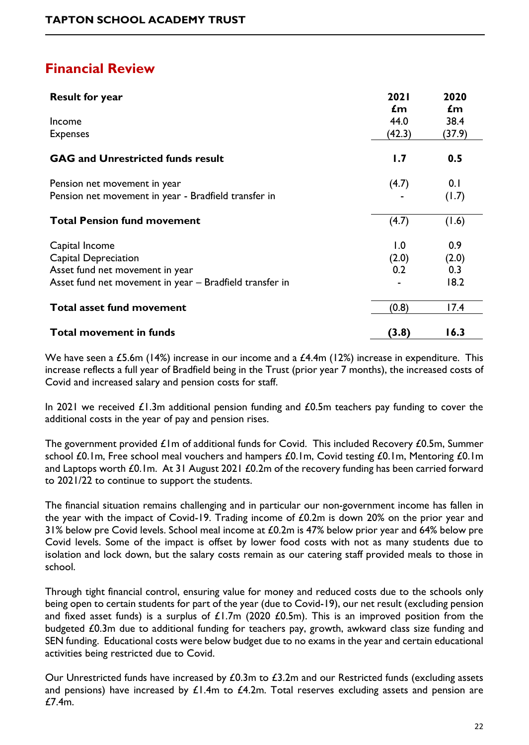# **Financial Review**

| <b>Result for year</b>                                  | 2021<br>$\mathbf{f}$ m | 2020<br>$\mathbf{f}$ m |
|---------------------------------------------------------|------------------------|------------------------|
| Income                                                  | 44.0                   | 38.4                   |
| <b>Expenses</b>                                         | (42.3)                 | (37.9)                 |
| <b>GAG and Unrestricted funds result</b>                | 1.7                    | 0.5                    |
| Pension net movement in year                            | (4.7)                  | 0.1                    |
| Pension net movement in year - Bradfield transfer in    |                        | (1.7)                  |
| <b>Total Pension fund movement</b>                      | (4.7)                  | (1.6)                  |
| Capital Income                                          | 1.0                    | 0.9                    |
| <b>Capital Depreciation</b>                             | (2.0)                  | (2.0)                  |
| Asset fund net movement in year                         | 0.2                    | 0.3                    |
| Asset fund net movement in year - Bradfield transfer in |                        | 18.2                   |
| <b>Total asset fund movement</b>                        | (0.8)                  | 17.4                   |
| <b>Total movement in funds</b>                          | (3.8)                  | 16.3                   |

We have seen a £5.6m (14%) increase in our income and a £4.4m (12%) increase in expenditure. This increase reflects a full year of Bradfield being in the Trust (prior year 7 months), the increased costs of Covid and increased salary and pension costs for staff.

In 2021 we received  $\pounds1.3m$  additional pension funding and  $\pounds0.5m$  teachers pay funding to cover the additional costs in the year of pay and pension rises.

The government provided  $E1$ m of additional funds for Covid. This included Recovery  $E0.5$ m, Summer school £0.1m, Free school meal vouchers and hampers £0.1m, Covid testing £0.1m, Mentoring £0.1m and Laptops worth £0.1m. At 31 August 2021 £0.2m of the recovery funding has been carried forward to 2021/22 to continue to support the students.

The financial situation remains challenging and in particular our non-government income has fallen in the year with the impact of Covid-19. Trading income of £0.2m is down 20% on the prior year and 31% below pre Covid levels. School meal income at £0.2m is 47% below prior year and 64% below pre Covid levels. Some of the impact is offset by lower food costs with not as many students due to isolation and lock down, but the salary costs remain as our catering staff provided meals to those in school.

Through tight financial control, ensuring value for money and reduced costs due to the schools only being open to certain students for part of the year (due to Covid-19), our net result (excluding pension and fixed asset funds) is a surplus of  $£1.7m$  (2020  $£0.5m$ ). This is an improved position from the budgeted £0.3m due to additional funding for teachers pay, growth, awkward class size funding and SEN funding. Educational costs were below budget due to no exams in the year and certain educational activities being restricted due to Covid.

Our Unrestricted funds have increased by  $£0.3m$  to  $£3.2m$  and our Restricted funds (excluding assets and pensions) have increased by  $\mathcal{L}1.4m$  to  $\mathcal{L}4.2m$ . Total reserves excluding assets and pension are £7.4m.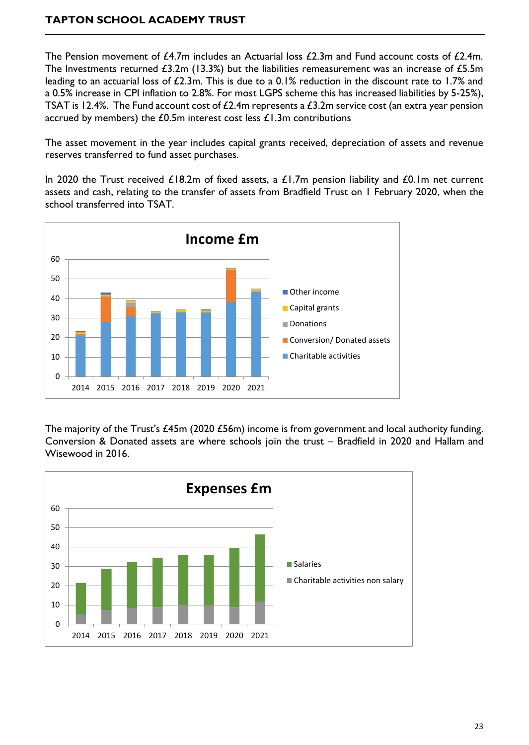The Pension movement of  $f_1/4$ .7m includes an Actuarial loss  $f_2/3$ m and Fund account costs of  $f_1/4$ m. The Investments returned £3.2m (13.3%) but the liabilities remeasurement was an increase of £5.5m leading to an actuarial loss of £2.3m. This is due to a 0.1% reduction in the discount rate to 1.7% and a 0.5% increase in CPI inflation to 2.8%. For most LGPS scheme this has increased liabilities by 5-25%), TSAT is 12.4%. The Fund account cost of £2.4m represents a £3.2m service cost (an extra year pension accrued by members) the  $£0.5m$  interest cost less  $£1.3m$  contributions

The asset movement in the year includes capital grants received, depreciation of assets and revenue reserves transferred to fund asset purchases.

In 2020 the Trust received  $£18.2m$  of fixed assets, a  $£1.7m$  pension liability and  $£0.1m$  net current assets and cash, relating to the transfer of assets from Bradfield Trust on 1 February 2020, when the school transferred into TSAT.



The majority of the Trust's £45m (2020 £56m) income is from government and local authority funding. Conversion & Donated assets are where schools join the trust – Bradfield in 2020 and Hallam and Wisewood in 2016.

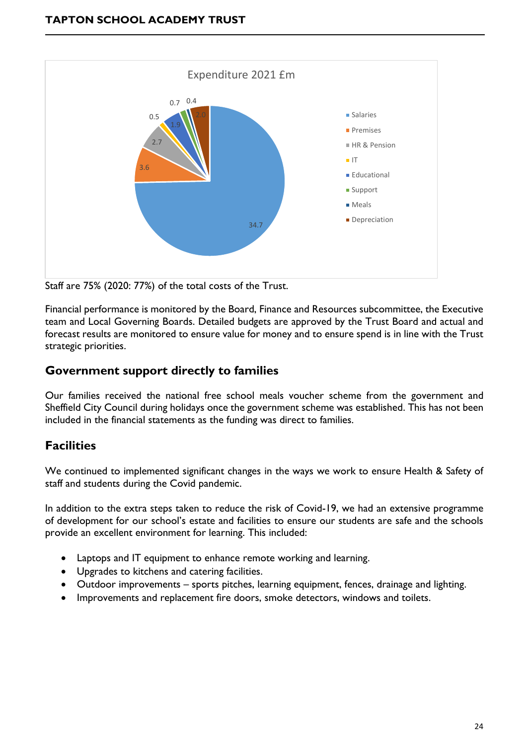

Staff are 75% (2020: 77%) of the total costs of the Trust.

Financial performance is monitored by the Board, Finance and Resources subcommittee, the Executive team and Local Governing Boards. Detailed budgets are approved by the Trust Board and actual and forecast results are monitored to ensure value for money and to ensure spend is in line with the Trust strategic priorities.

### **Government support directly to families**

Our families received the national free school meals voucher scheme from the government and Sheffield City Council during holidays once the government scheme was established. This has not been included in the financial statements as the funding was direct to families.

# **Facilities**

We continued to implemented significant changes in the ways we work to ensure Health & Safety of staff and students during the Covid pandemic.

In addition to the extra steps taken to reduce the risk of Covid-19, we had an extensive programme of development for our school's estate and facilities to ensure our students are safe and the schools provide an excellent environment for learning. This included:

- Laptops and IT equipment to enhance remote working and learning.
- Upgrades to kitchens and catering facilities.
- Outdoor improvements sports pitches, learning equipment, fences, drainage and lighting.
- Improvements and replacement fire doors, smoke detectors, windows and toilets.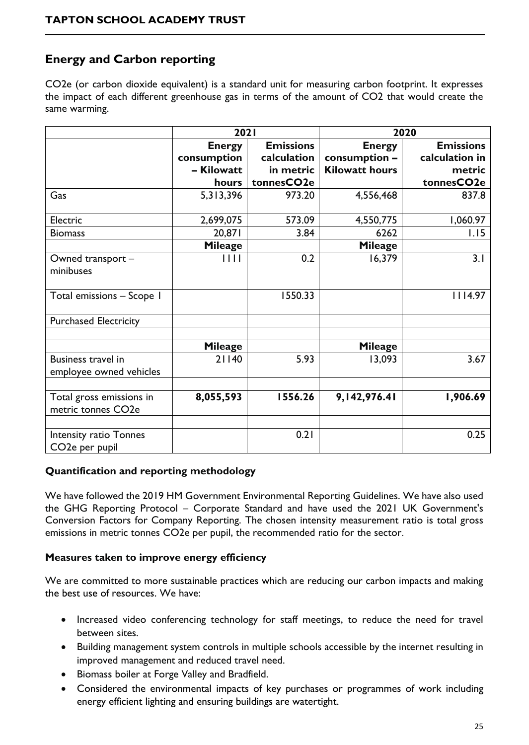# **Energy and Carbon reporting**

CO2e (or carbon dioxide equivalent) is a standard unit for measuring carbon footprint. It expresses the impact of each different greenhouse gas in terms of the amount of CO2 that would create the same warming.

|                                                       | <b>2021</b>    |                  | 2020                  |                  |  |
|-------------------------------------------------------|----------------|------------------|-----------------------|------------------|--|
|                                                       | <b>Energy</b>  | <b>Emissions</b> | <b>Energy</b>         | <b>Emissions</b> |  |
|                                                       | consumption    | calculation      | consumption -         | calculation in   |  |
|                                                       | - Kilowatt     | in metric        | <b>Kilowatt hours</b> | metric           |  |
|                                                       | hours          | tonnesCO2e       |                       | tonnesCO2e       |  |
| Gas                                                   | 5,313,396      | 973.20           | 4,556,468             | 837.8            |  |
| Electric                                              | 2,699,075      | 573.09           | 4,550,775             | 1,060.97         |  |
| <b>Biomass</b>                                        | 20,871         | 3.84             | 6262                  | 1.15             |  |
|                                                       | <b>Mileage</b> |                  | <b>Mileage</b>        |                  |  |
| Owned transport -                                     | 1111           | 0.2              | 16,379                | 3.1              |  |
| minibuses                                             |                |                  |                       |                  |  |
| Total emissions - Scope 1                             |                | 1550.33          |                       | 4.97             |  |
| <b>Purchased Electricity</b>                          |                |                  |                       |                  |  |
|                                                       | <b>Mileage</b> |                  | <b>Mileage</b>        |                  |  |
| Business travel in<br>employee owned vehicles         | 21140          | 5.93             | 13,093                | 3.67             |  |
| Total gross emissions in<br>metric tonnes CO2e        | 8,055,593      | 1556.26          | 9,142,976.41          | 1,906.69         |  |
| Intensity ratio Tonnes<br>CO <sub>2</sub> e per pupil |                | 0.21             |                       | 0.25             |  |

#### **Quantification and reporting methodology**

We have followed the 2019 HM Government Environmental Reporting Guidelines. We have also used the GHG Reporting Protocol – Corporate Standard and have used the 2021 UK Government's Conversion Factors for Company Reporting. The chosen intensity measurement ratio is total gross emissions in metric tonnes CO2e per pupil, the recommended ratio for the sector.

#### **Measures taken to improve energy efficiency**

We are committed to more sustainable practices which are reducing our carbon impacts and making the best use of resources. We have:

- Increased video conferencing technology for staff meetings, to reduce the need for travel between sites.
- Building management system controls in multiple schools accessible by the internet resulting in improved management and reduced travel need.
- Biomass boiler at Forge Valley and Bradfield.
- Considered the environmental impacts of key purchases or programmes of work including energy efficient lighting and ensuring buildings are watertight.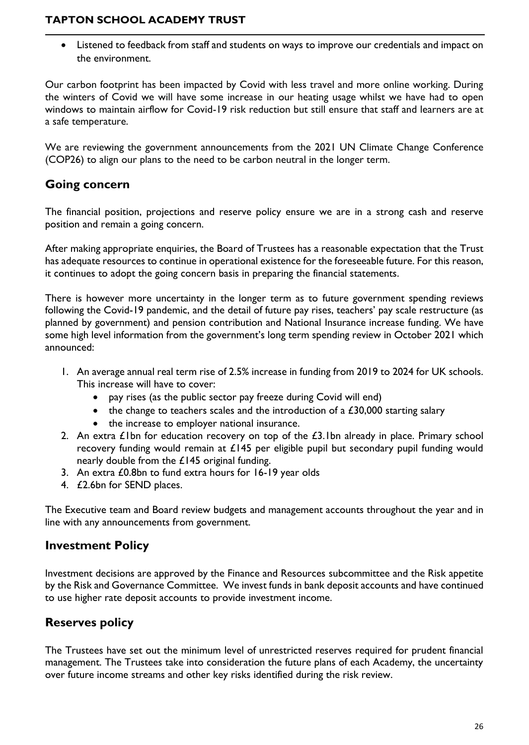• Listened to feedback from staff and students on ways to improve our credentials and impact on the environment.

Our carbon footprint has been impacted by Covid with less travel and more online working. During the winters of Covid we will have some increase in our heating usage whilst we have had to open windows to maintain airflow for Covid-19 risk reduction but still ensure that staff and learners are at a safe temperature.

We are reviewing the government announcements from the 2021 UN Climate Change Conference (COP26) to align our plans to the need to be carbon neutral in the longer term.

# **Going concern**

The financial position, projections and reserve policy ensure we are in a strong cash and reserve position and remain a going concern.

After making appropriate enquiries, the Board of Trustees has a reasonable expectation that the Trust has adequate resources to continue in operational existence for the foreseeable future. For this reason, it continues to adopt the going concern basis in preparing the financial statements.

There is however more uncertainty in the longer term as to future government spending reviews following the Covid-19 pandemic, and the detail of future pay rises, teachers' pay scale restructure (as planned by government) and pension contribution and National Insurance increase funding. We have some high level information from the government's long term spending review in October 2021 which announced:

- 1. An average annual real term rise of 2.5% increase in funding from 2019 to 2024 for UK schools. This increase will have to cover:
	- pay rises (as the public sector pay freeze during Covid will end)
	- the change to teachers scales and the introduction of a  $£30,000$  starting salary
	- the increase to employer national insurance.
- 2. An extra  $E1$ bn for education recovery on top of the  $E3$ . Ibn already in place. Primary school recovery funding would remain at £145 per eligible pupil but secondary pupil funding would nearly double from the £145 original funding.
- 3. An extra £0.8bn to fund extra hours for 16-19 year olds
- 4. £2.6bn for SEND places.

The Executive team and Board review budgets and management accounts throughout the year and in line with any announcements from government.

# **Investment Policy**

Investment decisions are approved by the Finance and Resources subcommittee and the Risk appetite by the Risk and Governance Committee. We invest funds in bank deposit accounts and have continued to use higher rate deposit accounts to provide investment income.

# **Reserves policy**

The Trustees have set out the minimum level of unrestricted reserves required for prudent financial management. The Trustees take into consideration the future plans of each Academy, the uncertainty over future income streams and other key risks identified during the risk review.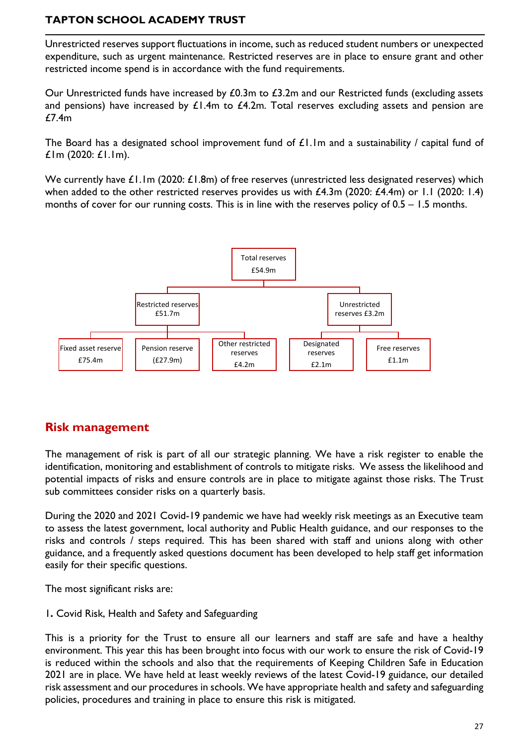Unrestricted reserves support fluctuations in income, such as reduced student numbers or unexpected expenditure, such as urgent maintenance. Restricted reserves are in place to ensure grant and other restricted income spend is in accordance with the fund requirements.

Our Unrestricted funds have increased by  $£0.3m$  to  $£3.2m$  and our Restricted funds (excluding assets and pensions) have increased by  $\mathcal{L}1.4m$  to  $\mathcal{L}4.2m$ . Total reserves excluding assets and pension are £7.4m

The Board has a designated school improvement fund of  $\pounds 1.1$ m and a sustainability / capital fund of £1m (2020: £1.1m).

We currently have  $£1.1m$  (2020:  $£1.8m$ ) of free reserves (unrestricted less designated reserves) which when added to the other restricted reserves provides us with £4.3m (2020: £4.4m) or 1.1 (2020: 1.4) months of cover for our running costs. This is in line with the reserves policy of  $0.5 - 1.5$  months.



# **Risk management**

The management of risk is part of all our strategic planning. We have a risk register to enable the identification, monitoring and establishment of controls to mitigate risks. We assess the likelihood and potential impacts of risks and ensure controls are in place to mitigate against those risks. The Trust sub committees consider risks on a quarterly basis.

During the 2020 and 2021 Covid-19 pandemic we have had weekly risk meetings as an Executive team to assess the latest government, local authority and Public Health guidance, and our responses to the risks and controls / steps required. This has been shared with staff and unions along with other guidance, and a frequently asked questions document has been developed to help staff get information easily for their specific questions.

The most significant risks are:

1**.** Covid Risk, Health and Safety and Safeguarding

This is a priority for the Trust to ensure all our learners and staff are safe and have a healthy environment. This year this has been brought into focus with our work to ensure the risk of Covid-19 is reduced within the schools and also that the requirements of Keeping Children Safe in Education 2021 are in place. We have held at least weekly reviews of the latest Covid-19 guidance, our detailed risk assessment and our procedures in schools. We have appropriate health and safety and safeguarding policies, procedures and training in place to ensure this risk is mitigated.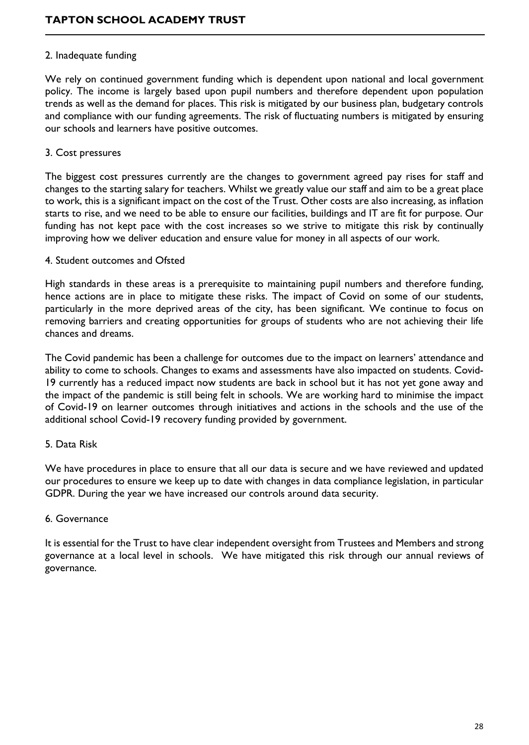#### 2. Inadequate funding

We rely on continued government funding which is dependent upon national and local government policy. The income is largely based upon pupil numbers and therefore dependent upon population trends as well as the demand for places. This risk is mitigated by our business plan, budgetary controls and compliance with our funding agreements. The risk of fluctuating numbers is mitigated by ensuring our schools and learners have positive outcomes.

#### 3. Cost pressures

The biggest cost pressures currently are the changes to government agreed pay rises for staff and changes to the starting salary for teachers. Whilst we greatly value our staff and aim to be a great place to work, this is a significant impact on the cost of the Trust. Other costs are also increasing, as inflation starts to rise, and we need to be able to ensure our facilities, buildings and IT are fit for purpose. Our funding has not kept pace with the cost increases so we strive to mitigate this risk by continually improving how we deliver education and ensure value for money in all aspects of our work.

#### 4. Student outcomes and Ofsted

High standards in these areas is a prerequisite to maintaining pupil numbers and therefore funding, hence actions are in place to mitigate these risks. The impact of Covid on some of our students, particularly in the more deprived areas of the city, has been significant. We continue to focus on removing barriers and creating opportunities for groups of students who are not achieving their life chances and dreams.

The Covid pandemic has been a challenge for outcomes due to the impact on learners' attendance and ability to come to schools. Changes to exams and assessments have also impacted on students. Covid-19 currently has a reduced impact now students are back in school but it has not yet gone away and the impact of the pandemic is still being felt in schools. We are working hard to minimise the impact of Covid-19 on learner outcomes through initiatives and actions in the schools and the use of the additional school Covid-19 recovery funding provided by government.

#### 5. Data Risk

We have procedures in place to ensure that all our data is secure and we have reviewed and updated our procedures to ensure we keep up to date with changes in data compliance legislation, in particular GDPR. During the year we have increased our controls around data security.

#### 6. Governance

It is essential for the Trust to have clear independent oversight from Trustees and Members and strong governance at a local level in schools. We have mitigated this risk through our annual reviews of governance.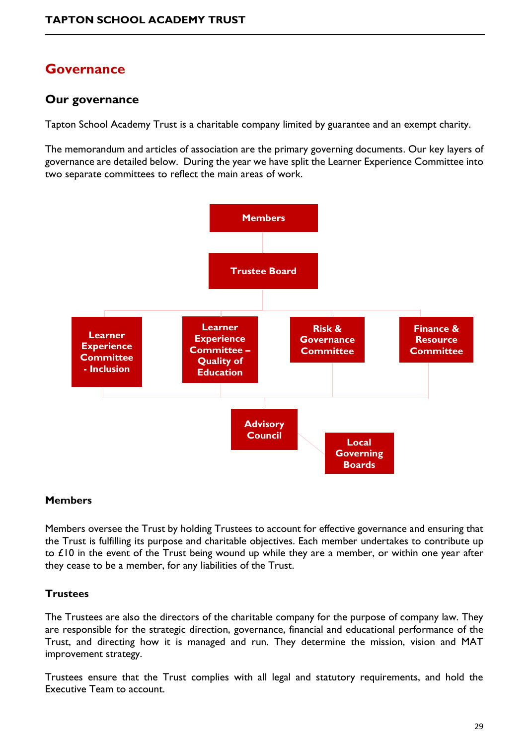# **Governance**

# **Our governance**

Tapton School Academy Trust is a charitable company limited by guarantee and an exempt charity.

The memorandum and articles of association are the primary governing documents. Our key layers of governance are detailed below. During the year we have split the Learner Experience Committee into two separate committees to reflect the main areas of work.



#### **Members**

Members oversee the Trust by holding Trustees to account for effective governance and ensuring that the Trust is fulfilling its purpose and charitable objectives. Each member undertakes to contribute up to £10 in the event of the Trust being wound up while they are a member, or within one year after they cease to be a member, for any liabilities of the Trust.

### **Trustees**

The Trustees are also the directors of the charitable company for the purpose of company law. They are responsible for the strategic direction, governance, financial and educational performance of the Trust, and directing how it is managed and run. They determine the mission, vision and MAT improvement strategy.

Trustees ensure that the Trust complies with all legal and statutory requirements, and hold the Executive Team to account.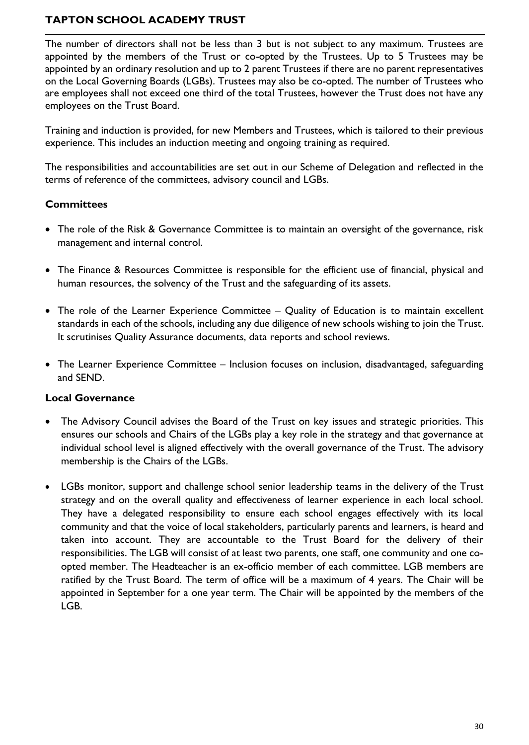The number of directors shall not be less than 3 but is not subject to any maximum. Trustees are appointed by the members of the Trust or co-opted by the Trustees. Up to 5 Trustees may be appointed by an ordinary resolution and up to 2 parent Trustees if there are no parent representatives on the Local Governing Boards (LGBs). Trustees may also be co-opted. The number of Trustees who are employees shall not exceed one third of the total Trustees, however the Trust does not have any employees on the Trust Board.

Training and induction is provided, for new Members and Trustees, which is tailored to their previous experience. This includes an induction meeting and ongoing training as required.

The responsibilities and accountabilities are set out in our Scheme of Delegation and reflected in the terms of reference of the committees, advisory council and LGBs.

### **Committees**

- The role of the Risk & Governance Committee is to maintain an oversight of the governance, risk management and internal control.
- The Finance & Resources Committee is responsible for the efficient use of financial, physical and human resources, the solvency of the Trust and the safeguarding of its assets.
- The role of the Learner Experience Committee Quality of Education is to maintain excellent standards in each of the schools, including any due diligence of new schools wishing to join the Trust. It scrutinises Quality Assurance documents, data reports and school reviews.
- The Learner Experience Committee Inclusion focuses on inclusion, disadvantaged, safeguarding and SEND.

#### **Local Governance**

- The Advisory Council advises the Board of the Trust on key issues and strategic priorities. This ensures our schools and Chairs of the LGBs play a key role in the strategy and that governance at individual school level is aligned effectively with the overall governance of the Trust. The advisory membership is the Chairs of the LGBs.
- LGBs monitor, support and challenge school senior leadership teams in the delivery of the Trust strategy and on the overall quality and effectiveness of learner experience in each local school. They have a delegated responsibility to ensure each school engages effectively with its local community and that the voice of local stakeholders, particularly parents and learners, is heard and taken into account. They are accountable to the Trust Board for the delivery of their responsibilities. The LGB will consist of at least two parents, one staff, one community and one coopted member. The Headteacher is an ex-officio member of each committee. LGB members are ratified by the Trust Board. The term of office will be a maximum of 4 years. The Chair will be appointed in September for a one year term. The Chair will be appointed by the members of the LGB.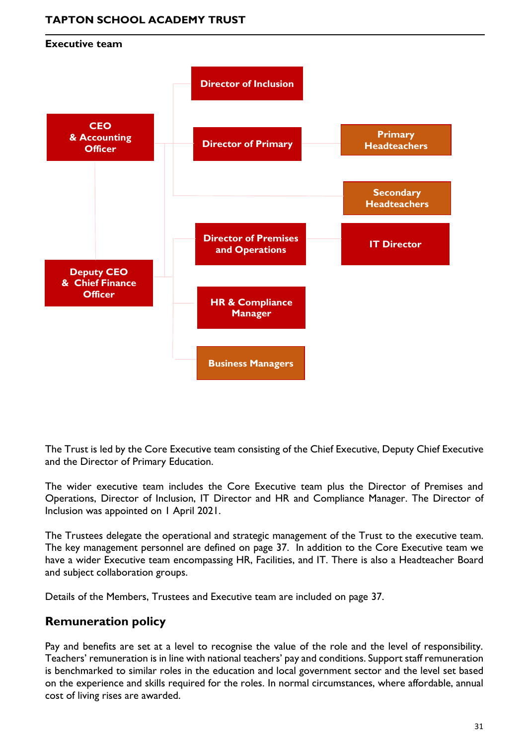

The Trust is led by the Core Executive team consisting of the Chief Executive, Deputy Chief Executive and the Director of Primary Education.

The wider executive team includes the Core Executive team plus the Director of Premises and Operations, Director of Inclusion, IT Director and HR and Compliance Manager. The Director of Inclusion was appointed on 1 April 2021.

The Trustees delegate the operational and strategic management of the Trust to the executive team. The key management personnel are defined on page 37. In addition to the Core Executive team we have a wider Executive team encompassing HR, Facilities, and IT. There is also a Headteacher Board and subject collaboration groups.

Details of the Members, Trustees and Executive team are included on page 37.

# **Remuneration policy**

Pay and benefits are set at a level to recognise the value of the role and the level of responsibility. Teachers' remuneration is in line with national teachers' pay and conditions. Support staff remuneration is benchmarked to similar roles in the education and local government sector and the level set based on the experience and skills required for the roles. In normal circumstances, where affordable, annual cost of living rises are awarded.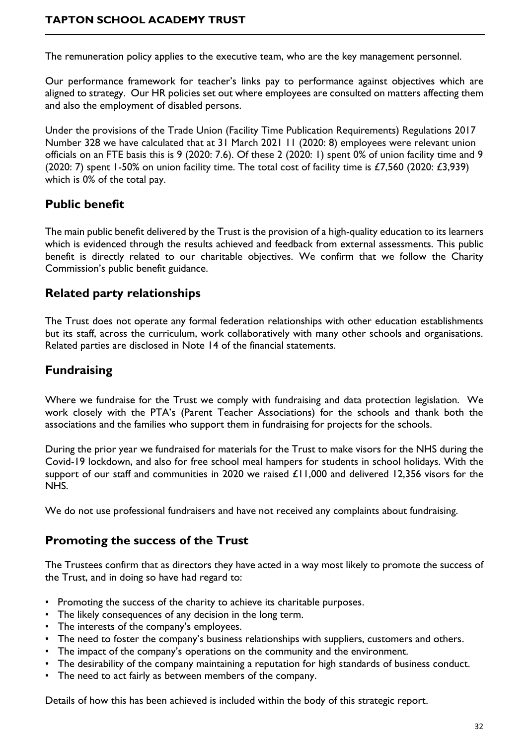The remuneration policy applies to the executive team, who are the key management personnel.

Our performance framework for teacher's links pay to performance against objectives which are aligned to strategy. Our HR policies set out where employees are consulted on matters affecting them and also the employment of disabled persons.

Under the provisions of the Trade Union (Facility Time Publication Requirements) Regulations 2017 Number 328 we have calculated that at 31 March 2021 11 (2020: 8) employees were relevant union officials on an FTE basis this is 9 (2020: 7.6). Of these 2 (2020: 1) spent 0% of union facility time and 9 (2020: 7) spent 1-50% on union facility time. The total cost of facility time is  $\text{\textsterling}7,560$  (2020:  $\text{\textsterling}3,939$ ) which is 0% of the total pay.

# **Public benefit**

The main public benefit delivered by the Trust is the provision of a high-quality education to its learners which is evidenced through the results achieved and feedback from external assessments. This public benefit is directly related to our charitable objectives. We confirm that we follow the Charity Commission's public benefit guidance.

## **Related party relationships**

The Trust does not operate any formal federation relationships with other education establishments but its staff, across the curriculum, work collaboratively with many other schools and organisations. Related parties are disclosed in Note 14 of the financial statements.

# **Fundraising**

Where we fundraise for the Trust we comply with fundraising and data protection legislation. We work closely with the PTA's (Parent Teacher Associations) for the schools and thank both the associations and the families who support them in fundraising for projects for the schools.

During the prior year we fundraised for materials for the Trust to make visors for the NHS during the Covid-19 lockdown, and also for free school meal hampers for students in school holidays. With the support of our staff and communities in 2020 we raised £11,000 and delivered 12,356 visors for the NHS.

We do not use professional fundraisers and have not received any complaints about fundraising.

# **Promoting the success of the Trust**

The Trustees confirm that as directors they have acted in a way most likely to promote the success of the Trust, and in doing so have had regard to:

- Promoting the success of the charity to achieve its charitable purposes.
- The likely consequences of any decision in the long term.
- The interests of the company's employees.
- The need to foster the company's business relationships with suppliers, customers and others.
- The impact of the company's operations on the community and the environment.
- The desirability of the company maintaining a reputation for high standards of business conduct.
- The need to act fairly as between members of the company.

Details of how this has been achieved is included within the body of this strategic report.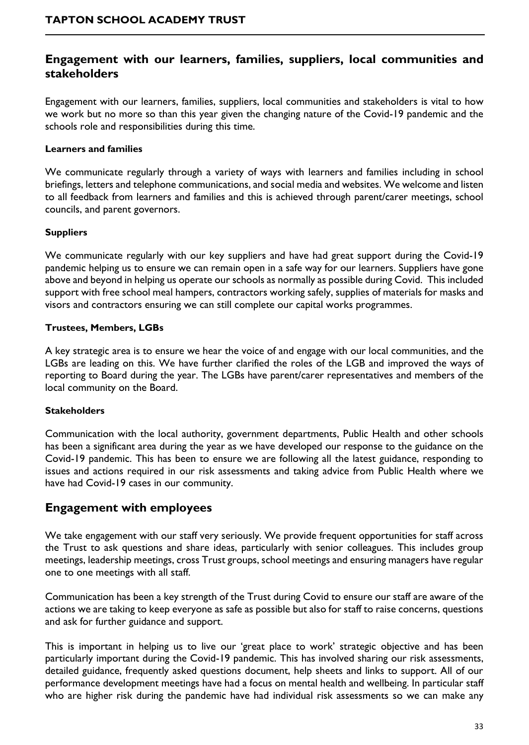## **Engagement with our learners, families, suppliers, local communities and stakeholders**

Engagement with our learners, families, suppliers, local communities and stakeholders is vital to how we work but no more so than this year given the changing nature of the Covid-19 pandemic and the schools role and responsibilities during this time.

#### **Learners and families**

We communicate regularly through a variety of ways with learners and families including in school briefings, letters and telephone communications, and social media and websites. We welcome and listen to all feedback from learners and families and this is achieved through parent/carer meetings, school councils, and parent governors.

#### **Suppliers**

We communicate regularly with our key suppliers and have had great support during the Covid-19 pandemic helping us to ensure we can remain open in a safe way for our learners. Suppliers have gone above and beyond in helping us operate our schools as normally as possible during Covid. This included support with free school meal hampers, contractors working safely, supplies of materials for masks and visors and contractors ensuring we can still complete our capital works programmes.

#### **Trustees, Members, LGBs**

A key strategic area is to ensure we hear the voice of and engage with our local communities, and the LGBs are leading on this. We have further clarified the roles of the LGB and improved the ways of reporting to Board during the year. The LGBs have parent/carer representatives and members of the local community on the Board.

#### **Stakeholders**

Communication with the local authority, government departments, Public Health and other schools has been a significant area during the year as we have developed our response to the guidance on the Covid-19 pandemic. This has been to ensure we are following all the latest guidance, responding to issues and actions required in our risk assessments and taking advice from Public Health where we have had Covid-19 cases in our community.

### **Engagement with employees**

We take engagement with our staff very seriously. We provide frequent opportunities for staff across the Trust to ask questions and share ideas, particularly with senior colleagues. This includes group meetings, leadership meetings, cross Trust groups, school meetings and ensuring managers have regular one to one meetings with all staff.

Communication has been a key strength of the Trust during Covid to ensure our staff are aware of the actions we are taking to keep everyone as safe as possible but also for staff to raise concerns, questions and ask for further guidance and support.

This is important in helping us to live our 'great place to work' strategic objective and has been particularly important during the Covid-19 pandemic. This has involved sharing our risk assessments, detailed guidance, frequently asked questions document, help sheets and links to support. All of our performance development meetings have had a focus on mental health and wellbeing. In particular staff who are higher risk during the pandemic have had individual risk assessments so we can make any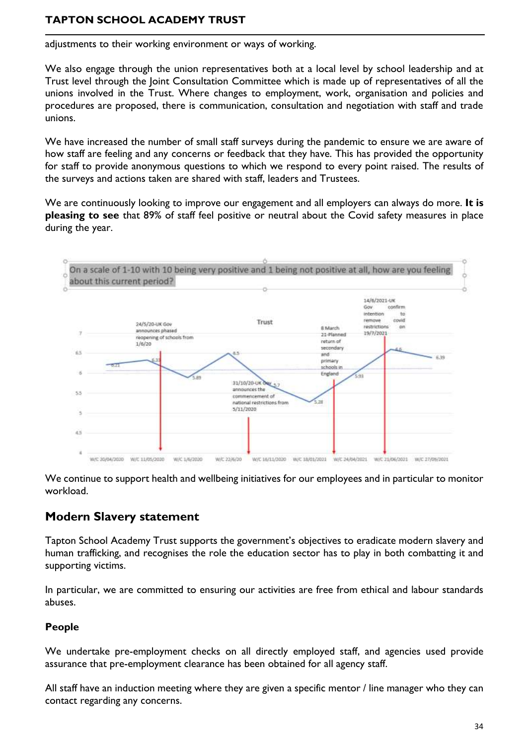adjustments to their working environment or ways of working.

We also engage through the union representatives both at a local level by school leadership and at Trust level through the Joint Consultation Committee which is made up of representatives of all the unions involved in the Trust. Where changes to employment, work, organisation and policies and procedures are proposed, there is communication, consultation and negotiation with staff and trade unions.

We have increased the number of small staff surveys during the pandemic to ensure we are aware of how staff are feeling and any concerns or feedback that they have. This has provided the opportunity for staff to provide anonymous questions to which we respond to every point raised. The results of the surveys and actions taken are shared with staff, leaders and Trustees.

We are continuously looking to improve our engagement and all employers can always do more. **It is pleasing to see** that 89% of staff feel positive or neutral about the Covid safety measures in place during the year.



We continue to support health and wellbeing initiatives for our employees and in particular to monitor workload.

# **Modern Slavery statement**

Tapton School Academy Trust supports the government's objectives to eradicate modern slavery and human trafficking, and recognises the role the education sector has to play in both combatting it and supporting victims.

In particular, we are committed to ensuring our activities are free from ethical and labour standards abuses.

### **People**

We undertake pre-employment checks on all directly employed staff, and agencies used provide assurance that pre-employment clearance has been obtained for all agency staff.

All staff have an induction meeting where they are given a specific mentor / line manager who they can contact regarding any concerns.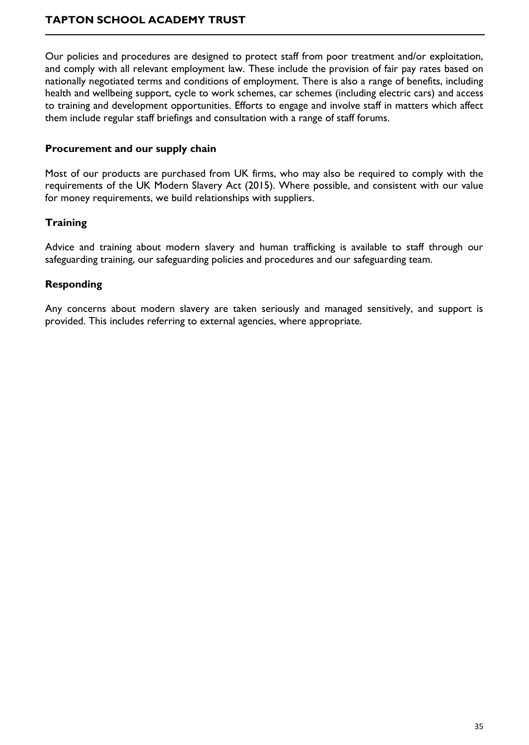Our policies and procedures are designed to protect staff from poor treatment and/or exploitation, and comply with all relevant employment law. These include the provision of fair pay rates based on nationally negotiated terms and conditions of employment. There is also a range of benefits, including health and wellbeing support, cycle to work schemes, car schemes (including electric cars) and access to training and development opportunities. Efforts to engage and involve staff in matters which affect them include regular staff briefings and consultation with a range of staff forums.

### **Procurement and our supply chain**

Most of our products are purchased from UK firms, who may also be required to comply with the requirements of the UK Modern Slavery Act (2015). Where possible, and consistent with our value for money requirements, we build relationships with suppliers.

### **Training**

Advice and training about modern slavery and human trafficking is available to staff through our safeguarding training, our safeguarding policies and procedures and our safeguarding team.

### **Responding**

Any concerns about modern slavery are taken seriously and managed sensitively, and support is provided. This includes referring to external agencies, where appropriate.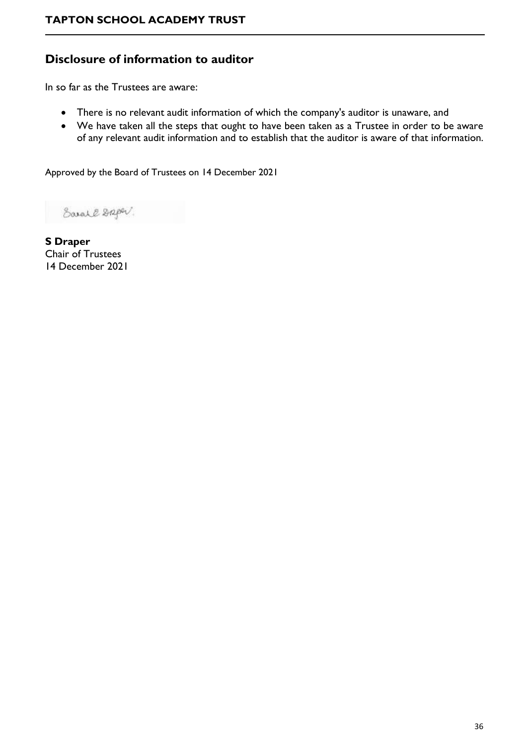# **Disclosure of information to auditor**

In so far as the Trustees are aware:

- There is no relevant audit information of which the company's auditor is unaware, and
- We have taken all the steps that ought to have been taken as a Trustee in order to be aware of any relevant audit information and to establish that the auditor is aware of that information.

Approved by the Board of Trustees on 14 December 2021

Earal & Spor.

**S Draper** Chair of Trustees 14 December 2021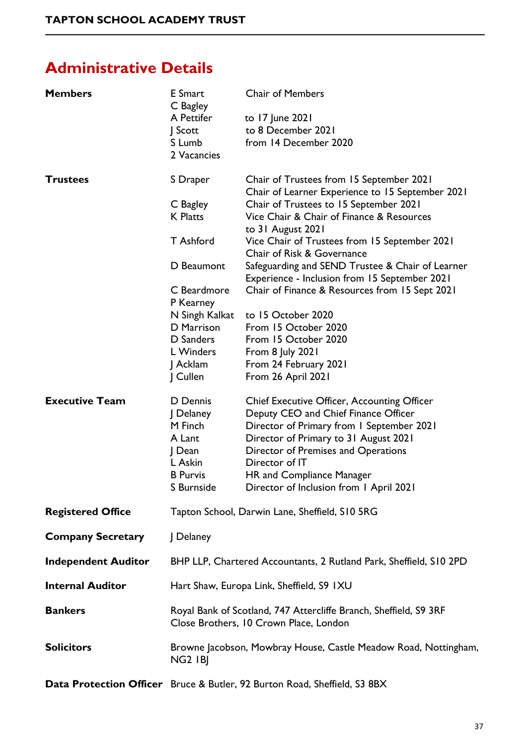# <span id="page-36-0"></span>**Administrative Details**

| <b>Members</b>             | E Smart<br>C Bagley<br>A Pettifer<br>$\int$ Scott<br>S Lumb<br>2 Vacancies                                                                                                       | <b>Chair of Members</b><br>to 17 June 2021<br>to 8 December 2021<br>from 14 December 2020                                                                                                                                                                                                                                                                                                                                                                                                                                                                                               |
|----------------------------|----------------------------------------------------------------------------------------------------------------------------------------------------------------------------------|-----------------------------------------------------------------------------------------------------------------------------------------------------------------------------------------------------------------------------------------------------------------------------------------------------------------------------------------------------------------------------------------------------------------------------------------------------------------------------------------------------------------------------------------------------------------------------------------|
| <b>Trustees</b>            | S Draper<br>C Bagley<br><b>K</b> Platts<br>T Ashford<br>D Beaumont<br>C Beardmore<br>P Kearney<br>N Singh Kalkat<br>D Marrison<br>D Sanders<br>L Winders<br>J Acklam<br>  Cullen | Chair of Trustees from 15 September 2021<br>Chair of Learner Experience to 15 September 2021<br>Chair of Trustees to 15 September 2021<br>Vice Chair & Chair of Finance & Resources<br>to 31 August 2021<br>Vice Chair of Trustees from 15 September 2021<br>Chair of Risk & Governance<br>Safeguarding and SEND Trustee & Chair of Learner<br>Experience - Inclusion from 15 September 2021<br>Chair of Finance & Resources from 15 Sept 2021<br>to 15 October 2020<br>From 15 October 2020<br>From 15 October 2020<br>From 8 July 2021<br>From 24 February 2021<br>From 26 April 2021 |
| <b>Executive Team</b>      | D Dennis<br>  Delaney<br>M Finch<br>A Lant<br>  Dean<br>L Askin<br><b>B</b> Purvis<br>S Burnside                                                                                 | <b>Chief Executive Officer, Accounting Officer</b><br>Deputy CEO and Chief Finance Officer<br>Director of Primary from 1 September 2021<br>Director of Primary to 31 August 2021<br>Director of Premises and Operations<br>Director of IT<br>HR and Compliance Manager<br>Director of Inclusion from 1 April 2021                                                                                                                                                                                                                                                                       |
| <b>Registered Office</b>   |                                                                                                                                                                                  | Tapton School, Darwin Lane, Sheffield, S10 5RG                                                                                                                                                                                                                                                                                                                                                                                                                                                                                                                                          |
| <b>Company Secretary</b>   | Delaney                                                                                                                                                                          |                                                                                                                                                                                                                                                                                                                                                                                                                                                                                                                                                                                         |
| <b>Independent Auditor</b> |                                                                                                                                                                                  | BHP LLP, Chartered Accountants, 2 Rutland Park, Sheffield, S10 2PD                                                                                                                                                                                                                                                                                                                                                                                                                                                                                                                      |
| <b>Internal Auditor</b>    |                                                                                                                                                                                  | Hart Shaw, Europa Link, Sheffield, S9 IXU                                                                                                                                                                                                                                                                                                                                                                                                                                                                                                                                               |
| <b>Bankers</b>             |                                                                                                                                                                                  | Royal Bank of Scotland, 747 Attercliffe Branch, Sheffield, S9 3RF<br>Close Brothers, 10 Crown Place, London                                                                                                                                                                                                                                                                                                                                                                                                                                                                             |
| <b>Solicitors</b>          | NG <sub>2</sub> IBJ                                                                                                                                                              | Browne Jacobson, Mowbray House, Castle Meadow Road, Nottingham,                                                                                                                                                                                                                                                                                                                                                                                                                                                                                                                         |
|                            |                                                                                                                                                                                  |                                                                                                                                                                                                                                                                                                                                                                                                                                                                                                                                                                                         |

**Data Protection Officer** Bruce & Butler, 92 Burton Road, Sheffield, S3 8BX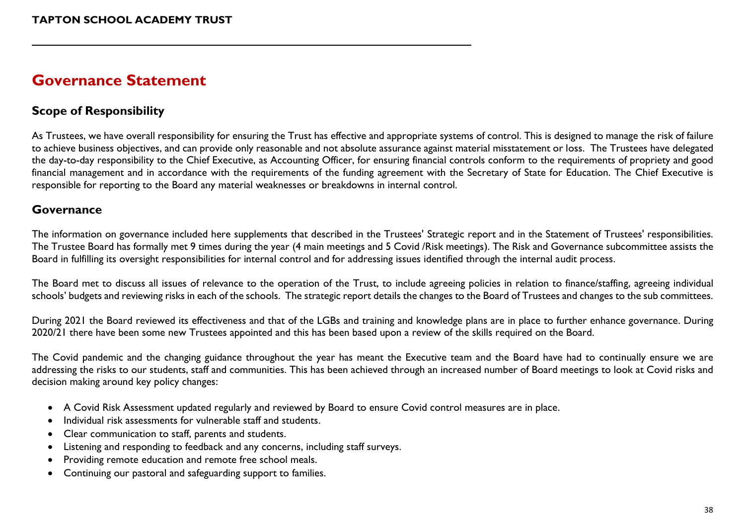# **Governance Statement**

# **Scope of Responsibility**

As Trustees, we have overall responsibility for ensuring the Trust has effective and appropriate systems of control. This is designed to manage the risk of failure to achieve business objectives, and can provide only reasonable and not absolute assurance against material misstatement or loss. The Trustees have delegated the day-to-day responsibility to the Chief Executive, as Accounting Officer, for ensuring financial controls conform to the requirements of propriety and good financial management and in accordance with the requirements of the funding agreement with the Secretary of State for Education. The Chief Executive is responsible for reporting to the Board any material weaknesses or breakdowns in internal control.

## **Governance**

The information on governance included here supplements that described in the Trustees' Strategic report and in the Statement of Trustees' responsibilities. The Trustee Board has formally met 9 times during the year (4 main meetings and 5 Covid /Risk meetings). The Risk and Governance subcommittee assists the Board in fulfilling its oversight responsibilities for internal control and for addressing issues identified through the internal audit process.

<span id="page-37-0"></span>The Board met to discuss all issues of relevance to the operation of the Trust, to include agreeing policies in relation to finance/staffing, agreeing individual schools' budgets and reviewing risks in each of the schools. The strategic report details the changes to the Board of Trustees and changes to the sub committees.

During 2021 the Board reviewed its effectiveness and that of the LGBs and training and knowledge plans are in place to further enhance governance. During 2020/21 there have been some new Trustees appointed and this has been based upon a review of the skills required on the Board.

The Covid pandemic and the changing guidance throughout the year has meant the Executive team and the Board have had to continually ensure we are addressing the risks to our students, staff and communities. This has been achieved through an increased number of Board meetings to look at Covid risks and decision making around key policy changes:

- A Covid Risk Assessment updated regularly and reviewed by Board to ensure Covid control measures are in place.
- Individual risk assessments for vulnerable staff and students.
- Clear communication to staff, parents and students.
- Listening and responding to feedback and any concerns, including staff surveys.
- Providing remote education and remote free school meals.
- Continuing our pastoral and safeguarding support to families.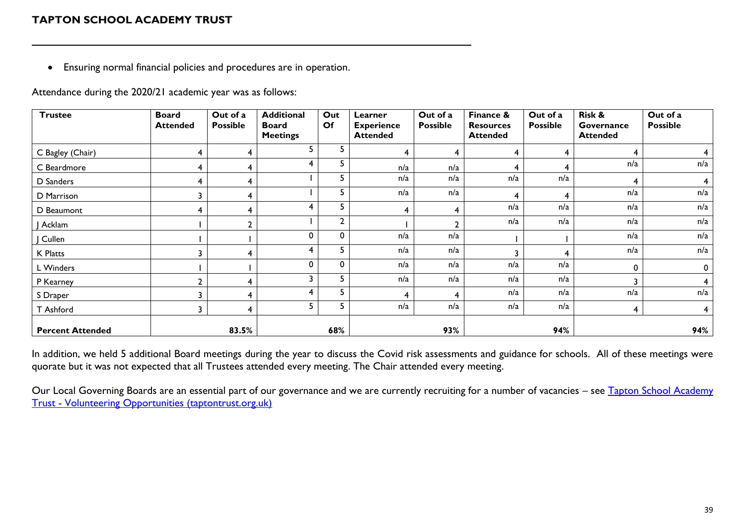• Ensuring normal financial policies and procedures are in operation.

Attendance during the 2020/21 academic year was as follows:

| <b>Trustee</b>          | <b>Board</b><br><b>Attended</b> | Out of a<br><b>Possible</b> | <b>Additional</b><br><b>Board</b><br><b>Meetings</b> | Out<br>Of    | Learner<br><b>Experience</b><br><b>Attended</b> | Out of a<br><b>Possible</b> | Finance &<br><b>Resources</b><br><b>Attended</b> | Out of a<br><b>Possible</b> | Risk &<br>Governance<br><b>Attended</b> | Out of a<br><b>Possible</b> |
|-------------------------|---------------------------------|-----------------------------|------------------------------------------------------|--------------|-------------------------------------------------|-----------------------------|--------------------------------------------------|-----------------------------|-----------------------------------------|-----------------------------|
| C Bagley (Chair)        | 4                               |                             | 5                                                    | 5.           |                                                 | 4                           | 4                                                | 4                           | 4                                       | 4                           |
| C Beardmore             | 4                               |                             | 4                                                    | 5            | n/a                                             | n/a                         | 4                                                | 4                           | n/a                                     | n/a                         |
| D Sanders               | 4                               | 4                           |                                                      | 5.           | n/a                                             | n/a                         | n/a                                              | n/a                         | 4                                       | $\overline{\mathbf{4}}$     |
| D Marrison              | 3                               |                             |                                                      | 5            | n/a                                             | n/a                         |                                                  |                             | n/a                                     | n/a                         |
| D Beaumont              | 4                               | 4                           | 4                                                    | 5            | 4                                               | 4                           | n/a                                              | n/a                         | n/a                                     | n/a                         |
| Acklam                  |                                 | ┑                           |                                                      | $\mathbf{2}$ |                                                 | ◠                           | n/a                                              | n/a                         | n/a                                     | n/a                         |
| Cullen                  |                                 |                             | 0                                                    | 0            | n/a                                             | n/a                         |                                                  |                             | n/a                                     | n/a                         |
| K Platts                |                                 |                             | 4                                                    | 5            | n/a                                             | n/a                         |                                                  |                             | n/a                                     | n/a                         |
| L Winders               |                                 |                             | $\mathbf{0}$                                         | 0            | n/a                                             | n/a                         | n/a                                              | n/a                         | $\mathbf 0$                             | $\mathbf 0$                 |
| P Kearney               | ำ                               |                             | 3                                                    | 5            | n/a                                             | n/a                         | n/a                                              | n/a                         | 3                                       | 4                           |
| S Draper                | ર                               |                             | 4                                                    | 5.           | 4                                               | 4                           | n/a                                              | n/a                         | n/a                                     | n/a                         |
| T Ashford               | 3                               | 4                           | 5                                                    | 5            | n/a                                             | n/a                         | n/a                                              | n/a                         | 4                                       | $\overline{4}$              |
| <b>Percent Attended</b> |                                 | 83.5%                       |                                                      | 68%          |                                                 | 93%                         |                                                  | 94%                         |                                         | 94%                         |

In addition, we held 5 additional Board meetings during the year to discuss the Covid risk assessments and guidance for schools. All of these meetings were quorate but it was not expected that all Trustees attended every meeting. The Chair attended every meeting.

Our Local Governing Boards are an essential part of our governance and we are currently recruiting for a number of vacancies - see Tapton School Academy Trust - [Volunteering Opportunities \(taptontrust.org.uk\)](https://www.taptontrust.org.uk/page/?title=Volunteering+Opportunities&pid=37)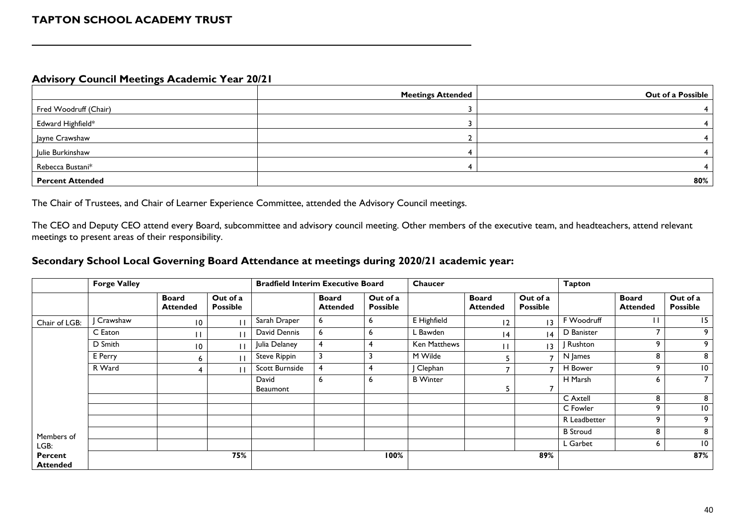#### **Advisory Council Meetings Academic Year 20/21**

|                         | <b>Meetings Attended</b> | Out of a Possible |
|-------------------------|--------------------------|-------------------|
| Fred Woodruff (Chair)   |                          |                   |
| Edward Highfield*       |                          |                   |
| Jayne Crawshaw          |                          |                   |
| Julie Burkinshaw        |                          |                   |
| Rebecca Bustani*        |                          |                   |
| <b>Percent Attended</b> |                          | 80%               |

The Chair of Trustees, and Chair of Learner Experience Committee, attended the Advisory Council meetings.

The CEO and Deputy CEO attend every Board, subcommittee and advisory council meeting. Other members of the executive team, and headteachers, attend relevant meetings to present areas of their responsibility.

#### **Secondary School Local Governing Board Attendance at meetings during 2020/21 academic year:**

|                            | <b>Forge Valley</b> |                                 |                             | <b>Bradfield Interim Executive Board</b> |                                 |                             | Chaucer         |                                 |                             | <b>Tapton</b>   |                                 |                             |
|----------------------------|---------------------|---------------------------------|-----------------------------|------------------------------------------|---------------------------------|-----------------------------|-----------------|---------------------------------|-----------------------------|-----------------|---------------------------------|-----------------------------|
|                            |                     | <b>Board</b><br><b>Attended</b> | Out of a<br><b>Possible</b> |                                          | <b>Board</b><br><b>Attended</b> | Out of a<br><b>Possible</b> |                 | <b>Board</b><br><b>Attended</b> | Out of a<br><b>Possible</b> |                 | <b>Board</b><br><b>Attended</b> | Out of a<br><b>Possible</b> |
| Chair of LGB:              | Crawshaw            | $\overline{10}$                 |                             | Sarah Draper                             | 6                               | 6                           | E Highfield     | $\overline{2}$                  | 3                           | F Woodruff      |                                 | 15                          |
|                            | C Eaton             |                                 |                             | David Dennis                             | 6                               | <sub>o</sub>                | L Bawden        | $\overline{14}$                 | 4                           | D Banister      |                                 | 9                           |
|                            | D Smith             | $\overline{10}$                 |                             | Julia Delaney                            | $\overline{4}$                  | 4                           | Ken Matthews    |                                 | $\overline{13}$             | Rushton         | ۹                               | 9                           |
|                            | E Perry             | 6                               |                             | Steve Rippin                             | 3                               |                             | M Wilde         | כ                               |                             | N James         | 8                               | 8                           |
|                            | R Ward              |                                 |                             | Scott Burnside                           |                                 |                             | J Clephan       |                                 |                             | H Bower         |                                 | $\overline{10}$             |
|                            |                     |                                 |                             | David<br>Beaumont                        | 6                               | <sub>o</sub>                | <b>B</b> Winter | כ                               |                             | H Marsh         | 6                               | $\overline{7}$              |
|                            |                     |                                 |                             |                                          |                                 |                             |                 |                                 |                             | C Axtell        | 8                               | 8                           |
|                            |                     |                                 |                             |                                          |                                 |                             |                 |                                 |                             | C Fowler        | ٥                               | $\overline{10}$             |
|                            |                     |                                 |                             |                                          |                                 |                             |                 |                                 |                             | R Leadbetter    | ٥                               | 9                           |
| Members of                 |                     |                                 |                             |                                          |                                 |                             |                 |                                 |                             | <b>B</b> Stroud | 8                               | 8                           |
| LGB:                       |                     |                                 |                             |                                          |                                 |                             |                 |                                 |                             | L Garbet        | ь                               | $\overline{10}$             |
| Percent<br><b>Attended</b> |                     |                                 | 75%                         |                                          |                                 | 100%                        |                 |                                 | 89%                         |                 |                                 | 87%                         |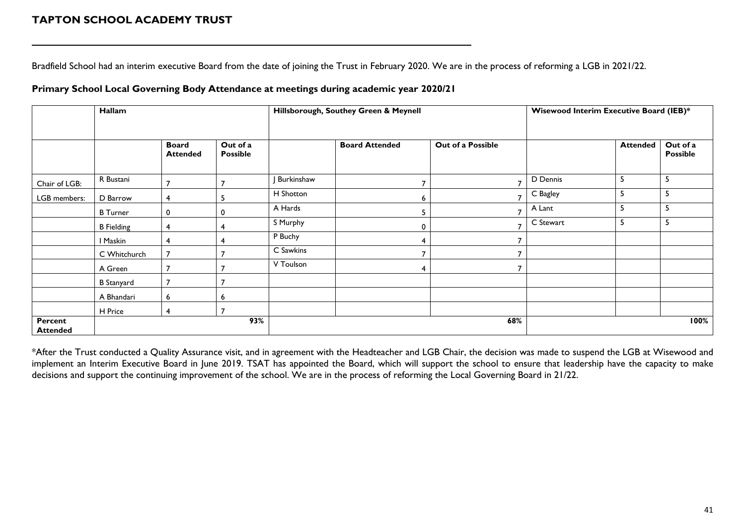Bradfield School had an interim executive Board from the date of joining the Trust in February 2020. We are in the process of reforming a LGB in 2021/22.

#### **Primary School Local Governing Body Attendance at meetings during academic year 2020/21**

|                            | Hallam            |                                 |                             |            | Hillsborough, Southey Green & Meynell | Wisewood Interim Executive Board (IEB)* |           |                 |                             |
|----------------------------|-------------------|---------------------------------|-----------------------------|------------|---------------------------------------|-----------------------------------------|-----------|-----------------|-----------------------------|
|                            |                   | <b>Board</b><br><b>Attended</b> | Out of a<br><b>Possible</b> |            | <b>Board Attended</b>                 | Out of a Possible                       |           | <b>Attended</b> | Out of a<br><b>Possible</b> |
| Chair of LGB:              | R Bustani         | 7                               |                             | Burkinshaw |                                       | 7                                       | D Dennis  | 5               | -5                          |
| LGB members:               | D Barrow          | 4                               | ь                           | H Shotton  |                                       |                                         | C Bagley  | 5               | 5                           |
|                            | <b>B</b> Turner   | 0                               | 0                           | A Hards    |                                       | 7                                       | A Lant    | 5               | د                           |
|                            | <b>B</b> Fielding | 4                               |                             | S Murphy   |                                       | $\mathbf{r}$                            | C Stewart | 5               | -5                          |
|                            | I Maskin          | 4                               |                             | P Buchy    |                                       | 7                                       |           |                 |                             |
|                            | C Whitchurch      |                                 |                             | C Sawkins  |                                       |                                         |           |                 |                             |
|                            | A Green           |                                 |                             | V Toulson  |                                       | 7                                       |           |                 |                             |
|                            | <b>B</b> Stanyard |                                 |                             |            |                                       |                                         |           |                 |                             |
|                            | A Bhandari        | 6                               | 6                           |            |                                       |                                         |           |                 |                             |
|                            | H Price           | 4                               |                             |            |                                       |                                         |           |                 |                             |
| Percent<br><b>Attended</b> |                   |                                 | 93%                         |            |                                       | 68%                                     |           |                 | 100%                        |

\*After the Trust conducted a Quality Assurance visit, and in agreement with the Headteacher and LGB Chair, the decision was made to suspend the LGB at Wisewood and implement an Interim Executive Board in June 2019. TSAT has appointed the Board, which will support the school to ensure that leadership have the capacity to make decisions and support the continuing improvement of the school. We are in the process of reforming the Local Governing Board in 21/22.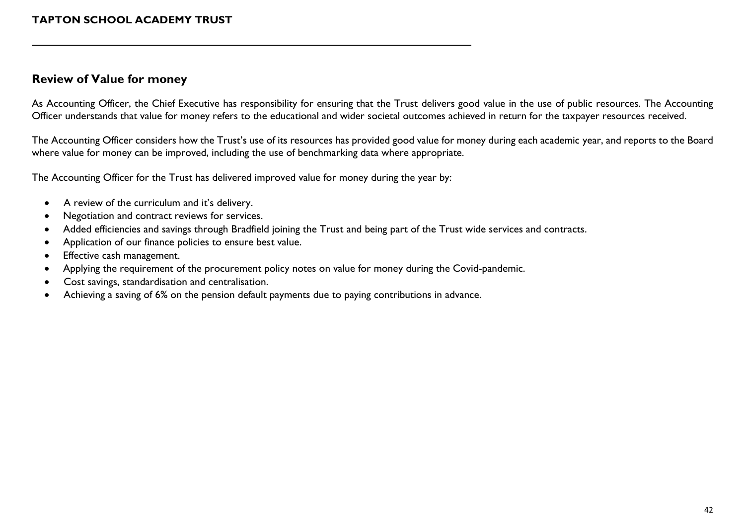### **Review of Value for money**

As Accounting Officer, the Chief Executive has responsibility for ensuring that the Trust delivers good value in the use of public resources. The Accounting Officer understands that value for money refers to the educational and wider societal outcomes achieved in return for the taxpayer resources received.

The Accounting Officer considers how the Trust's use of its resources has provided good value for money during each academic year, and reports to the Board where value for money can be improved, including the use of benchmarking data where appropriate.

The Accounting Officer for the Trust has delivered improved value for money during the year by:

- A review of the curriculum and it's delivery.
- Negotiation and contract reviews for services.
- Added efficiencies and savings through Bradfield joining the Trust and being part of the Trust wide services and contracts.
- Application of our finance policies to ensure best value.
- Effective cash management.
- Applying the requirement of the procurement policy notes on value for money during the Covid-pandemic.
- Cost savings, standardisation and centralisation.
- Achieving a saving of 6% on the pension default payments due to paying contributions in advance.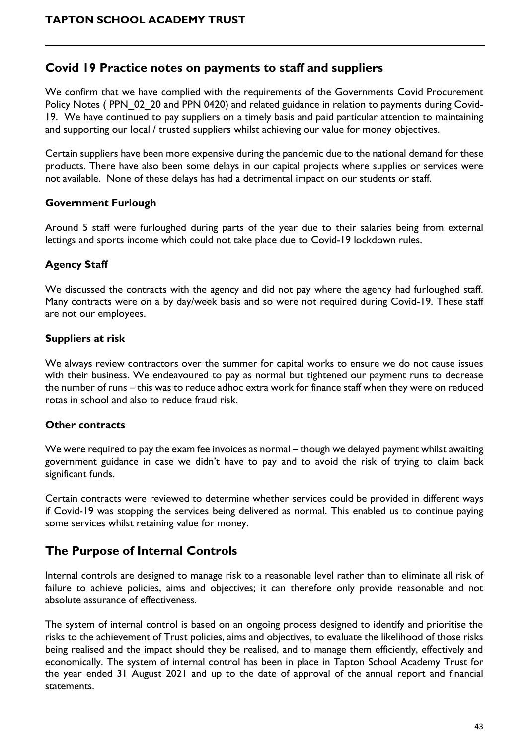## **Covid 19 Practice notes on payments to staff and suppliers**

We confirm that we have complied with the requirements of the Governments Covid Procurement Policy Notes (PPN 02 20 and [PPN 0420\)](https://www.gov.uk/government/publications/procurement-policy-note-0420-recovery-and-transition-from-covid-19) and related guidance in relation to payments during Covid-19. We have continued to pay suppliers on a timely basis and paid particular attention to maintaining and supporting our local / trusted suppliers whilst achieving our value for money objectives.

Certain suppliers have been more expensive during the pandemic due to the national demand for these products. There have also been some delays in our capital projects where supplies or services were not available. None of these delays has had a detrimental impact on our students or staff.

### **Government Furlough**

Around 5 staff were furloughed during parts of the year due to their salaries being from external lettings and sports income which could not take place due to Covid-19 lockdown rules.

### **Agency Staff**

We discussed the contracts with the agency and did not pay where the agency had furloughed staff. Many contracts were on a by day/week basis and so were not required during Covid-19. These staff are not our employees.

### **Suppliers at risk**

We always review contractors over the summer for capital works to ensure we do not cause issues with their business. We endeavoured to pay as normal but tightened our payment runs to decrease the number of runs – this was to reduce adhoc extra work for finance staff when they were on reduced rotas in school and also to reduce fraud risk.

#### **Other contracts**

We were required to pay the exam fee invoices as normal – though we delayed payment whilst awaiting government guidance in case we didn't have to pay and to avoid the risk of trying to claim back significant funds.

Certain contracts were reviewed to determine whether services could be provided in different ways if Covid-19 was stopping the services being delivered as normal. This enabled us to continue paying some services whilst retaining value for money.

### **The Purpose of Internal Controls**

Internal controls are designed to manage risk to a reasonable level rather than to eliminate all risk of failure to achieve policies, aims and objectives; it can therefore only provide reasonable and not absolute assurance of effectiveness.

The system of internal control is based on an ongoing process designed to identify and prioritise the risks to the achievement of Trust policies, aims and objectives, to evaluate the likelihood of those risks being realised and the impact should they be realised, and to manage them efficiently, effectively and economically. The system of internal control has been in place in Tapton School Academy Trust for the year ended 31 August 2021 and up to the date of approval of the annual report and financial statements.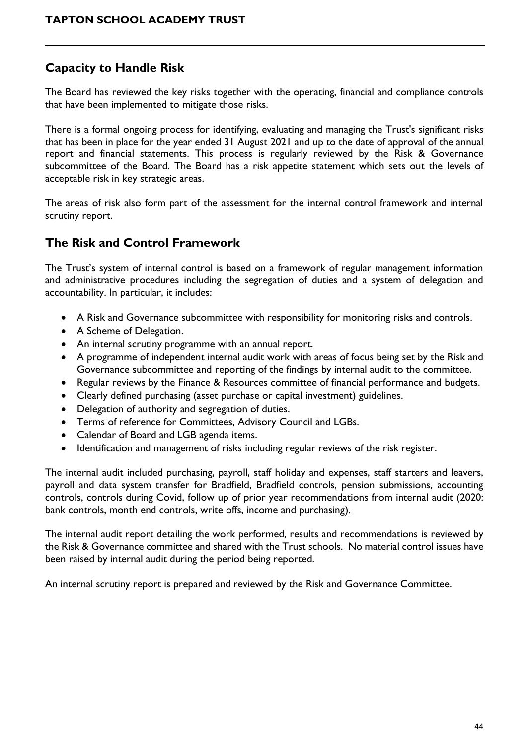# **Capacity to Handle Risk**

The Board has reviewed the key risks together with the operating, financial and compliance controls that have been implemented to mitigate those risks.

There is a formal ongoing process for identifying, evaluating and managing the Trust's significant risks that has been in place for the year ended 31 August 2021 and up to the date of approval of the annual report and financial statements. This process is regularly reviewed by the Risk & Governance subcommittee of the Board. The Board has a risk appetite statement which sets out the levels of acceptable risk in key strategic areas.

The areas of risk also form part of the assessment for the internal control framework and internal scrutiny report.

# **The Risk and Control Framework**

The Trust's system of internal control is based on a framework of regular management information and administrative procedures including the segregation of duties and a system of delegation and accountability. In particular, it includes:

- A Risk and Governance subcommittee with responsibility for monitoring risks and controls.
- A Scheme of Delegation.
- An internal scrutiny programme with an annual report.
- A programme of independent internal audit work with areas of focus being set by the Risk and Governance subcommittee and reporting of the findings by internal audit to the committee.
- Regular reviews by the Finance & Resources committee of financial performance and budgets.
- Clearly defined purchasing (asset purchase or capital investment) guidelines.
- Delegation of authority and segregation of duties.
- Terms of reference for Committees, Advisory Council and LGBs.
- Calendar of Board and LGB agenda items.
- Identification and management of risks including regular reviews of the risk register.

The internal audit included purchasing, payroll, staff holiday and expenses, staff starters and leavers, payroll and data system transfer for Bradfield, Bradfield controls, pension submissions, accounting controls, controls during Covid, follow up of prior year recommendations from internal audit (2020: bank controls, month end controls, write offs, income and purchasing).

The internal audit report detailing the work performed, results and recommendations is reviewed by the Risk & Governance committee and shared with the Trust schools. No material control issues have been raised by internal audit during the period being reported.

An internal scrutiny report is prepared and reviewed by the Risk and Governance Committee.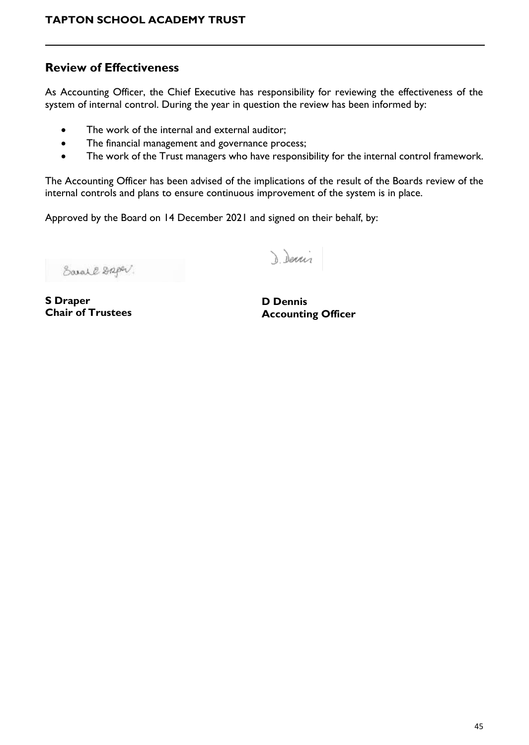## **Review of Effectiveness**

As Accounting Officer, the Chief Executive has responsibility for reviewing the effectiveness of the system of internal control. During the year in question the review has been informed by:

- The work of the internal and external auditor;
- The financial management and governance process;
- The work of the Trust managers who have responsibility for the internal control framework.

The Accounting Officer has been advised of the implications of the result of the Boards review of the internal controls and plans to ensure continuous improvement of the system is in place.

Approved by the Board on 14 December 2021 and signed on their behalf, by:

Earal & Spor.

Denis

**S Draper Chair of Trustees**

**D Dennis Accounting Officer**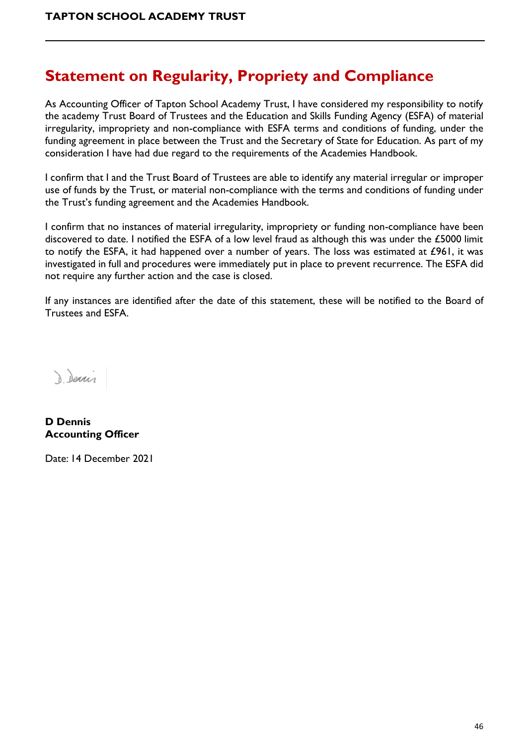# <span id="page-45-0"></span>**Statement on Regularity, Propriety and Compliance**

As Accounting Officer of Tapton School Academy Trust, I have considered my responsibility to notify the academy Trust Board of Trustees and the Education and Skills Funding Agency (ESFA) of material irregularity, impropriety and non-compliance with ESFA terms and conditions of funding, under the funding agreement in place between the Trust and the Secretary of State for Education. As part of my consideration I have had due regard to the requirements of the Academies Handbook.

I confirm that I and the Trust Board of Trustees are able to identify any material irregular or improper use of funds by the Trust, or material non-compliance with the terms and conditions of funding under the Trust's funding agreement and the Academies Handbook.

I confirm that no instances of material irregularity, impropriety or funding non-compliance have been discovered to date. I notified the ESFA of a low level fraud as although this was under the £5000 limit to notify the ESFA, it had happened over a number of years. The loss was estimated at £961, it was investigated in full and procedures were immediately put in place to prevent recurrence. The ESFA did not require any further action and the case is closed.

If any instances are identified after the date of this statement, these will be notified to the Board of Trustees and ESFA.

Denis

**D Dennis Accounting Officer**

Date: 14 December 2021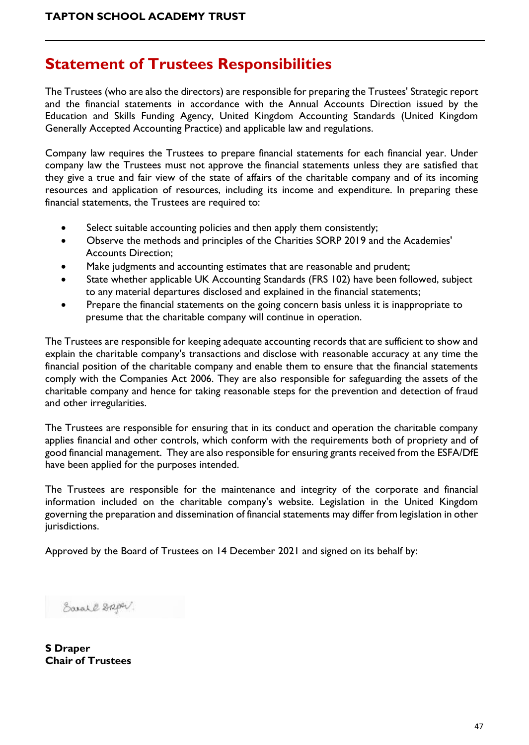# <span id="page-46-0"></span>**Statement of Trustees Responsibilities**

The Trustees (who are also the directors) are responsible for preparing the Trustees' Strategic report and the financial statements in accordance with the Annual Accounts Direction issued by the Education and Skills Funding Agency, United Kingdom Accounting Standards (United Kingdom Generally Accepted Accounting Practice) and applicable law and regulations.

Company law requires the Trustees to prepare financial statements for each financial year. Under company law the Trustees must not approve the financial statements unless they are satisfied that they give a true and fair view of the state of affairs of the charitable company and of its incoming resources and application of resources, including its income and expenditure. In preparing these financial statements, the Trustees are required to:

- Select suitable accounting policies and then apply them consistently;
- Observe the methods and principles of the Charities SORP 2019 and the Academies' Accounts Direction;
- Make judgments and accounting estimates that are reasonable and prudent;
- State whether applicable UK Accounting Standards (FRS 102) have been followed, subject to any material departures disclosed and explained in the financial statements;
- Prepare the financial statements on the going concern basis unless it is inappropriate to presume that the charitable company will continue in operation.

The Trustees are responsible for keeping adequate accounting records that are sufficient to show and explain the charitable company's transactions and disclose with reasonable accuracy at any time the financial position of the charitable company and enable them to ensure that the financial statements comply with the Companies Act 2006. They are also responsible for safeguarding the assets of the charitable company and hence for taking reasonable steps for the prevention and detection of fraud and other irregularities.

The Trustees are responsible for ensuring that in its conduct and operation the charitable company applies financial and other controls, which conform with the requirements both of propriety and of good financial management. They are also responsible for ensuring grants received from the ESFA/DfE have been applied for the purposes intended.

The Trustees are responsible for the maintenance and integrity of the corporate and financial information included on the charitable company's website. Legislation in the United Kingdom governing the preparation and dissemination of financial statements may differ from legislation in other jurisdictions.

Approved by the Board of Trustees on 14 December 2021 and signed on its behalf by:

Sarall Griper.

**S Draper Chair of Trustees**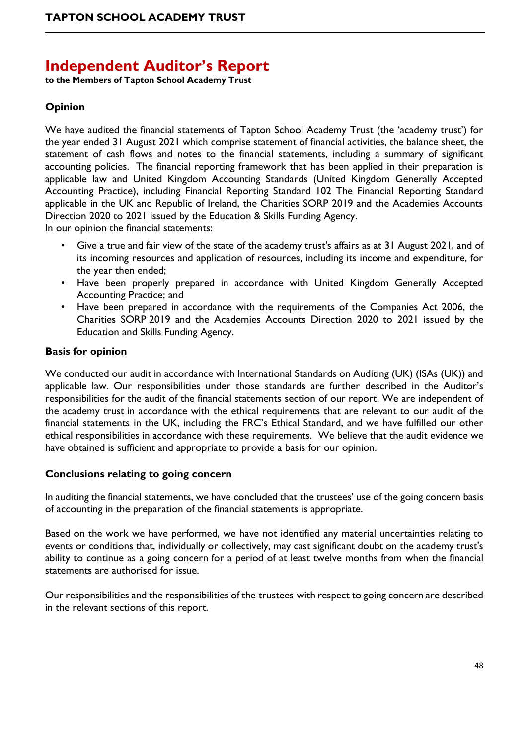# <span id="page-47-0"></span>**Independent Auditor's Report**

**to the Members of Tapton School Academy Trust**

### **Opinion**

We have audited the financial statements of Tapton School Academy Trust (the 'academy trust') for the year ended 31 August 2021 which comprise statement of financial activities, the balance sheet, the statement of cash flows and notes to the financial statements, including a summary of significant accounting policies. The financial reporting framework that has been applied in their preparation is applicable law and United Kingdom Accounting Standards (United Kingdom Generally Accepted Accounting Practice), including Financial Reporting Standard 102 The Financial Reporting Standard applicable in the UK and Republic of Ireland, the Charities SORP 2019 and the Academies Accounts Direction 2020 to 2021 issued by the Education & Skills Funding Agency.

In our opinion the financial statements:

- Give a true and fair view of the state of the academy trust's affairs as at 31 August 2021, and of its incoming resources and application of resources, including its income and expenditure, for the year then ended;
- Have been properly prepared in accordance with United Kingdom Generally Accepted Accounting Practice; and
- Have been prepared in accordance with the requirements of the Companies Act 2006, the Charities SORP 2019 and the Academies Accounts Direction 2020 to 2021 issued by the Education and Skills Funding Agency.

#### **Basis for opinion**

We conducted our audit in accordance with International Standards on Auditing (UK) (ISAs (UK)) and applicable law. Our responsibilities under those standards are further described in the Auditor's responsibilities for the audit of the financial statements section of our report. We are independent of the academy trust in accordance with the ethical requirements that are relevant to our audit of the financial statements in the UK, including the FRC's Ethical Standard, and we have fulfilled our other ethical responsibilities in accordance with these requirements. We believe that the audit evidence we have obtained is sufficient and appropriate to provide a basis for our opinion.

#### **Conclusions relating to going concern**

In auditing the financial statements, we have concluded that the trustees' use of the going concern basis of accounting in the preparation of the financial statements is appropriate.

Based on the work we have performed, we have not identified any material uncertainties relating to events or conditions that, individually or collectively, may cast significant doubt on the academy trust's ability to continue as a going concern for a period of at least twelve months from when the financial statements are authorised for issue.

Our responsibilities and the responsibilities of the trustees with respect to going concern are described in the relevant sections of this report.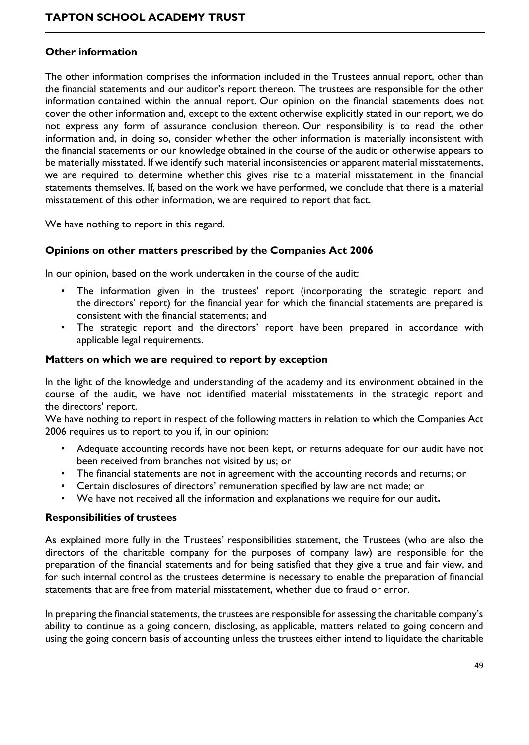#### **Other information**

The other information comprises the information included in the Trustees annual report, other than the financial statements and our auditor's report thereon. The trustees are responsible for the other information contained within the annual report. Our opinion on the financial statements does not cover the other information and, except to the extent otherwise explicitly stated in our report, we do not express any form of assurance conclusion thereon. Our responsibility is to read the other information and, in doing so, consider whether the other information is materially inconsistent with the financial statements or our knowledge obtained in the course of the audit or otherwise appears to be materially misstated. If we identify such material inconsistencies or apparent material misstatements, we are required to determine whether this gives rise to a material misstatement in the financial statements themselves. If, based on the work we have performed, we conclude that there is a material misstatement of this other information, we are required to report that fact.

We have nothing to report in this regard.

#### **Opinions on other matters prescribed by the Companies Act 2006**

In our opinion, based on the work undertaken in the course of the audit:

- The information given in the trustees' report (incorporating the strategic report and the directors' report) for the financial year for which the financial statements are prepared is consistent with the financial statements; and
- The strategic report and the directors' report have been prepared in accordance with applicable legal requirements.

#### **Matters on which we are required to report by exception**

In the light of the knowledge and understanding of the academy and its environment obtained in the course of the audit, we have not identified material misstatements in the strategic report and the directors' report.

We have nothing to report in respect of the following matters in relation to which the Companies Act 2006 requires us to report to you if, in our opinion:

- Adequate accounting records have not been kept, or returns adequate for our audit have not been received from branches not visited by us; or
- The financial statements are not in agreement with the accounting records and returns; or
- Certain disclosures of directors' remuneration specified by law are not made; or
- We have not received all the information and explanations we require for our audit**.**

#### **Responsibilities of trustees**

As explained more fully in the Trustees' responsibilities statement, the Trustees (who are also the directors of the charitable company for the purposes of company law) are responsible for the preparation of the financial statements and for being satisfied that they give a true and fair view, and for such internal control as the trustees determine is necessary to enable the preparation of financial statements that are free from material misstatement, whether due to fraud or error.

In preparing the financial statements, the trustees are responsible for assessing the charitable company's ability to continue as a going concern, disclosing, as applicable, matters related to going concern and using the going concern basis of accounting unless the trustees either intend to liquidate the charitable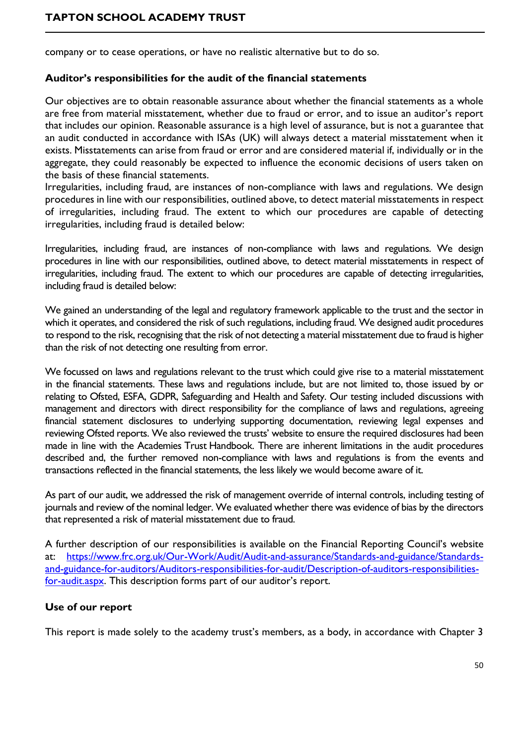company or to cease operations, or have no realistic alternative but to do so.

#### **Auditor's responsibilities for the audit of the financial statements**

Our objectives are to obtain reasonable assurance about whether the financial statements as a whole are free from material misstatement, whether due to fraud or error, and to issue an auditor's report that includes our opinion. Reasonable assurance is a high level of assurance, but is not a guarantee that an audit conducted in accordance with ISAs (UK) will always detect a material misstatement when it exists. Misstatements can arise from fraud or error and are considered material if, individually or in the aggregate, they could reasonably be expected to influence the economic decisions of users taken on the basis of these financial statements.

Irregularities, including fraud, are instances of non-compliance with laws and regulations. We design procedures in line with our responsibilities, outlined above, to detect material misstatements in respect of irregularities, including fraud. The extent to which our procedures are capable of detecting irregularities, including fraud is detailed below:

Irregularities, including fraud, are instances of non-compliance with laws and regulations. We design procedures in line with our responsibilities, outlined above, to detect material misstatements in respect of irregularities, including fraud. The extent to which our procedures are capable of detecting irregularities, including fraud is detailed below:

We gained an understanding of the legal and regulatory framework applicable to the trust and the sector in which it operates, and considered the risk of such regulations, including fraud. We designed audit procedures to respond to the risk, recognising that the risk of not detecting a material misstatement due to fraud is higher than the risk of not detecting one resulting from error.

We focussed on laws and regulations relevant to the trust which could give rise to a material misstatement in the financial statements. These laws and regulations include, but are not limited to, those issued by or relating to Ofsted, ESFA, GDPR, Safeguarding and Health and Safety. Our testing included discussions with management and directors with direct responsibility for the compliance of laws and regulations, agreeing financial statement disclosures to underlying supporting documentation, reviewing legal expenses and reviewing Ofsted reports. We also reviewed the trusts' website to ensure the required disclosures had been made in line with the Academies Trust Handbook. There are inherent limitations in the audit procedures described and, the further removed non-compliance with laws and regulations is from the events and transactions reflected in the financial statements, the less likely we would become aware of it.

As part of our audit, we addressed the risk of management override of internal controls, including testing of journals and review of the nominal ledger. We evaluated whether there was evidence of bias by the directors that represented a risk of material misstatement due to fraud.

A further description of our responsibilities is available on the Financial Reporting Council's website at: [https://www.frc.org.uk/Our-Work/Audit/Audit-and-assurance/Standards-and-guidance/Standards](https://www.frc.org.uk/Our-Work/Audit/Audit-and-assurance/Standards-and-guidance/Standards-and-guidance-for-auditors/Auditors-responsibilities-for-audit/Description-of-auditors-responsibilities-for-audit.aspx)[and-guidance-for-auditors/Auditors-responsibilities-for-audit/Description-of-auditors-responsibilities](https://www.frc.org.uk/Our-Work/Audit/Audit-and-assurance/Standards-and-guidance/Standards-and-guidance-for-auditors/Auditors-responsibilities-for-audit/Description-of-auditors-responsibilities-for-audit.aspx)[for-audit.aspx](https://www.frc.org.uk/Our-Work/Audit/Audit-and-assurance/Standards-and-guidance/Standards-and-guidance-for-auditors/Auditors-responsibilities-for-audit/Description-of-auditors-responsibilities-for-audit.aspx). This description forms part of our auditor's report.

#### **Use of our report**

This report is made solely to the academy trust's members, as a body, in accordance with Chapter 3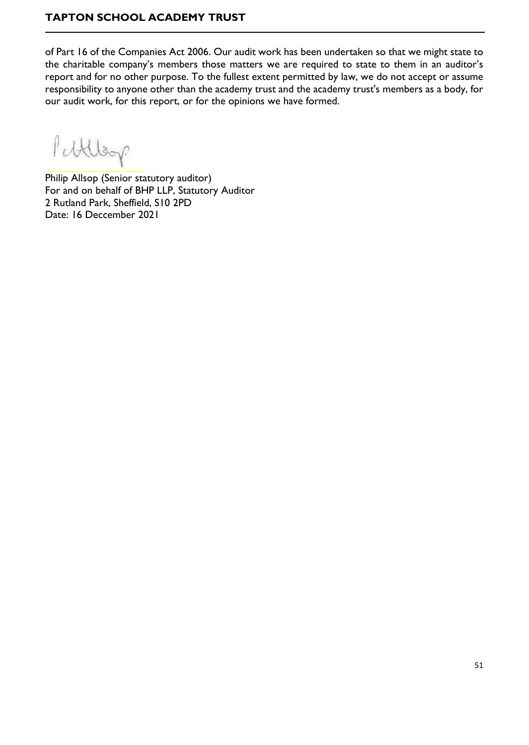of Part 16 of the Companies Act 2006. Our audit work has been undertaken so that we might state to the charitable company's members those matters we are required to state to them in an auditor's report and for no other purpose. To the fullest extent permitted by law, we do not accept or assume responsibility to anyone other than the academy trust and the academy trust's members as a body, for our audit work, for this report, or for the opinions we have formed.

Pettlesp

Philip Allsop (Senior statutory auditor) For and on behalf of BHP LLP, Statutory Auditor 2 Rutland Park, Sheffield, S10 2PD Date: 16 Deccember 2021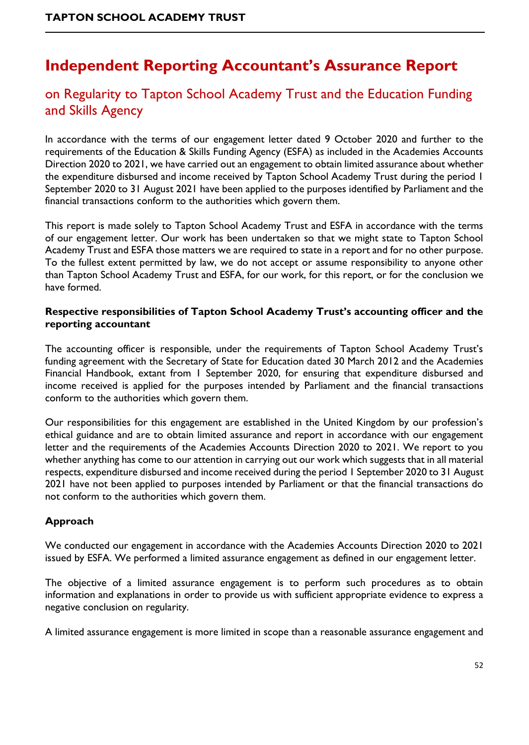# <span id="page-51-0"></span>**Independent Reporting Accountant's Assurance Report**

# on Regularity to Tapton School Academy Trust and the Education Funding and Skills Agency

In accordance with the terms of our engagement letter dated 9 October 2020 and further to the requirements of the Education & Skills Funding Agency (ESFA) as included in the Academies Accounts Direction 2020 to 2021, we have carried out an engagement to obtain limited assurance about whether the expenditure disbursed and income received by Tapton School Academy Trust during the period 1 September 2020 to 31 August 2021 have been applied to the purposes identified by Parliament and the financial transactions conform to the authorities which govern them.

This report is made solely to Tapton School Academy Trust and ESFA in accordance with the terms of our engagement letter. Our work has been undertaken so that we might state to Tapton School Academy Trust and ESFA those matters we are required to state in a report and for no other purpose. To the fullest extent permitted by law, we do not accept or assume responsibility to anyone other than Tapton School Academy Trust and ESFA, for our work, for this report, or for the conclusion we have formed.

#### **Respective responsibilities of Tapton School Academy Trust's accounting officer and the reporting accountant**

The accounting officer is responsible, under the requirements of Tapton School Academy Trust's funding agreement with the Secretary of State for Education dated 30 March 2012 and the Academies Financial Handbook, extant from 1 September 2020, for ensuring that expenditure disbursed and income received is applied for the purposes intended by Parliament and the financial transactions conform to the authorities which govern them.

Our responsibilities for this engagement are established in the United Kingdom by our profession's ethical guidance and are to obtain limited assurance and report in accordance with our engagement letter and the requirements of the Academies Accounts Direction 2020 to 2021. We report to you whether anything has come to our attention in carrying out our work which suggests that in all material respects, expenditure disbursed and income received during the period 1 September 2020 to 31 August 2021 have not been applied to purposes intended by Parliament or that the financial transactions do not conform to the authorities which govern them.

### **Approach**

We conducted our engagement in accordance with the Academies Accounts Direction 2020 to 2021 issued by ESFA. We performed a limited assurance engagement as defined in our engagement letter.

The objective of a limited assurance engagement is to perform such procedures as to obtain information and explanations in order to provide us with sufficient appropriate evidence to express a negative conclusion on regularity.

A limited assurance engagement is more limited in scope than a reasonable assurance engagement and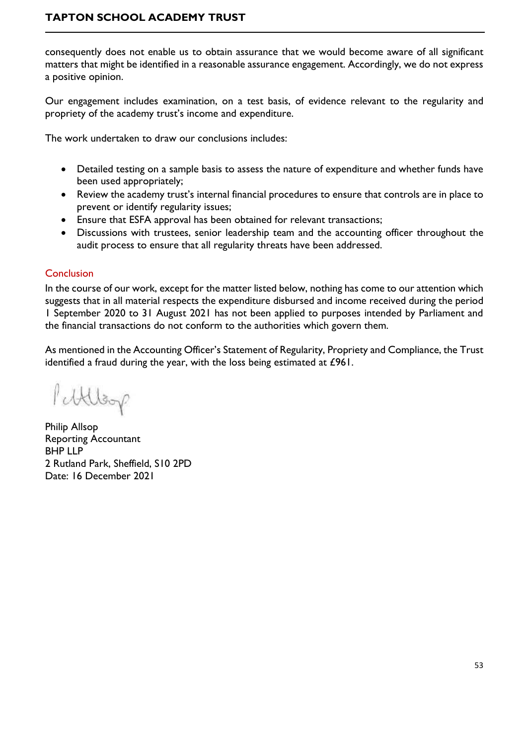consequently does not enable us to obtain assurance that we would become aware of all significant matters that might be identified in a reasonable assurance engagement. Accordingly, we do not express a positive opinion.

Our engagement includes examination, on a test basis, of evidence relevant to the regularity and propriety of the academy trust's income and expenditure.

The work undertaken to draw our conclusions includes:

- Detailed testing on a sample basis to assess the nature of expenditure and whether funds have been used appropriately;
- Review the academy trust's internal financial procedures to ensure that controls are in place to prevent or identify regularity issues;
- Ensure that ESFA approval has been obtained for relevant transactions;
- Discussions with trustees, senior leadership team and the accounting officer throughout the audit process to ensure that all regularity threats have been addressed.

#### Conclusion

In the course of our work, except for the matter listed below, nothing has come to our attention which suggests that in all material respects the expenditure disbursed and income received during the period 1 September 2020 to 31 August 2021 has not been applied to purposes intended by Parliament and the financial transactions do not conform to the authorities which govern them.

As mentioned in the Accounting Officer's Statement of Regularity, Propriety and Compliance, the Trust identified a fraud during the year, with the loss being estimated at £961.

Puttlege

Philip Allsop Reporting Accountant BHP LLP 2 Rutland Park, Sheffield, S10 2PD Date: 16 December 2021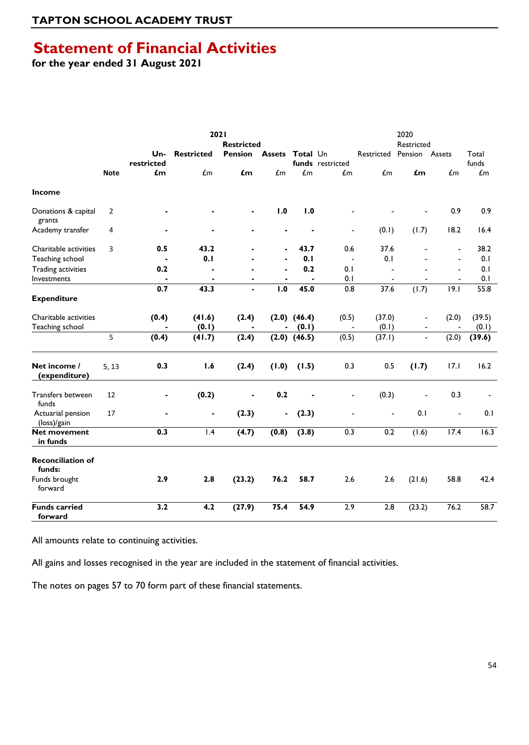# <span id="page-53-0"></span>**Statement of Financial Activities**

**for the year ended 31 August 2021**

|                                          |                | 2021<br><b>Restricted</b> |                   |                |                        |                  | 2020<br>Restricted              |                          |                |                                  |                |  |
|------------------------------------------|----------------|---------------------------|-------------------|----------------|------------------------|------------------|---------------------------------|--------------------------|----------------|----------------------------------|----------------|--|
|                                          |                | Un-<br>restricted         | <b>Restricted</b> | <b>Pension</b> | <b>Assets Total Un</b> |                  | funds restricted                | Restricted               | Pension Assets |                                  | Total<br>funds |  |
|                                          | <b>Note</b>    | $f_{\rm m}$               | $\mathbf{f}$ m    | £m             | $\pounds$ m            | $\mathbf{f}$ m   | $\mathbf{f}$ m                  | $\mathbf{f}$ m           | £m             | $\mathbf{f}$ m                   | $\mathbf{f}$ m |  |
| <b>Income</b>                            |                |                           |                   |                |                        |                  |                                 |                          |                |                                  |                |  |
| Donations & capital<br>grants            | $\overline{2}$ |                           |                   |                | 1.0                    | 1.0              |                                 |                          |                | 0.9                              | 0.9            |  |
| Academy transfer                         | 4              |                           |                   |                |                        |                  | $\overline{\phantom{a}}$        | (0.1)                    | (1.7)          | 18.2                             | 16.4           |  |
| Charitable activities<br>Teaching school | 3              | 0.5                       | 43.2<br>0.1       |                |                        | 43.7<br>0.1      | 0.6<br>$\overline{\phantom{a}}$ | 37.6<br>0.1              |                | $\blacksquare$<br>$\blacksquare$ | 38.2<br>0.1    |  |
| <b>Trading activities</b>                |                | 0.2                       |                   |                |                        | 0.2              | 0.1                             |                          |                | $\overline{a}$                   | 0.1            |  |
| Investments                              |                |                           | $\blacksquare$    |                |                        | $\blacksquare$   | 0.1                             | $\overline{\phantom{a}}$ |                |                                  | 0.1            |  |
|                                          |                | 0.7                       | 43.3              |                | $\overline{1.0}$       | 45.0             | 0.8                             | 37.6                     | (1.7)          | 19.1                             | 55.8           |  |
| <b>Expenditure</b>                       |                |                           |                   |                |                        |                  |                                 |                          |                |                                  |                |  |
| Charitable activities                    |                | (0.4)                     | (41.6)            | (2.4)          |                        | $(2.0)$ $(46.4)$ | (0.5)                           | (37.0)                   | ÷,             | (2.0)                            | (39.5)         |  |
| Teaching school                          |                |                           | (0.1)             |                | Ξ.                     | (0.1)            | $\blacksquare$                  | (0.1)                    |                | $\blacksquare$                   | (0.1)          |  |
|                                          | 5              | (0.4)                     | (41.7)            | (2.4)          |                        | $(2.0)$ $(46.5)$ | (0.5)                           | (37.1)                   |                | (2.0)                            | (39.6)         |  |
| Net income /<br>(expenditure)            | 5, 13          | 0.3                       | 1.6               | (2.4)          | (1.0)                  | (1.5)            | 0.3                             | 0.5                      | (1.7)          | 17.1                             | 16.2           |  |
| Transfers between<br>funds               | 12             |                           | (0.2)             |                | 0.2                    |                  |                                 | (0.3)                    |                | 0.3                              |                |  |
| Actuarial pension<br>(loss)/gain         | 17             |                           | $\blacksquare$    | (2.3)          | $\blacksquare$         | (2.3)            | $\overline{a}$                  | $\blacksquare$           | 0.1            | $\blacksquare$                   | 0.1            |  |
| <b>Net movement</b><br>in funds          |                | 0.3                       | 1.4               | (4.7)          | (0.8)                  | (3.8)            | 0.3                             | 0.2                      | (1.6)          | 17.4                             | 16.3           |  |
| <b>Reconciliation of</b><br>funds:       |                |                           |                   |                |                        |                  |                                 |                          |                |                                  |                |  |
| Funds brought<br>forward                 |                | 2.9                       | 2.8               | (23.2)         | 76.2                   | 58.7             | 2.6                             | 2.6                      | (21.6)         | 58.8                             | 42.4           |  |
| <b>Funds carried</b><br>forward          |                | 3.2                       | 4.2               | (27.9)         | 75.4                   | 54.9             | 2.9                             | 2.8                      | (23.2)         | 76.2                             | 58.7           |  |

All amounts relate to continuing activities.

All gains and losses recognised in the year are included in the statement of financial activities.

The notes on pages 57 to 70 form part of these financial statements.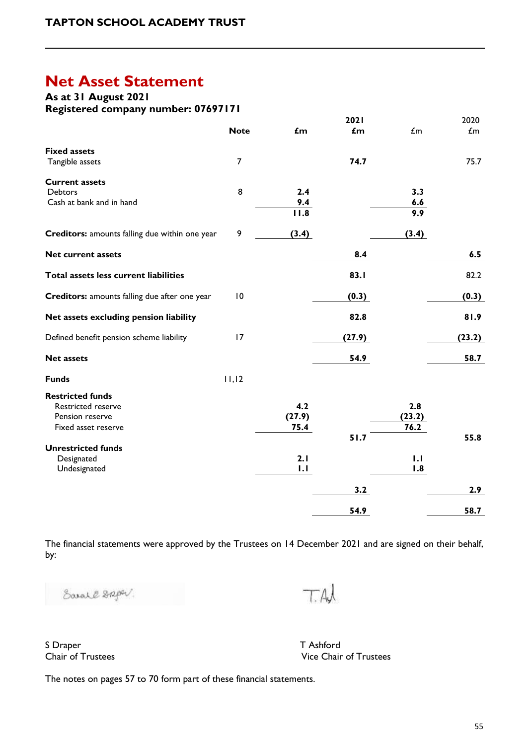# <span id="page-54-0"></span>**Net Asset Statement**

**As at 31 August 2021** 

**Registered company number: 07697171**

|                                                |                 |                   | <b>2021</b> |             | 2020        |
|------------------------------------------------|-----------------|-------------------|-------------|-------------|-------------|
|                                                | <b>Note</b>     | £m                | £m          | $\pounds$ m | $\pounds$ m |
| <b>Fixed assets</b>                            |                 |                   |             |             |             |
| Tangible assets                                | 7               |                   | 74.7        |             | 75.7        |
| <b>Current assets</b>                          |                 |                   |             |             |             |
| <b>Debtors</b>                                 | 8               | 2.4               |             | 3.3         |             |
| Cash at bank and in hand                       |                 | 9.4               |             | 6.6         |             |
|                                                |                 | $\overline{11.8}$ |             | 9.9         |             |
| Creditors: amounts falling due within one year | 9               | (3.4)             |             | (3.4)       |             |
| <b>Net current assets</b>                      |                 |                   | 8.4         |             | 6.5         |
| Total assets less current liabilities          |                 |                   | 83.I        |             | 82.2        |
|                                                |                 |                   |             |             |             |
| Creditors: amounts falling due after one year  | $\overline{10}$ |                   | (0.3)       |             | (0.3)       |
| Net assets excluding pension liability         |                 |                   | 82.8        |             | 81.9        |
| Defined benefit pension scheme liability       | 17              |                   | (27.9)      |             | (23.2)      |
| <b>Net assets</b>                              |                 |                   | 54.9        |             | 58.7        |
| <b>Funds</b>                                   | 11,12           |                   |             |             |             |
| <b>Restricted funds</b>                        |                 |                   |             |             |             |
| <b>Restricted reserve</b>                      |                 | 4.2               |             | 2.8         |             |
| Pension reserve                                |                 | (27.9)            |             | (23.2)      |             |
| Fixed asset reserve                            |                 | 75.4              |             | 76.2        |             |
|                                                |                 |                   | 51.7        |             | 55.8        |
| <b>Unrestricted funds</b>                      |                 |                   |             |             |             |
| Designated                                     |                 | 2.1               |             | 1.1         |             |
| Undesignated                                   |                 | 1.1               |             | 1.8         |             |
|                                                |                 |                   | 3.2         |             | 2.9         |
|                                                |                 |                   | 54.9        |             | 58.7        |

The financial statements were approved by the Trustees on 14 December 2021 and are signed on their behalf, by:

Sarall Daper.

TAJ

S Draper The T Ashford T Ashford T Ashford T Ashford T Ashford T Ashford T Ashford T Ashford T Ashford T Ashford T Ashford T Ashford T Ashford T Ashford T Ashford T Ashford T Ashford T Ashford T Ashford T Ashford T Ashford

Vice Chair of Trustees

The notes on pages 57 to 70 form part of these financial statements.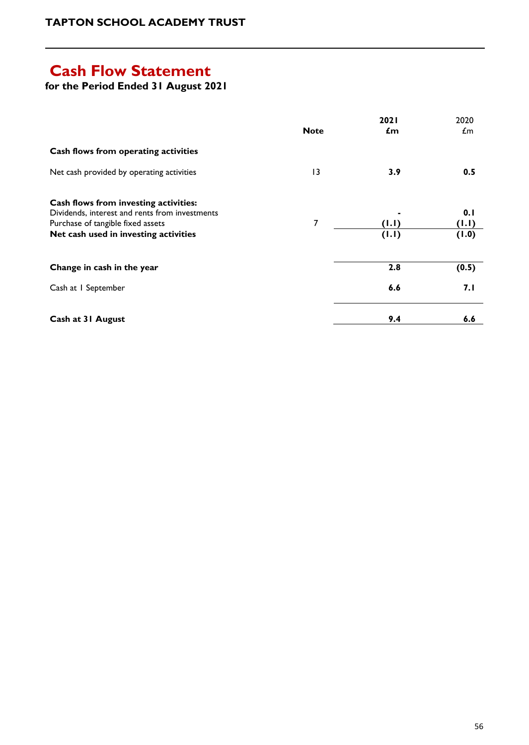# <span id="page-55-0"></span>**Cash Flow Statement**

**for the Period Ended 31 August 2021**

|                                                                                                                                                                       | <b>Note</b> | 2021<br>£m     | 2020<br>£m            |
|-----------------------------------------------------------------------------------------------------------------------------------------------------------------------|-------------|----------------|-----------------------|
| Cash flows from operating activities                                                                                                                                  |             |                |                       |
| Net cash provided by operating activities                                                                                                                             | 13          | 3.9            | 0.5                   |
| Cash flows from investing activities:<br>Dividends, interest and rents from investments<br>Purchase of tangible fixed assets<br>Net cash used in investing activities | 7           | (1.1)<br>(1.1) | 0.1<br>(1.1)<br>(1.0) |
| Change in cash in the year                                                                                                                                            |             | 2.8            | (0.5)                 |
| Cash at I September                                                                                                                                                   |             | 6.6            | 7. I                  |
| Cash at 31 August                                                                                                                                                     |             | 9.4            | 6.6                   |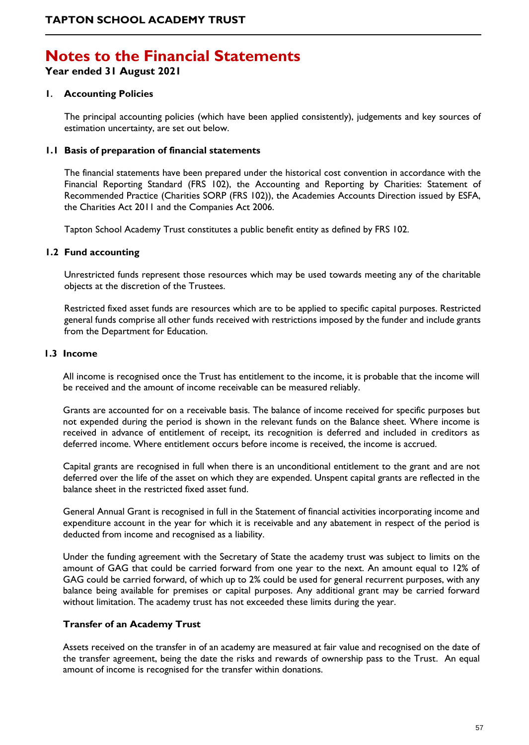# <span id="page-56-0"></span>**Notes to the Financial Statements**

**Year ended 31 August 2021**

#### **1. Accounting Policies**

The principal accounting policies (which have been applied consistently), judgements and key sources of estimation uncertainty, are set out below.

#### **1.1 Basis of preparation of financial statements**

The financial statements have been prepared under the historical cost convention in accordance with the Financial Reporting Standard (FRS 102), the Accounting and Reporting by Charities: Statement of Recommended Practice (Charities SORP (FRS 102)), the Academies Accounts Direction issued by ESFA, the Charities Act 2011 and the Companies Act 2006.

Tapton School Academy Trust constitutes a public benefit entity as defined by FRS 102.

#### **1.2 Fund accounting**

Unrestricted funds represent those resources which may be used towards meeting any of the charitable objects at the discretion of the Trustees.

Restricted fixed asset funds are resources which are to be applied to specific capital purposes. Restricted general funds comprise all other funds received with restrictions imposed by the funder and include grants from the Department for Education.

#### **1.3 Income**

All income is recognised once the Trust has entitlement to the income, it is probable that the income will be received and the amount of income receivable can be measured reliably.

Grants are accounted for on a receivable basis. The balance of income received for specific purposes but not expended during the period is shown in the relevant funds on the Balance sheet. Where income is received in advance of entitlement of receipt, its recognition is deferred and included in creditors as deferred income. Where entitlement occurs before income is received, the income is accrued.

Capital grants are recognised in full when there is an unconditional entitlement to the grant and are not deferred over the life of the asset on which they are expended. Unspent capital grants are reflected in the balance sheet in the restricted fixed asset fund.

General Annual Grant is recognised in full in the Statement of financial activities incorporating income and expenditure account in the year for which it is receivable and any abatement in respect of the period is deducted from income and recognised as a liability.

Under the funding agreement with the Secretary of State the academy trust was subject to limits on the amount of GAG that could be carried forward from one year to the next. An amount equal to 12% of GAG could be carried forward, of which up to 2% could be used for general recurrent purposes, with any balance being available for premises or capital purposes. Any additional grant may be carried forward without limitation. The academy trust has not exceeded these limits during the year.

#### **Transfer of an Academy Trust**

Assets received on the transfer in of an academy are measured at fair value and recognised on the date of the transfer agreement, being the date the risks and rewards of ownership pass to the Trust. An equal amount of income is recognised for the transfer within donations.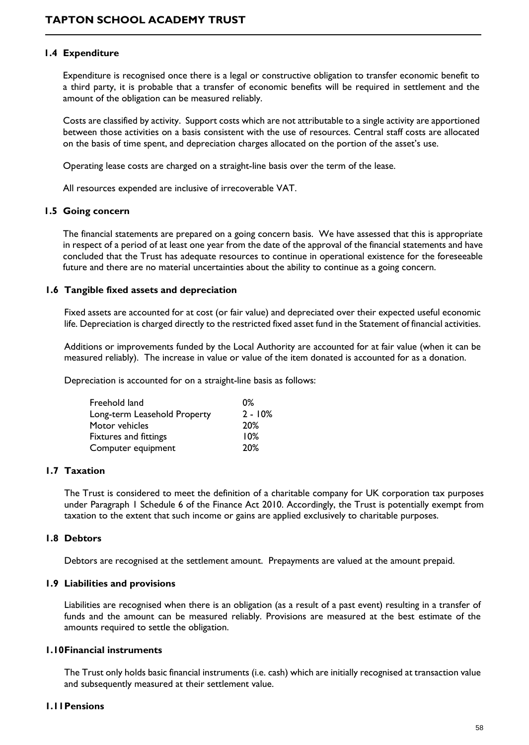#### **1.4 Expenditure**

Expenditure is recognised once there is a legal or constructive obligation to transfer economic benefit to a third party, it is probable that a transfer of economic benefits will be required in settlement and the amount of the obligation can be measured reliably.

Costs are classified by activity. Support costs which are not attributable to a single activity are apportioned between those activities on a basis consistent with the use of resources. Central staff costs are allocated on the basis of time spent, and depreciation charges allocated on the portion of the asset's use.

Operating lease costs are charged on a straight-line basis over the term of the lease.

All resources expended are inclusive of irrecoverable VAT.

#### **1.5 Going concern**

The financial statements are prepared on a going concern basis. We have assessed that this is appropriate in respect of a period of at least one year from the date of the approval of the financial statements and have concluded that the Trust has adequate resources to continue in operational existence for the foreseeable future and there are no material uncertainties about the ability to continue as a going concern.

#### **1.6 Tangible fixed assets and depreciation**

Fixed assets are accounted for at cost (or fair value) and depreciated over their expected useful economic life. Depreciation is charged directly to the restricted fixed asset fund in the Statement of financial activities.

Additions or improvements funded by the Local Authority are accounted for at fair value (when it can be measured reliably). The increase in value or value of the item donated is accounted for as a donation.

Depreciation is accounted for on a straight-line basis as follows:

| Freehold land                | 0%         |
|------------------------------|------------|
| Long-term Leasehold Property | $2 - 10%$  |
| Motor vehicles               | <b>20%</b> |
| Fixtures and fittings        | 10%        |
| Computer equipment           | 20%        |

#### **1.7 Taxation**

The Trust is considered to meet the definition of a charitable company for UK corporation tax purposes under Paragraph 1 Schedule 6 of the Finance Act 2010. Accordingly, the Trust is potentially exempt from taxation to the extent that such income or gains are applied exclusively to charitable purposes.

#### **1.8 Debtors**

Debtors are recognised at the settlement amount. Prepayments are valued at the amount prepaid.

#### **1.9 Liabilities and provisions**

Liabilities are recognised when there is an obligation (as a result of a past event) resulting in a transfer of funds and the amount can be measured reliably. Provisions are measured at the best estimate of the amounts required to settle the obligation.

#### **1.10Financial instruments**

The Trust only holds basic financial instruments (i.e. cash) which are initially recognised at transaction value and subsequently measured at their settlement value.

#### **1.11Pensions**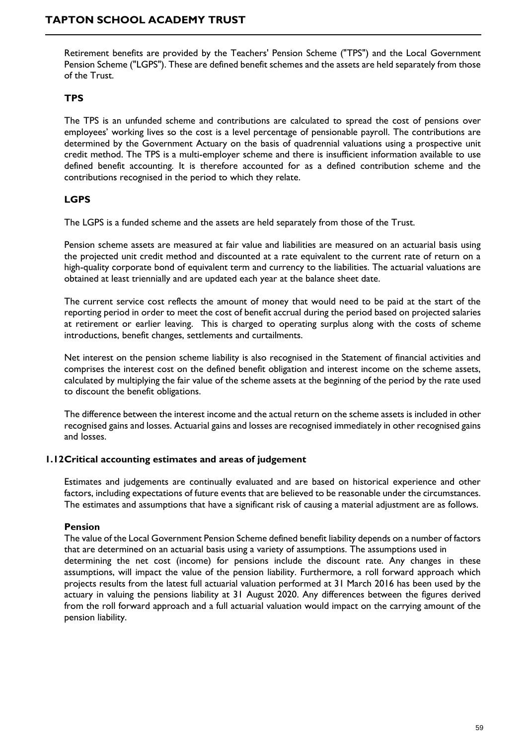Retirement benefits are provided by the Teachers' Pension Scheme ("TPS") and the Local Government Pension Scheme ("LGPS"). These are defined benefit schemes and the assets are held separately from those of the Trust.

#### **TPS**

The TPS is an unfunded scheme and contributions are calculated to spread the cost of pensions over employees' working lives so the cost is a level percentage of pensionable payroll. The contributions are determined by the Government Actuary on the basis of quadrennial valuations using a prospective unit credit method. The TPS is a multi-employer scheme and there is insufficient information available to use defined benefit accounting. It is therefore accounted for as a defined contribution scheme and the contributions recognised in the period to which they relate.

#### **LGPS**

The LGPS is a funded scheme and the assets are held separately from those of the Trust.

Pension scheme assets are measured at fair value and liabilities are measured on an actuarial basis using the projected unit credit method and discounted at a rate equivalent to the current rate of return on a high-quality corporate bond of equivalent term and currency to the liabilities. The actuarial valuations are obtained at least triennially and are updated each year at the balance sheet date.

The current service cost reflects the amount of money that would need to be paid at the start of the reporting period in order to meet the cost of benefit accrual during the period based on projected salaries at retirement or earlier leaving. This is charged to operating surplus along with the costs of scheme introductions, benefit changes, settlements and curtailments.

Net interest on the pension scheme liability is also recognised in the Statement of financial activities and comprises the interest cost on the defined benefit obligation and interest income on the scheme assets, calculated by multiplying the fair value of the scheme assets at the beginning of the period by the rate used to discount the benefit obligations.

The difference between the interest income and the actual return on the scheme assets is included in other recognised gains and losses. Actuarial gains and losses are recognised immediately in other recognised gains and losses.

#### **1.12Critical accounting estimates and areas of judgement**

Estimates and judgements are continually evaluated and are based on historical experience and other factors, including expectations of future events that are believed to be reasonable under the circumstances. The estimates and assumptions that have a significant risk of causing a material adjustment are as follows.

#### **Pension**

The value of the Local Government Pension Scheme defined benefit liability depends on a number of factors that are determined on an actuarial basis using a variety of assumptions. The assumptions used in determining the net cost (income) for pensions include the discount rate. Any changes in these assumptions, will impact the value of the pension liability. Furthermore, a roll forward approach which projects results from the latest full actuarial valuation performed at 31 March 2016 has been used by the actuary in valuing the pensions liability at 31 August 2020. Any differences between the figures derived from the roll forward approach and a full actuarial valuation would impact on the carrying amount of the pension liability.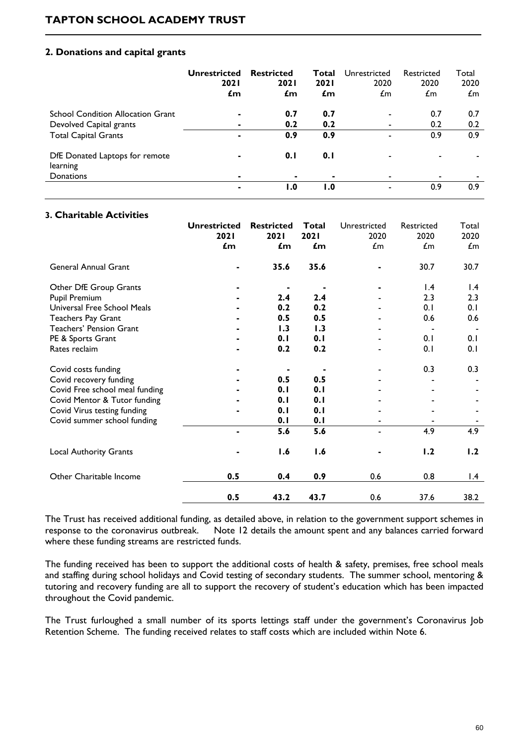#### **2. Donations and capital grants**

|                                            | Unrestricted<br><b>2021</b><br>£m | <b>Restricted</b><br><b>2021</b><br>£m | Total<br><b>2021</b><br>£m | Unrestricted<br>2020<br>£m | Restricted<br>2020<br>£m | Total<br>2020<br>$\mathcal{L}$ m |
|--------------------------------------------|-----------------------------------|----------------------------------------|----------------------------|----------------------------|--------------------------|----------------------------------|
| <b>School Condition Allocation Grant</b>   | ۰                                 | 0.7                                    | 0.7                        | $\overline{\phantom{0}}$   | 0.7                      | 0.7                              |
| Devolved Capital grants                    |                                   | 0.2                                    | 0.2                        |                            | 0.2                      | 0.2                              |
| <b>Total Capital Grants</b>                | ۰                                 | 0.9                                    | 0.9                        |                            | 0.9                      | 0.9                              |
| DfE Donated Laptops for remote<br>learning | ۰                                 | 0.1                                    | 0.1                        |                            |                          |                                  |
| Donations                                  | ۰                                 | $\blacksquare$                         | ۰                          |                            | $\blacksquare$           |                                  |
|                                            | ۰                                 | I.O                                    | I.O                        |                            | 0.9                      | 0.9                              |

#### **3. Charitable Activities**

|                                | <b>Unrestricted</b><br>2021<br>£m | <b>Restricted</b><br>2021<br>$\mathbf{f}$ m | Total<br><b>2021</b><br>$\mathbf{f}$ m | Unrestricted<br>2020<br>$\pounds$ m | Restricted<br>2020<br>$\pounds$ m | Total<br>2020<br>$\pounds$ m |
|--------------------------------|-----------------------------------|---------------------------------------------|----------------------------------------|-------------------------------------|-----------------------------------|------------------------------|
| General Annual Grant           |                                   | 35.6                                        | 35.6                                   |                                     | 30.7                              | 30.7                         |
| Other DfE Group Grants         |                                   |                                             |                                        |                                     | $\mathsf{I}$ .4                   | $\mathsf{I}$ .4              |
| <b>Pupil Premium</b>           |                                   | 2.4                                         | 2.4                                    |                                     | 2.3                               | 2.3                          |
| Universal Free School Meals    |                                   | 0.2                                         | 0.2                                    |                                     | 0.1                               | 0.1                          |
| Teachers Pay Grant             |                                   | 0.5                                         | 0.5                                    |                                     | 0.6                               | 0.6                          |
| <b>Teachers' Pension Grant</b> |                                   | 1.3                                         | 1.3                                    |                                     |                                   |                              |
| PE & Sports Grant              |                                   | 0.1                                         | 0.1                                    |                                     | 0.1                               | 0.1                          |
| Rates reclaim                  |                                   | 0.2                                         | 0.2                                    |                                     | 0.1                               | 0.1                          |
| Covid costs funding            |                                   |                                             |                                        |                                     | 0.3                               | 0.3                          |
| Covid recovery funding         |                                   | 0.5                                         | 0.5                                    |                                     |                                   |                              |
| Covid Free school meal funding |                                   | 0.1                                         | 0.1                                    |                                     |                                   |                              |
| Covid Mentor & Tutor funding   |                                   | 0.1                                         | 0.1                                    |                                     |                                   |                              |
| Covid Virus testing funding    |                                   | 0.1                                         | 0.1                                    |                                     |                                   |                              |
| Covid summer school funding    |                                   | 0.1                                         | 0.1                                    |                                     |                                   |                              |
|                                |                                   | 5.6                                         | 5.6                                    |                                     | 4.9                               | 4.9                          |
| <b>Local Authority Grants</b>  |                                   | 1.6                                         | 1.6                                    |                                     | 1.2                               | 1.2                          |
| Other Charitable Income        | 0.5                               | 0.4                                         | 0.9                                    | 0.6                                 | 0.8                               | $\mathsf{I}.\mathsf{4}$      |
|                                | 0.5                               | 43.2                                        | 43.7                                   | 0.6                                 | 37.6                              | 38.2                         |

The Trust has received additional funding, as detailed above, in relation to the government support schemes in response to the coronavirus outbreak. Note 12 details the amount spent and any balances carried forward where these funding streams are restricted funds.

The funding received has been to support the additional costs of health & safety, premises, free school meals and staffing during school holidays and Covid testing of secondary students. The summer school, mentoring & tutoring and recovery funding are all to support the recovery of student's education which has been impacted throughout the Covid pandemic.

The Trust furloughed a small number of its sports lettings staff under the government's Coronavirus Job Retention Scheme. The funding received relates to staff costs which are included within Note 6.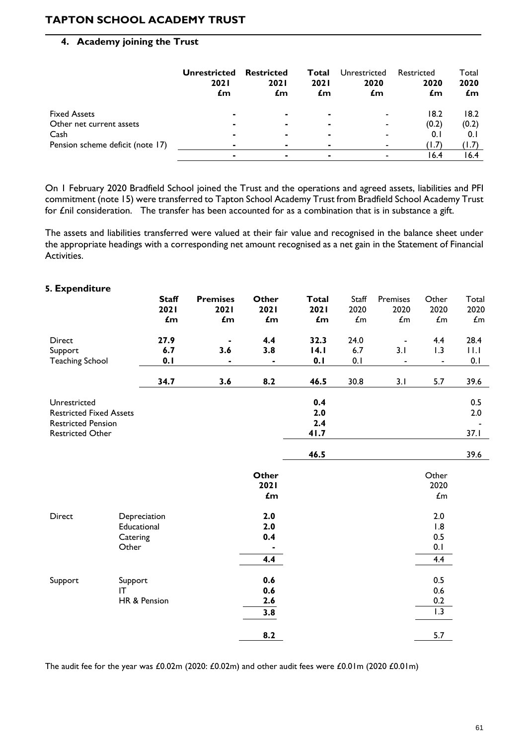#### **4. Academy joining the Trust**

|                                  | <b>Unrestricted</b><br><b>2021</b><br>£m | <b>Restricted</b><br><b>2021</b><br>£m | Total<br><b>2021</b><br>£m | Unrestricted<br>2020<br>£m | Restricted<br>2020<br>£m | Total<br>2020<br>£m |
|----------------------------------|------------------------------------------|----------------------------------------|----------------------------|----------------------------|--------------------------|---------------------|
| <b>Fixed Assets</b>              | ۰                                        |                                        | ٠                          | $\overline{\phantom{0}}$   | 18.2                     | 18.2                |
| Other net current assets         |                                          | $\blacksquare$                         | ۰                          | $\overline{\phantom{0}}$   | (0.2)                    | (0.2)               |
| Cash                             |                                          |                                        | ۰                          | $\overline{\phantom{0}}$   | 0.1                      | 0. I                |
| Pension scheme deficit (note 17) |                                          |                                        | ٠                          | $\overline{\phantom{0}}$   | (1.7)                    | (1.7)               |
|                                  |                                          |                                        | ۰                          |                            | 16.4                     | 16.4                |

On 1 February 2020 Bradfield School joined the Trust and the operations and agreed assets, liabilities and PFI commitment (note 15) were transferred to Tapton School Academy Trust from Bradfield School Academy Trust for £nil consideration. The transfer has been accounted for as a combination that is in substance a gift.

The assets and liabilities transferred were valued at their fair value and recognised in the balance sheet under the appropriate headings with a corresponding net amount recognised as a net gain in the Statement of Financial Activities.

| 5. Expenditure                                                                                         | <b>Staff</b><br>2021<br>£m                        | <b>Premises</b><br>2021<br>£m | Other<br>2021<br>$\mathbf{f}$ m | <b>Total</b><br>2021<br>£m | Staff<br>2020<br>$\pmb{\mathit{L}}$ m | Premises<br>2020<br>$\pounds$ m                   | Other<br>2020<br>$\mathcal{L}\text{m}$ | Total<br>2020<br>$\pounds$ m |
|--------------------------------------------------------------------------------------------------------|---------------------------------------------------|-------------------------------|---------------------------------|----------------------------|---------------------------------------|---------------------------------------------------|----------------------------------------|------------------------------|
| Direct<br>Support<br><b>Teaching School</b>                                                            | 27.9<br>6.7<br>0.1                                | 3.6<br>$\blacksquare$         | 4.4<br>3.8<br>$\blacksquare$    | 32.3<br> 4.1<br>0.1        | 24.0<br>6.7<br>0.1                    | $\overline{\phantom{a}}$<br>3.1<br>$\blacksquare$ | 4.4<br>1.3<br>$\blacksquare$           | 28.4<br>11.1<br>0.1          |
|                                                                                                        | 34.7                                              | 3.6                           | 8.2                             | 46.5                       | 30.8                                  | 3.1                                               | 5.7                                    | 39.6                         |
| Unrestricted<br><b>Restricted Fixed Assets</b><br><b>Restricted Pension</b><br><b>Restricted Other</b> |                                                   |                               |                                 | 0.4<br>2.0<br>2.4<br>41.7  |                                       |                                                   |                                        | 0.5<br>2.0<br>37.1           |
|                                                                                                        |                                                   |                               |                                 | 46.5                       |                                       |                                                   |                                        | 39.6                         |
|                                                                                                        |                                                   |                               | Other<br>2021<br>$\mathbf{f}$ m |                            |                                       |                                                   | Other<br>2020<br>$\mathcal{L}\text{m}$ |                              |
| Direct                                                                                                 | Depreciation<br>Educational<br>Catering<br>Other  |                               | 2.0<br>2.0<br>0.4<br>4.4        |                            |                                       |                                                   | 2.0<br>1.8<br>0.5<br>0.1<br>4.4        |                              |
| Support                                                                                                | Support<br>$\mathsf{I}\mathsf{T}$<br>HR & Pension |                               | 0.6<br>0.6<br>$2.6$<br>3.8      |                            |                                       |                                                   | 0.5<br>0.6<br>0.2<br>$\overline{1.3}$  |                              |
|                                                                                                        |                                                   |                               | 8.2                             |                            |                                       |                                                   | 5.7                                    |                              |

The audit fee for the year was £0.02m (2020: £0.02m) and other audit fees were £0.01m (2020 £0.01m)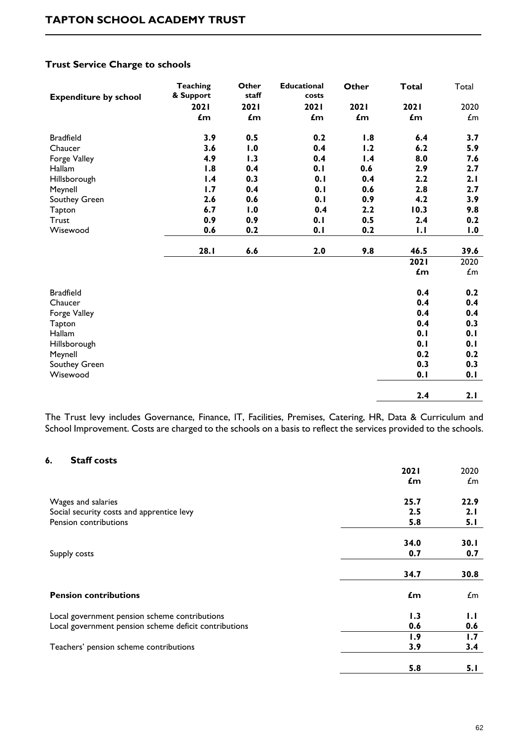| <b>Expenditure by school</b> | <b>Teaching</b><br>& Support | Other<br>staff | <b>Educational</b><br>costs | Other | <b>Total</b>   | Total                           |
|------------------------------|------------------------------|----------------|-----------------------------|-------|----------------|---------------------------------|
|                              | 2021                         | 2021           | 2021                        | 2021  | 2021           | 2020                            |
|                              | $\mathbf{f}$ m               | £m             | £m                          | £m    | £m             | $\pmb{\pmb{\pmb{\pmb{\ldots}}}$ |
| <b>Bradfield</b>             | 3.9                          | 0.5            | 0.2                         | 1.8   | 6.4            | 3.7                             |
| Chaucer                      | 3.6                          | 1.0            | 0.4                         | 1.2   | 6.2            | 5.9                             |
| Forge Valley                 | 4.9                          | 1.3            | 0.4                         | 1.4   | 8.0            | 7.6                             |
| Hallam                       | 1.8                          | 0.4            | 0.1                         | 0.6   | 2.9            | 2.7                             |
| Hillsborough                 | 1.4                          | 0.3            | 0.1                         | 0.4   | 2.2            | 2.1                             |
| Meynell                      | 1.7                          | 0.4            | 0.1                         | 0.6   | 2.8            | 2.7                             |
| Southey Green                | 2.6                          | 0.6            | 0.1                         | 0.9   | 4.2            | 3.9                             |
| Tapton                       | 6.7                          | 1.0            | 0.4                         | 2.2   | 10.3           | 9.8                             |
| <b>Trust</b>                 | 0.9                          | 0.9            | 0.1                         | 0.5   | 2.4            | 0.2                             |
| Wisewood                     | 0.6                          | 0.2            | 0.1                         | 0.2   | 1.1            | 1.0                             |
|                              | 28.1                         | 6.6            | 2.0                         | 9.8   | 46.5           | 39.6                            |
|                              |                              |                |                             |       | 2021           | 2020                            |
|                              |                              |                |                             |       | $\mathbf{f}$ m | $\mathcal{L}$ m                 |
| <b>Bradfield</b>             |                              |                |                             |       | 0.4            | 0.2                             |
| Chaucer                      |                              |                |                             |       | 0.4            | 0.4                             |
| Forge Valley                 |                              |                |                             |       | 0.4            | 0.4                             |
| Tapton                       |                              |                |                             |       | 0.4            | 0.3                             |
| Hallam                       |                              |                |                             |       | 0.1            | 0.1                             |
| Hillsborough                 |                              |                |                             |       | 0.1            | 0.1                             |
| Meynell                      |                              |                |                             |       | 0.2            | 0.2                             |
| Southey Green                |                              |                |                             |       | 0.3            | 0.3                             |
| Wisewood                     |                              |                |                             |       | 0.1            | 0.1                             |
|                              |                              |                |                             |       | 2.4            | 2.1                             |

#### **Trust Service Charge to schools**

The Trust levy includes Governance, Finance, IT, Facilities, Premises, Catering, HR, Data & Curriculum and School Improvement. Costs are charged to the schools on a basis to reflect the services provided to the schools.

#### **6. Staff costs**

|                                                       | <b>2021</b>    | 2020         |
|-------------------------------------------------------|----------------|--------------|
|                                                       | $\mathbf{f}$ m | $\pounds$ m  |
| Wages and salaries                                    | 25.7           | 22.9         |
| Social security costs and apprentice levy             | 2.5            | 2.1          |
| Pension contributions                                 | 5.8            | 5.1          |
|                                                       | 34.0           | 30.1         |
| Supply costs                                          | 0.7            | 0.7          |
|                                                       |                |              |
|                                                       | 34.7           | 30.8         |
| <b>Pension contributions</b>                          | $\mathbf{f}$ m | $\pounds$ m  |
| Local government pension scheme contributions         | 1.3            | $\mathbf{L}$ |
| Local government pension scheme deficit contributions | 0.6            | 0.6          |
|                                                       | 1.9            | 1.7          |
| Teachers' pension scheme contributions                | 3.9            | 3.4          |
|                                                       | 5.8            | 5. I         |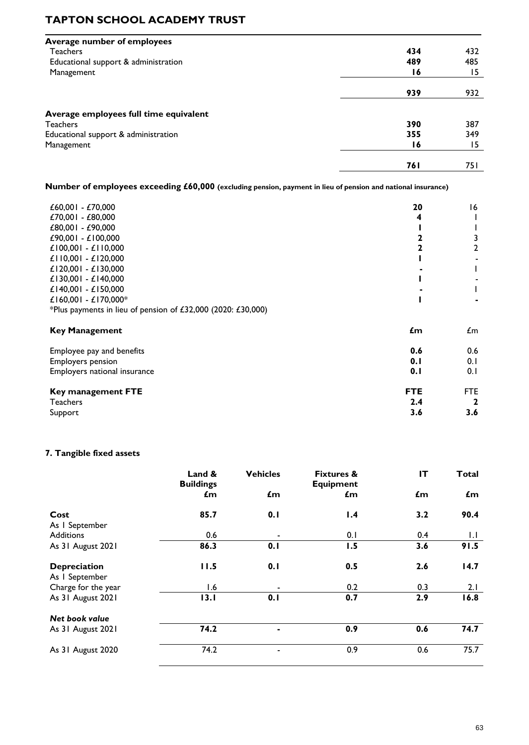| <b>Average number of employees</b>     |            |      |
|----------------------------------------|------------|------|
| <b>Teachers</b>                        | 434        | 432  |
| Educational support & administration   | 489        | 485  |
| Management                             | 16         | 15   |
|                                        | 939        | 932  |
| Average employees full time equivalent |            |      |
| <b>Teachers</b>                        | 390        | 387  |
| Educational support & administration   | 355        | 349  |
| Management                             | 16         | 15   |
|                                        | <b>761</b> | 75 I |

**Number of employees exceeding £60,000 (excluding pension, payment in lieu of pension and national insurance)** 

| £60,001 - £70,000                                            | 20         | 16         |
|--------------------------------------------------------------|------------|------------|
| £70,001 - £80,000                                            | 4          |            |
| £80,001 - £90,000                                            |            |            |
| £90,001 - £100,000                                           |            | 3          |
| £100,001 - £110,000                                          |            | 2          |
| £110,001 - £120,000                                          |            |            |
| £120,001 - £130,000                                          |            |            |
| £130,001 - £140,000                                          |            |            |
| £140,001 - £150,000                                          |            |            |
| £160,001 - £170,000*                                         |            |            |
| *Plus payments in lieu of pension of £32,000 (2020: £30,000) |            |            |
| <b>Key Management</b>                                        | £m         | £m         |
| Employee pay and benefits                                    | 0.6        | 0.6        |
| <b>Employers pension</b>                                     | 0.1        | 0.1        |
| Employers national insurance                                 | 0.1        | 0.1        |
| <b>Key management FTE</b>                                    | <b>FTE</b> | <b>FTE</b> |
| <b>Teachers</b>                                              | 2.4        | 2          |
| Support                                                      | 3.6        | 3.6        |

#### **7. Tangible fixed assets**

|                                       | Land &<br><b>Buildings</b> | <b>Vehicles</b>          | <b>Fixtures &amp;</b><br><b>Equipment</b> | IT  | <b>Total</b> |
|---------------------------------------|----------------------------|--------------------------|-------------------------------------------|-----|--------------|
|                                       | £m                         | £m                       | $\mathbf{f}$ m                            | £m  | £m           |
| Cost<br>As I September                | 85.7                       | 0.1                      | 1.4                                       | 3.2 | 90.4         |
| <b>Additions</b>                      | 0.6                        | $\overline{\phantom{a}}$ | 0.1                                       | 0.4 | 1.1          |
| As 31 August 2021                     | 86.3                       | 0.1                      | 1.5                                       | 3.6 | 91.5         |
| <b>Depreciation</b><br>As I September | 11.5                       | 0.1                      | 0.5                                       | 2.6 | 14.7         |
| Charge for the year                   | 1.6                        |                          | 0.2                                       | 0.3 | 2.1          |
| As 31 August 2021                     | 13.1                       | 0.1                      | 0.7                                       | 2.9 | 16.8         |
| Net book value                        |                            |                          |                                           |     |              |
| As 31 August 2021                     | 74.2                       |                          | 0.9                                       | 0.6 | 74.7         |
| As 31 August 2020                     | 74.2                       |                          | 0.9                                       | 0.6 | 75.7         |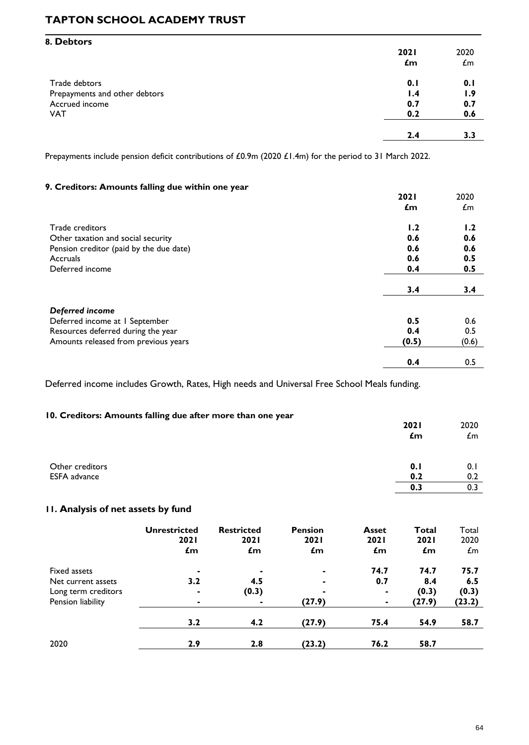| 8. Debtors                    |             |                 |
|-------------------------------|-------------|-----------------|
|                               | <b>2021</b> | 2020            |
|                               | £m          | $\mathcal{L}$ m |
| Trade debtors                 | 0.1         | 0.1             |
| Prepayments and other debtors | 1.4         | 1.9             |
| Accrued income                | 0.7         | 0.7             |
| <b>VAT</b>                    | 0.2         | 0.6             |
|                               | 2.4         | 3.3             |

Prepayments include pension deficit contributions of £0.9m (2020 £1.4m) for the period to 31 March 2022.

#### **9. Creditors: Amounts falling due within one year**

|                                         | <b>2021</b>    | 2020  |
|-----------------------------------------|----------------|-------|
|                                         | $\mathbf{f}$ m | £m    |
| Trade creditors                         | 1.2            | 1.2   |
| Other taxation and social security      | 0.6            | 0.6   |
| Pension creditor (paid by the due date) | 0.6            | 0.6   |
| Accruals                                | 0.6            | 0.5   |
| Deferred income                         | 0.4            | 0.5   |
|                                         | 3.4            | 3.4   |
| Deferred income                         |                |       |
| Deferred income at I September          | 0.5            | 0.6   |
| Resources deferred during the year      | 0.4            | 0.5   |
| Amounts released from previous years    | (0.5)          | (0.6) |
|                                         | 0.4            | 0.5   |

Deferred income includes Growth, Rates, High needs and Universal Free School Meals funding.

#### **10. Creditors: Amounts falling due after more than one year**

|                                        | <b>2021</b><br>£m | 2020<br>£m |
|----------------------------------------|-------------------|------------|
| Other creditors<br><b>ESFA</b> advance | 0.1<br>0.2        | 0.1<br>0.2 |
|                                        | 0.3               | 0.3        |

#### **11. Analysis of net assets by fund**

|                     | <b>Unrestricted</b><br><b>2021</b><br>$\mathbf{f}$ m | <b>Restricted</b><br><b>2021</b><br>£m | <b>Pension</b><br><b>2021</b><br>$\epsilon$ m | <b>Asset</b><br><b>2021</b><br>£m | Total<br><b>2021</b><br>$\mathbf{f}$ m | Total<br>2020<br>$\mathcal{L}$ m |
|---------------------|------------------------------------------------------|----------------------------------------|-----------------------------------------------|-----------------------------------|----------------------------------------|----------------------------------|
| Fixed assets        | ۰                                                    | $\blacksquare$                         | $\blacksquare$                                | 74.7                              | 74.7                                   | 75.7                             |
| Net current assets  | 3.2                                                  | 4.5                                    | $\blacksquare$                                | 0.7                               | 8.4                                    | 6.5                              |
| Long term creditors | ۰                                                    | (0.3)                                  | ۰                                             | $\blacksquare$                    | (0.3)                                  | (0.3)                            |
| Pension liability   | ۰                                                    | $\blacksquare$                         | (27.9)                                        | ۰                                 | (27.9)                                 | (23.2)                           |
|                     | 3.2                                                  | 4.2                                    | (27.9)                                        | 75.4                              | 54.9                                   | 58.7                             |
| 2020                | 2.9                                                  | 2.8                                    | (23.2)                                        | 76.2                              | 58.7                                   |                                  |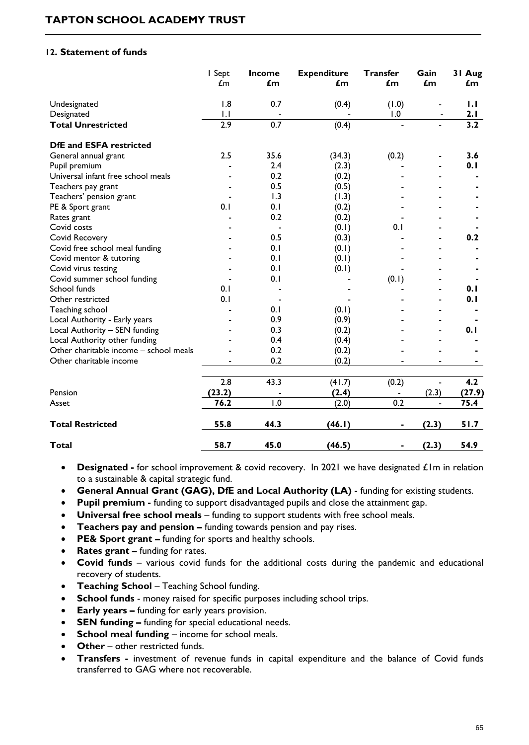#### **12. Statement of funds**

|                                        | I Sept<br>$\pounds$ m | <b>Income</b><br>£m | <b>Expenditure</b><br>£m | <b>Transfer</b><br>$\mathbf{f}$ m | Gain<br>£m               | 31 Aug<br>£m |
|----------------------------------------|-----------------------|---------------------|--------------------------|-----------------------------------|--------------------------|--------------|
| Undesignated                           | 1.8                   | 0.7                 | (0.4)                    | (1.0)                             |                          | 1.1          |
| Designated                             | $\mathsf{L}$          |                     |                          | 1.0                               |                          | 2.1          |
| <b>Total Unrestricted</b>              | 2.9                   | 0.7                 | (0.4)                    | $\blacksquare$                    |                          | 3.2          |
| <b>DfE and ESFA restricted</b>         |                       |                     |                          |                                   |                          |              |
| General annual grant                   | 2.5                   | 35.6                | (34.3)                   | (0.2)                             | $\blacksquare$           | 3.6          |
| Pupil premium                          |                       | 2.4                 | (2.3)                    |                                   |                          | 0.1          |
| Universal infant free school meals     |                       | 0.2                 | (0.2)                    |                                   |                          |              |
| Teachers pay grant                     |                       | 0.5                 | (0.5)                    |                                   |                          |              |
| Teachers' pension grant                |                       | 1.3                 | (1.3)                    |                                   |                          |              |
| PE & Sport grant                       | 0.1                   | 0.1                 | (0.2)                    |                                   |                          |              |
| Rates grant                            |                       | 0.2                 | (0.2)                    |                                   |                          |              |
| Covid costs                            |                       |                     | (0.1)                    | 0.1                               |                          |              |
| Covid Recovery                         |                       | 0.5                 | (0.3)                    |                                   | $\blacksquare$           | 0.2          |
| Covid free school meal funding         |                       | 0.1                 | (0.1)                    |                                   | $\blacksquare$           |              |
| Covid mentor & tutoring                |                       | 0.1                 | (0.1)                    |                                   |                          |              |
| Covid virus testing                    |                       | 0.1                 | (0.1)                    |                                   |                          |              |
| Covid summer school funding            |                       | 0.1                 |                          | (0.1)                             |                          |              |
| School funds                           | 0.1                   |                     |                          |                                   |                          | 0.1          |
| Other restricted                       | 0.1                   |                     |                          |                                   | $\overline{\phantom{0}}$ | 0.1          |
| Teaching school                        |                       | 0.1                 | (0.1)                    |                                   |                          |              |
| Local Authority - Early years          |                       | 0.9                 | (0.9)                    |                                   | $\blacksquare$           |              |
| Local Authority - SEN funding          |                       | 0.3                 | (0.2)                    |                                   | $\blacksquare$           | 0.1          |
| Local Authority other funding          |                       | 0.4                 | (0.4)                    |                                   |                          |              |
| Other charitable income - school meals |                       | 0.2                 | (0.2)                    |                                   |                          |              |
| Other charitable income                |                       | 0.2                 | (0.2)                    |                                   |                          |              |
|                                        | 2.8                   | 43.3                | (41.7)                   | (0.2)                             | $\overline{a}$           | 4.2          |
| Pension                                | (23.2)                |                     | (2.4)                    |                                   | (2.3)                    | (27.9)       |
| Asset                                  | 76.2                  | 1.0                 | (2.0)                    | 0.2                               |                          | 75.4         |
| <b>Total Restricted</b>                | 55.8                  | 44.3                | (46.1)                   |                                   | (2.3)                    | 51.7         |
| <b>Total</b>                           | 58.7                  | 45.0                | (46.5)                   |                                   | (2.3)                    | 54.9         |

- **Designated -** for school improvement & covid recovery. In 2021 we have designated £1m in relation to a sustainable & capital strategic fund.
- **General Annual Grant (GAG), DfE and Local Authority (LA) -** funding for existing students.
- **Pupil premium -** funding to support disadvantaged pupils and close the attainment gap.
- **Universal free school meals**  funding to support students with free school meals.
- **Teachers pay and pension –** funding towards pension and pay rises.
- **PE& Sport grant –** funding for sports and healthy schools.
- **Rates grant –** funding for rates.
- **Covid funds**  various covid funds for the additional costs during the pandemic and educational recovery of students.
- **Teaching School** Teaching School funding.
- **School funds**  money raised for specific purposes including school trips.
- **Early years –** funding for early years provision.
- **SEN funding –** funding for special educational needs.
- **School meal funding** income for school meals.
- Other other restricted funds.
- **Transfers -** investment of revenue funds in capital expenditure and the balance of Covid funds transferred to GAG where not recoverable.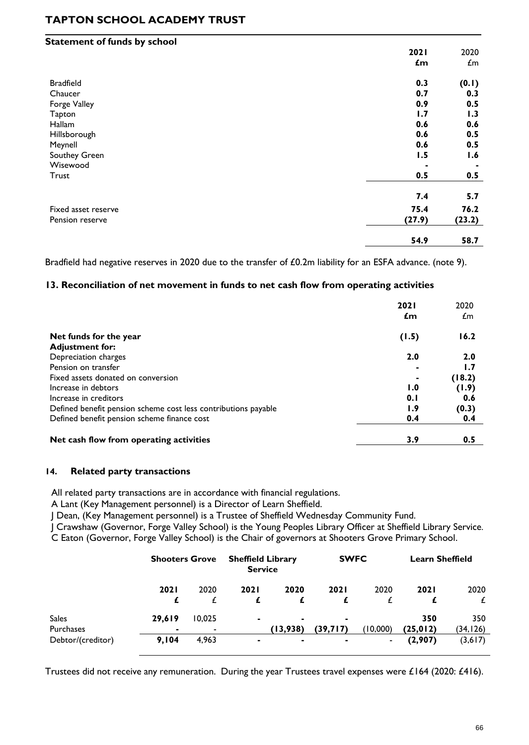| <b>Statement of funds by school</b> |        |                 |
|-------------------------------------|--------|-----------------|
|                                     | 2021   | 2020            |
|                                     | £m     | $\mathcal{L}$ m |
| <b>Bradfield</b>                    | 0.3    | (0.1)           |
| Chaucer                             | 0.7    | 0.3             |
| Forge Valley                        | 0.9    | 0.5             |
| Tapton                              | 1.7    | 1.3             |
| Hallam                              | 0.6    | 0.6             |
| Hillsborough                        | 0.6    | 0.5             |
| Meynell                             | 0.6    | 0.5             |
| Southey Green                       | 1.5    | 1.6             |
| Wisewood                            |        |                 |
| Trust                               | 0.5    | 0.5             |
|                                     | 7.4    | 5.7             |
| Fixed asset reserve                 | 75.4   | 76.2            |
| Pension reserve                     | (27.9) | (23.2)          |
|                                     | 54.9   | 58.7            |

Bradfield had negative reserves in 2020 due to the transfer of £0.2m liability for an ESFA advance. (note 9).

#### **13. Reconciliation of net movement in funds to net cash flow from operating activities**

|                                                                | 2021<br>£m | 2020<br>£m |
|----------------------------------------------------------------|------------|------------|
| Net funds for the year                                         | (1.5)      | 16.2       |
| <b>Adjustment for:</b>                                         |            |            |
| Depreciation charges                                           | 2.0        | 2.0        |
| Pension on transfer                                            |            | 1.7        |
| Fixed assets donated on conversion                             |            | (18.2)     |
| Increase in debtors                                            | 1.0        | (1.9)      |
| Increase in creditors                                          | 0.1        | 0.6        |
| Defined benefit pension scheme cost less contributions payable | 1.9        | (0.3)      |
| Defined benefit pension scheme finance cost                    | 0.4        | 0.4        |
| Net cash flow from operating activities                        | 3.9        | 0.5        |

#### **14. Related party transactions**

All related party transactions are in accordance with financial regulations.

A Lant (Key Management personnel) is a Director of Learn Sheffield.

J Dean, (Key Management personnel) is a Trustee of Sheffield Wednesday Community Fund.

J Crawshaw (Governor, Forge Valley School) is the Young Peoples Library Officer at Sheffield Library Service. C Eaton (Governor, Forge Valley School) is the Chair of governors at Shooters Grove Primary School.

|                   |             | <b>Shooters Grove</b> |                | <b>Sheffield Library</b><br><b>Service</b> |                | <b>SWFC</b>    |             | <b>Learn Sheffield</b> |  |
|-------------------|-------------|-----------------------|----------------|--------------------------------------------|----------------|----------------|-------------|------------------------|--|
|                   | <b>2021</b> | 2020                  | 2021           | 2020                                       | <b>2021</b>    | 2020           | <b>2021</b> | 2020                   |  |
|                   |             |                       |                |                                            |                |                |             | £                      |  |
| <b>Sales</b>      | 29,619      | 10,025                | $\blacksquare$ |                                            | $\blacksquare$ |                | 350         | 350                    |  |
| Purchases         |             | ۰                     |                | (13,938)                                   | (39,717)       | (10,000)       | (25, 012)   | (34, 126)              |  |
| Debtor/(creditor) | 9,104       | 4,963                 | $\blacksquare$ | ۰                                          |                | $\blacksquare$ | (2,907)     | (3,617)                |  |

Trustees did not receive any remuneration. During the year Trustees travel expenses were £164 (2020: £416).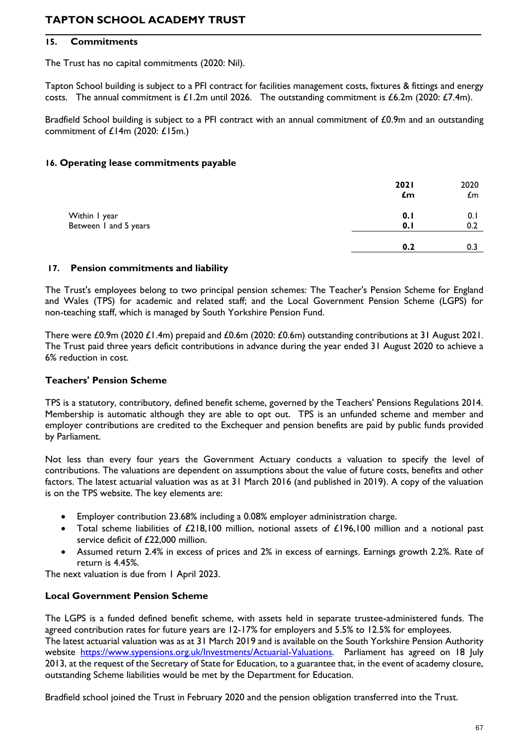#### **15. Commitments**

The Trust has no capital commitments (2020: Nil).

Tapton School building is subject to a PFI contract for facilities management costs, fixtures & fittings and energy costs. The annual commitment is  $\pounds$ 1.2m until 2026. The outstanding commitment is  $\pounds$ 6.2m (2020: £7.4m).

Bradfield School building is subject to a PFI contract with an annual commitment of £0.9m and an outstanding commitment of £14m (2020: £15m.)

#### **16. Operating lease commitments payable**

|                                        | 2021<br>£m | 2020<br>£m |
|----------------------------------------|------------|------------|
| Within I year<br>Between 1 and 5 years | 0.1<br>0.1 | 0.1<br>0.2 |
|                                        | 0.2        | 0.3        |

#### **17. Pension commitments and liability**

The Trust's employees belong to two principal pension schemes: The Teacher's Pension Scheme for England and Wales (TPS) for academic and related staff; and the Local Government Pension Scheme (LGPS) for non-teaching staff, which is managed by South Yorkshire Pension Fund.

There were £0.9m (2020 £1.4m) prepaid and £0.6m (2020: £0.6m) outstanding contributions at 31 August 2021. The Trust paid three years deficit contributions in advance during the year ended 31 August 2020 to achieve a 6% reduction in cost.

#### **Teachers' Pension Scheme**

TPS is a statutory, contributory, defined benefit scheme, governed by the Teachers' Pensions Regulations 2014. Membership is automatic although they are able to opt out. TPS is an unfunded scheme and member and employer contributions are credited to the Exchequer and pension benefits are paid by public funds provided by Parliament.

Not less than every four years the Government Actuary conducts a valuation to specify the level of contributions. The valuations are dependent on assumptions about the value of future costs, benefits and other factors. The latest actuarial valuation was as at 31 March 2016 (and published in 2019). A copy of the valuation is on the TPS website. The key elements are:

- Employer contribution 23.68% including a 0.08% employer administration charge.
- Total scheme liabilities of £218,100 million, notional assets of £196,100 million and a notional past service deficit of £22,000 million.
- Assumed return 2.4% in excess of prices and 2% in excess of earnings. Earnings growth 2.2%. Rate of return is 4.45%.

The next valuation is due from 1 April 2023.

#### **Local Government Pension Scheme**

The LGPS is a funded defined benefit scheme, with assets held in separate trustee-administered funds. The agreed contribution rates for future years are 12-17% for employers and 5.5% to 12.5% for employees. The latest actuarial valuation was as at 31 March 2019 and is available on the South Yorkshire Pension Authority website [https://www.sypensions.org.uk/Investments/Actuarial-Valuations.](https://www.sypensions.org.uk/Investments/Actuarial-Valuations) Parliament has agreed on 18 July 2013, at the request of the Secretary of State for Education, to a guarantee that, in the event of academy closure, outstanding Scheme liabilities would be met by the Department for Education.

Bradfield school joined the Trust in February 2020 and the pension obligation transferred into the Trust.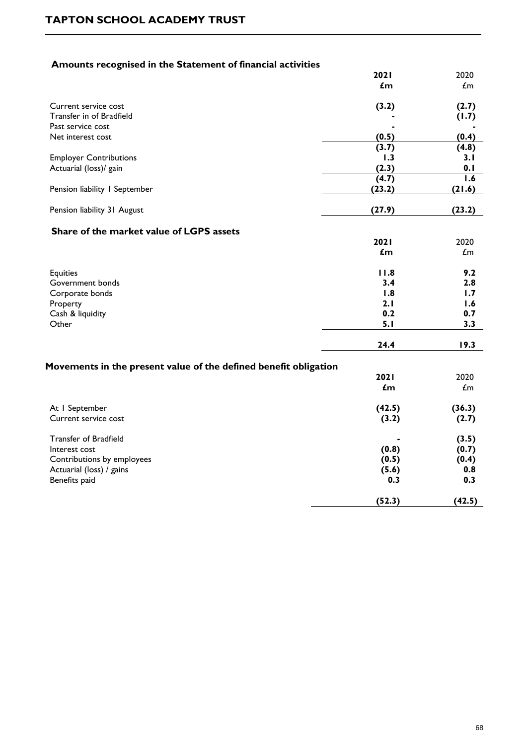### **Amounts recognised in the Statement of financial activities**

|                                                                  | <b>2021</b><br>£m | 2020<br>$\mathbf{f}$ m |
|------------------------------------------------------------------|-------------------|------------------------|
| Current service cost                                             | (3.2)             | (2.7)                  |
| Transfer in of Bradfield                                         |                   | (1.7)                  |
| Past service cost                                                |                   |                        |
| Net interest cost                                                | (0.5)             | (0.4)                  |
|                                                                  | (3.7)             | (4.8)                  |
| <b>Employer Contributions</b>                                    | 1.3               | 3. I                   |
| Actuarial (loss)/ gain                                           | (2.3)             | 0.1                    |
|                                                                  | (4.7)             | 1.6                    |
| Pension liability I September                                    | (23.2)            | (21.6)                 |
| Pension liability 31 August                                      | (27.9)            | (23.2)                 |
| Share of the market value of LGPS assets                         |                   |                        |
|                                                                  | 2021              | 2020                   |
|                                                                  | £m                | $\mathbf{f}$ m         |
| Equities                                                         | 11.8              | 9.2                    |
| Government bonds                                                 | 3.4               | 2.8                    |
| Corporate bonds                                                  | 1.8               | 1.7                    |
| Property                                                         | 2.1               | 1.6                    |
| Cash & liquidity                                                 | 0.2               | 0.7                    |
| Other                                                            | 5.1               | 3.3                    |
|                                                                  | 24.4              | 19.3                   |
| Movements in the present value of the defined benefit obligation |                   |                        |
|                                                                  | 2021              | 2020                   |
|                                                                  | $\mathbf{f}$ m    | $\pounds$ m            |
| At I September                                                   | (42.5)            | (36.3)                 |
| Current service cost                                             | (3.2)             | (2.7)                  |
| <b>Transfer of Bradfield</b>                                     |                   | (3.5)                  |
| Interest cost                                                    | (0.8)             | (0.7)                  |
| Contributions by employees                                       | (0.5)             | (0.4)                  |
| Actuarial (loss) / gains                                         | (5.6)             | 0.8                    |
| Benefits paid                                                    | 0.3               | 0.3                    |
|                                                                  | (52.3)            | (42.5)                 |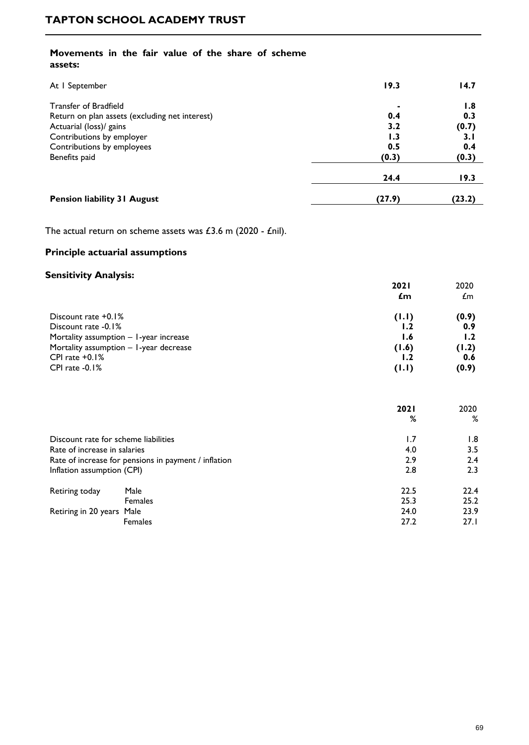#### **Movements in the fair value of the share of scheme assets:**

| At I September                                                                                            | 19.3                | 14.7                |
|-----------------------------------------------------------------------------------------------------------|---------------------|---------------------|
| <b>Transfer of Bradfield</b><br>Return on plan assets (excluding net interest)<br>Actuarial (loss)/ gains | 0.4<br>3.2          | 1.8<br>0.3<br>(0.7) |
| Contributions by employer<br>Contributions by employees<br>Benefits paid                                  | 1.3<br>0.5<br>(0.3) | 3.1<br>0.4<br>(0.3) |
|                                                                                                           | 24.4                | 19.3                |
| <b>Pension liability 31 August</b>                                                                        | (27.9)              | (23.2)              |

The actual return on scheme assets was  $£3.6$  m (2020 - £nil).

### **Principle actuarial assumptions**

### **Sensitivity Analysis:**

| 501131017107 Analysis.                   | <b>2021</b><br>£m | 2020<br>£m |
|------------------------------------------|-------------------|------------|
| Discount rate +0.1%                      | (1.1)             | (0.9)      |
| Discount rate -0.1%                      | 1.2               | 0.9        |
| Mortality assumption $-1$ -year increase | 1.6               | 1.2        |
| Mortality assumption - I-year decrease   | (1.6)             | (1.2)      |
| CPI rate $+0.1\%$                        | 1.2               | 0.6        |
| CPI rate $-0.1%$                         | (1.1)             | (0.9)      |

|                                                      |                | 2021 | 2020 |
|------------------------------------------------------|----------------|------|------|
|                                                      |                | %    | %    |
| Discount rate for scheme liabilities                 |                | 1.7  | 1.8  |
| Rate of increase in salaries                         |                | 4.0  | 3.5  |
| Rate of increase for pensions in payment / inflation |                | 2.9  | 2.4  |
| Inflation assumption (CPI)                           |                | 2.8  | 2.3  |
| Retiring today<br>Male                               |                | 22.5 | 22.4 |
|                                                      | <b>Females</b> | 25.3 | 25.2 |
| Retiring in 20 years Male                            |                | 24.0 | 23.9 |
| <b>Females</b>                                       |                | 27.2 | 27.1 |